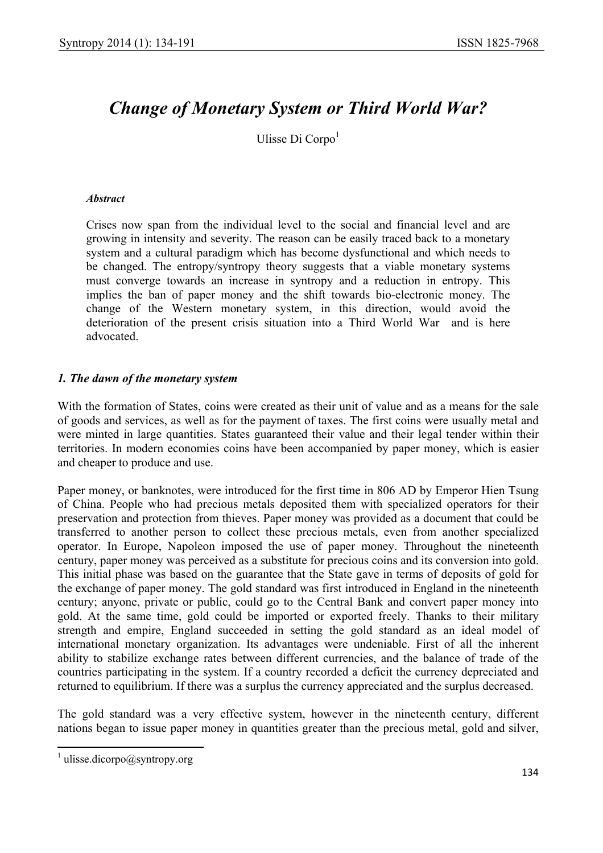# *Change of Monetary System or Third World War?*

Ulisse Di Corpo $<sup>1</sup>$ </sup>

### *Abstract*

Crises now span from the individual level to the social and financial level and are growing in intensity and severity. The reason can be easily traced back to a monetary system and a cultural paradigm which has become dysfunctional and which needs to be changed. The entropy/syntropy theory suggests that a viable monetary systems must converge towards an increase in syntropy and a reduction in entropy. This implies the ban of paper money and the shift towards bio-electronic money. The change of the Western monetary system, in this direction, would avoid the deterioration of the present crisis situation into a Third World War and is here advocated.

# *1. The dawn of the monetary system*

With the formation of States, coins were created as their unit of value and as a means for the sale of goods and services, as well as for the payment of taxes. The first coins were usually metal and were minted in large quantities. States guaranteed their value and their legal tender within their territories. In modern economies coins have been accompanied by paper money, which is easier and cheaper to produce and use.

Paper money, or banknotes, were introduced for the first time in 806 AD by Emperor Hien Tsung of China. People who had precious metals deposited them with specialized operators for their preservation and protection from thieves. Paper money was provided as a document that could be transferred to another person to collect these precious metals, even from another specialized operator. In Europe, Napoleon imposed the use of paper money. Throughout the nineteenth century, paper money was perceived as a substitute for precious coins and its conversion into gold. This initial phase was based on the guarantee that the State gave in terms of deposits of gold for the exchange of paper money. The gold standard was first introduced in England in the nineteenth century; anyone, private or public, could go to the Central Bank and convert paper money into gold. At the same time, gold could be imported or exported freely. Thanks to their military strength and empire, England succeeded in setting the gold standard as an ideal model of international monetary organization. Its advantages were undeniable. First of all the inherent ability to stabilize exchange rates between different currencies, and the balance of trade of the countries participating in the system. If a country recorded a deficit the currency depreciated and returned to equilibrium. If there was a surplus the currency appreciated and the surplus decreased.

The gold standard was a very effective system, however in the nineteenth century, different nations began to issue paper money in quantities greater than the precious metal, gold and silver,

 $\overline{a}$ 

<sup>&</sup>lt;sup>1</sup> ulisse.dicorpo@syntropy.org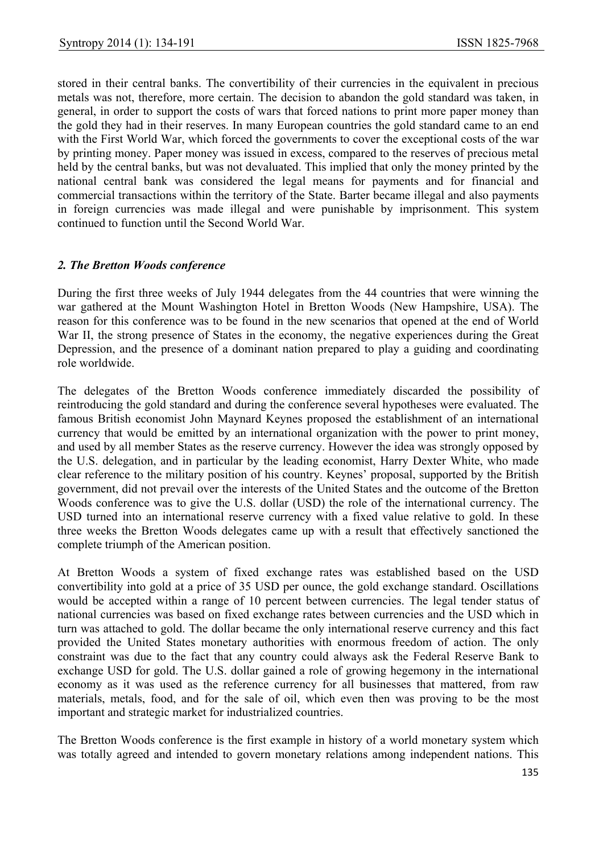stored in their central banks. The convertibility of their currencies in the equivalent in precious metals was not, therefore, more certain. The decision to abandon the gold standard was taken, in general, in order to support the costs of wars that forced nations to print more paper money than the gold they had in their reserves. In many European countries the gold standard came to an end with the First World War, which forced the governments to cover the exceptional costs of the war by printing money. Paper money was issued in excess, compared to the reserves of precious metal held by the central banks, but was not devaluated. This implied that only the money printed by the national central bank was considered the legal means for payments and for financial and commercial transactions within the territory of the State. Barter became illegal and also payments in foreign currencies was made illegal and were punishable by imprisonment. This system continued to function until the Second World War.

# *2. The Bretton Woods conference*

During the first three weeks of July 1944 delegates from the 44 countries that were winning the war gathered at the Mount Washington Hotel in Bretton Woods (New Hampshire, USA). The reason for this conference was to be found in the new scenarios that opened at the end of World War II, the strong presence of States in the economy, the negative experiences during the Great Depression, and the presence of a dominant nation prepared to play a guiding and coordinating role worldwide.

The delegates of the Bretton Woods conference immediately discarded the possibility of reintroducing the gold standard and during the conference several hypotheses were evaluated. The famous British economist John Maynard Keynes proposed the establishment of an international currency that would be emitted by an international organization with the power to print money, and used by all member States as the reserve currency. However the idea was strongly opposed by the U.S. delegation, and in particular by the leading economist, Harry Dexter White, who made clear reference to the military position of his country. Keynes' proposal, supported by the British government, did not prevail over the interests of the United States and the outcome of the Bretton Woods conference was to give the U.S. dollar (USD) the role of the international currency. The USD turned into an international reserve currency with a fixed value relative to gold. In these three weeks the Bretton Woods delegates came up with a result that effectively sanctioned the complete triumph of the American position.

At Bretton Woods a system of fixed exchange rates was established based on the USD convertibility into gold at a price of 35 USD per ounce, the gold exchange standard. Oscillations would be accepted within a range of 10 percent between currencies. The legal tender status of national currencies was based on fixed exchange rates between currencies and the USD which in turn was attached to gold. The dollar became the only international reserve currency and this fact provided the United States monetary authorities with enormous freedom of action. The only constraint was due to the fact that any country could always ask the Federal Reserve Bank to exchange USD for gold. The U.S. dollar gained a role of growing hegemony in the international economy as it was used as the reference currency for all businesses that mattered, from raw materials, metals, food, and for the sale of oil, which even then was proving to be the most important and strategic market for industrialized countries.

The Bretton Woods conference is the first example in history of a world monetary system which was totally agreed and intended to govern monetary relations among independent nations. This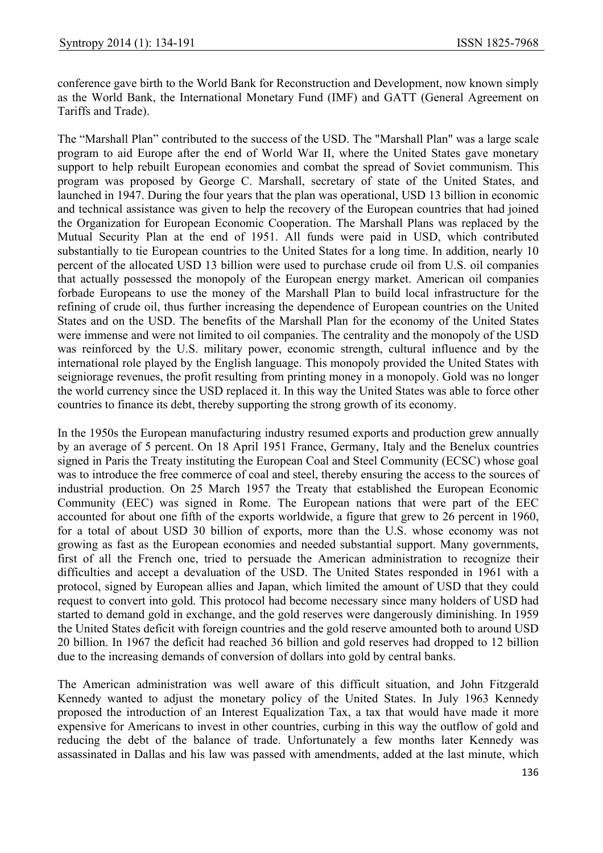conference gave birth to the World Bank for Reconstruction and Development, now known simply as the World Bank, the International Monetary Fund (IMF) and GATT (General Agreement on Tariffs and Trade).

The "Marshall Plan" contributed to the success of the USD. The "Marshall Plan" was a large scale program to aid Europe after the end of World War II, where the United States gave monetary support to help rebuilt European economies and combat the spread of Soviet communism. This program was proposed by George C. Marshall, secretary of state of the United States, and launched in 1947. During the four years that the plan was operational, USD 13 billion in economic and technical assistance was given to help the recovery of the European countries that had joined the Organization for European Economic Cooperation. The Marshall Plans was replaced by the Mutual Security Plan at the end of 1951. All funds were paid in USD, which contributed substantially to tie European countries to the United States for a long time. In addition, nearly 10 percent of the allocated USD 13 billion were used to purchase crude oil from U.S. oil companies that actually possessed the monopoly of the European energy market. American oil companies forbade Europeans to use the money of the Marshall Plan to build local infrastructure for the refining of crude oil, thus further increasing the dependence of European countries on the United States and on the USD. The benefits of the Marshall Plan for the economy of the United States were immense and were not limited to oil companies. The centrality and the monopoly of the USD was reinforced by the U.S. military power, economic strength, cultural influence and by the international role played by the English language. This monopoly provided the United States with seigniorage revenues, the profit resulting from printing money in a monopoly. Gold was no longer the world currency since the USD replaced it. In this way the United States was able to force other countries to finance its debt, thereby supporting the strong growth of its economy.

In the 1950s the European manufacturing industry resumed exports and production grew annually by an average of 5 percent. On 18 April 1951 France, Germany, Italy and the Benelux countries signed in Paris the Treaty instituting the European Coal and Steel Community (ECSC) whose goal was to introduce the free commerce of coal and steel, thereby ensuring the access to the sources of industrial production. On 25 March 1957 the Treaty that established the European Economic Community (EEC) was signed in Rome. The European nations that were part of the EEC accounted for about one fifth of the exports worldwide, a figure that grew to 26 percent in 1960, for a total of about USD 30 billion of exports, more than the U.S. whose economy was not growing as fast as the European economies and needed substantial support. Many governments, first of all the French one, tried to persuade the American administration to recognize their difficulties and accept a devaluation of the USD. The United States responded in 1961 with a protocol, signed by European allies and Japan, which limited the amount of USD that they could request to convert into gold. This protocol had become necessary since many holders of USD had started to demand gold in exchange, and the gold reserves were dangerously diminishing. In 1959 the United States deficit with foreign countries and the gold reserve amounted both to around USD 20 billion. In 1967 the deficit had reached 36 billion and gold reserves had dropped to 12 billion due to the increasing demands of conversion of dollars into gold by central banks.

The American administration was well aware of this difficult situation, and John Fitzgerald Kennedy wanted to adjust the monetary policy of the United States. In July 1963 Kennedy proposed the introduction of an Interest Equalization Tax, a tax that would have made it more expensive for Americans to invest in other countries, curbing in this way the outflow of gold and reducing the debt of the balance of trade. Unfortunately a few months later Kennedy was assassinated in Dallas and his law was passed with amendments, added at the last minute, which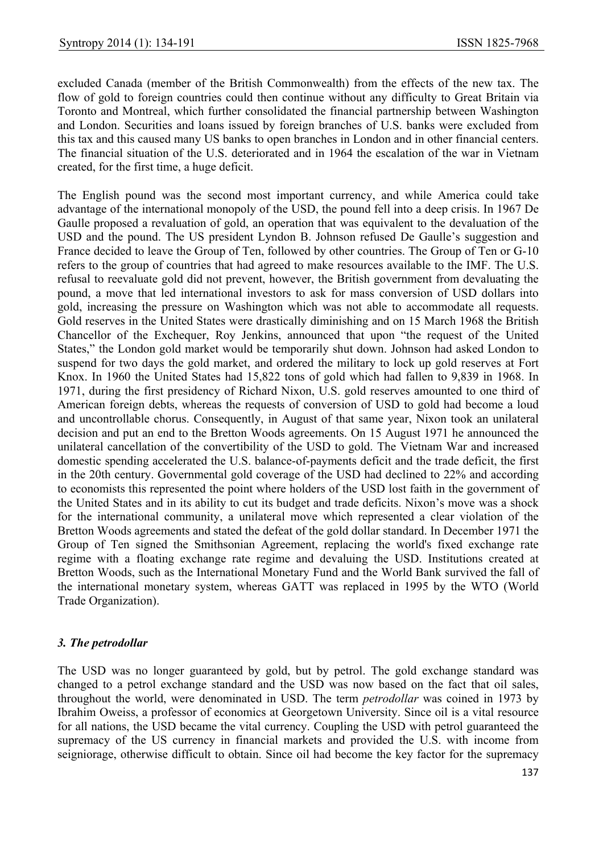excluded Canada (member of the British Commonwealth) from the effects of the new tax. The flow of gold to foreign countries could then continue without any difficulty to Great Britain via Toronto and Montreal, which further consolidated the financial partnership between Washington and London. Securities and loans issued by foreign branches of U.S. banks were excluded from this tax and this caused many US banks to open branches in London and in other financial centers. The financial situation of the U.S. deteriorated and in 1964 the escalation of the war in Vietnam created, for the first time, a huge deficit.

The English pound was the second most important currency, and while America could take advantage of the international monopoly of the USD, the pound fell into a deep crisis. In 1967 De Gaulle proposed a revaluation of gold, an operation that was equivalent to the devaluation of the USD and the pound. The US president Lyndon B. Johnson refused De Gaulle's suggestion and France decided to leave the Group of Ten, followed by other countries. The Group of Ten or G-10 refers to the group of countries that had agreed to make resources available to the IMF. The U.S. refusal to reevaluate gold did not prevent, however, the British government from devaluating the pound, a move that led international investors to ask for mass conversion of USD dollars into gold, increasing the pressure on Washington which was not able to accommodate all requests. Gold reserves in the United States were drastically diminishing and on 15 March 1968 the British Chancellor of the Exchequer, Roy Jenkins, announced that upon "the request of the United States," the London gold market would be temporarily shut down. Johnson had asked London to suspend for two days the gold market, and ordered the military to lock up gold reserves at Fort Knox. In 1960 the United States had 15,822 tons of gold which had fallen to 9,839 in 1968. In 1971, during the first presidency of Richard Nixon, U.S. gold reserves amounted to one third of American foreign debts, whereas the requests of conversion of USD to gold had become a loud and uncontrollable chorus. Consequently, in August of that same year, Nixon took an unilateral decision and put an end to the Bretton Woods agreements. On 15 August 1971 he announced the unilateral cancellation of the convertibility of the USD to gold. The Vietnam War and increased domestic spending accelerated the U.S. balance-of-payments deficit and the trade deficit, the first in the 20th century. Governmental gold coverage of the USD had declined to 22% and according to economists this represented the point where holders of the USD lost faith in the government of the United States and in its ability to cut its budget and trade deficits. Nixon's move was a shock for the international community, a unilateral move which represented a clear violation of the Bretton Woods agreements and stated the defeat of the gold dollar standard. In December 1971 the Group of Ten signed the Smithsonian Agreement, replacing the world's fixed exchange rate regime with a floating exchange rate regime and devaluing the USD. Institutions created at Bretton Woods, such as the International Monetary Fund and the World Bank survived the fall of the international monetary system, whereas GATT was replaced in 1995 by the WTO (World Trade Organization).

# *3. The petrodollar*

The USD was no longer guaranteed by gold, but by petrol. The gold exchange standard was changed to a petrol exchange standard and the USD was now based on the fact that oil sales, throughout the world, were denominated in USD. The term *petrodollar* was coined in 1973 by Ibrahim Oweiss, a professor of economics at Georgetown University. Since oil is a vital resource for all nations, the USD became the vital currency. Coupling the USD with petrol guaranteed the supremacy of the US currency in financial markets and provided the U.S. with income from seigniorage, otherwise difficult to obtain. Since oil had become the key factor for the supremacy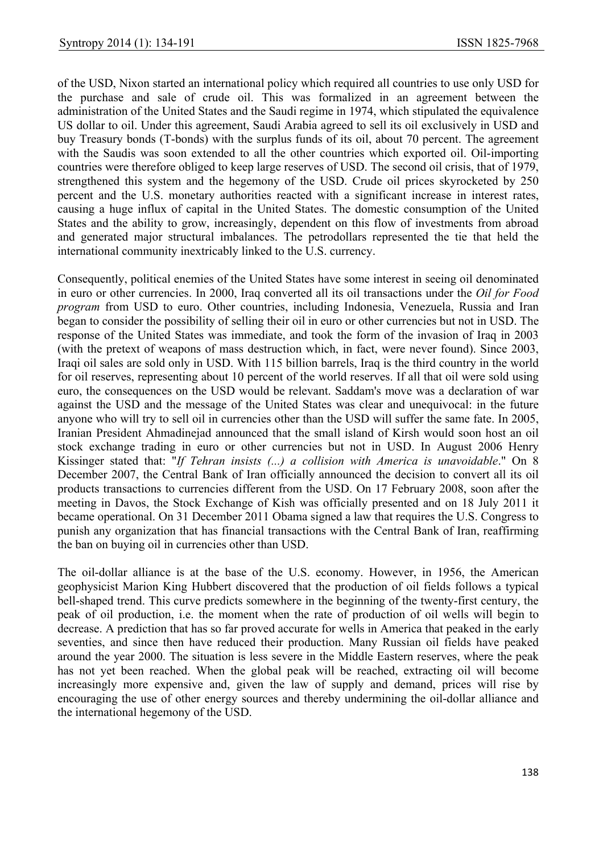of the USD, Nixon started an international policy which required all countries to use only USD for the purchase and sale of crude oil. This was formalized in an agreement between the administration of the United States and the Saudi regime in 1974, which stipulated the equivalence US dollar to oil. Under this agreement, Saudi Arabia agreed to sell its oil exclusively in USD and buy Treasury bonds (T-bonds) with the surplus funds of its oil, about 70 percent. The agreement with the Saudis was soon extended to all the other countries which exported oil. Oil-importing countries were therefore obliged to keep large reserves of USD. The second oil crisis, that of 1979, strengthened this system and the hegemony of the USD. Crude oil prices skyrocketed by 250 percent and the U.S. monetary authorities reacted with a significant increase in interest rates, causing a huge influx of capital in the United States. The domestic consumption of the United States and the ability to grow, increasingly, dependent on this flow of investments from abroad and generated major structural imbalances. The petrodollars represented the tie that held the international community inextricably linked to the U.S. currency.

Consequently, political enemies of the United States have some interest in seeing oil denominated in euro or other currencies. In 2000, Iraq converted all its oil transactions under the *Oil for Food program* from USD to euro. Other countries, including Indonesia, Venezuela, Russia and Iran began to consider the possibility of selling their oil in euro or other currencies but not in USD. The response of the United States was immediate, and took the form of the invasion of Iraq in 2003 (with the pretext of weapons of mass destruction which, in fact, were never found). Since 2003, Iraqi oil sales are sold only in USD. With 115 billion barrels, Iraq is the third country in the world for oil reserves, representing about 10 percent of the world reserves. If all that oil were sold using euro, the consequences on the USD would be relevant. Saddam's move was a declaration of war against the USD and the message of the United States was clear and unequivocal: in the future anyone who will try to sell oil in currencies other than the USD will suffer the same fate. In 2005, Iranian President Ahmadinejad announced that the small island of Kirsh would soon host an oil stock exchange trading in euro or other currencies but not in USD. In August 2006 Henry Kissinger stated that: "*If Tehran insists (...) a collision with America is unavoidable*." On 8 December 2007, the Central Bank of Iran officially announced the decision to convert all its oil products transactions to currencies different from the USD. On 17 February 2008, soon after the meeting in Davos, the Stock Exchange of Kish was officially presented and on 18 July 2011 it became operational. On 31 December 2011 Obama signed a law that requires the U.S. Congress to punish any organization that has financial transactions with the Central Bank of Iran, reaffirming the ban on buying oil in currencies other than USD.

The oil-dollar alliance is at the base of the U.S. economy. However, in 1956, the American geophysicist Marion King Hubbert discovered that the production of oil fields follows a typical bell-shaped trend. This curve predicts somewhere in the beginning of the twenty-first century, the peak of oil production, i.e. the moment when the rate of production of oil wells will begin to decrease. A prediction that has so far proved accurate for wells in America that peaked in the early seventies, and since then have reduced their production. Many Russian oil fields have peaked around the year 2000. The situation is less severe in the Middle Eastern reserves, where the peak has not yet been reached. When the global peak will be reached, extracting oil will become increasingly more expensive and, given the law of supply and demand, prices will rise by encouraging the use of other energy sources and thereby undermining the oil-dollar alliance and the international hegemony of the USD.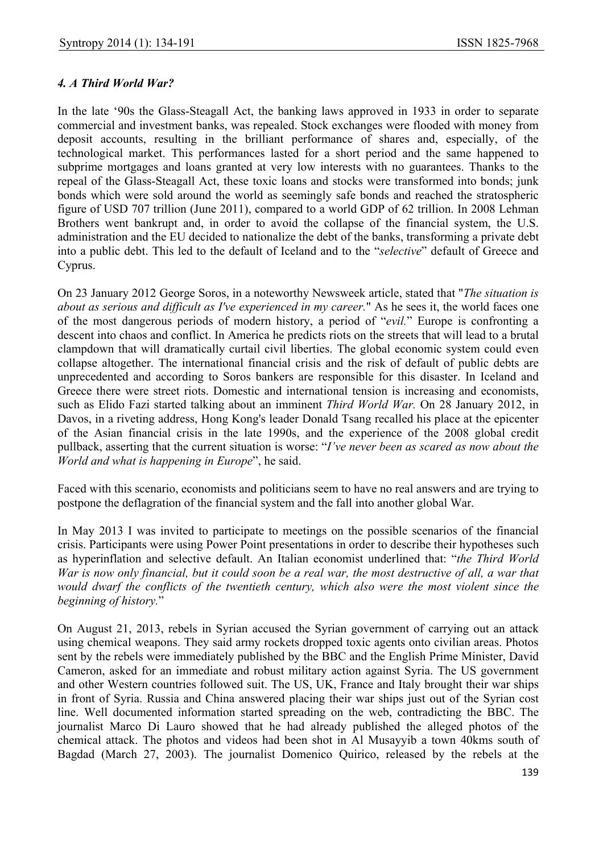### *4. A Third World War?*

In the late '90s the Glass-Steagall Act, the banking laws approved in 1933 in order to separate commercial and investment banks, was repealed. Stock exchanges were flooded with money from deposit accounts, resulting in the brilliant performance of shares and, especially, of the technological market. This performances lasted for a short period and the same happened to subprime mortgages and loans granted at very low interests with no guarantees. Thanks to the repeal of the Glass-Steagall Act, these toxic loans and stocks were transformed into bonds; junk bonds which were sold around the world as seemingly safe bonds and reached the stratospheric figure of USD 707 trillion (June 2011), compared to a world GDP of 62 trillion. In 2008 Lehman Brothers went bankrupt and, in order to avoid the collapse of the financial system, the U.S. administration and the EU decided to nationalize the debt of the banks, transforming a private debt into a public debt. This led to the default of Iceland and to the "*selective*" default of Greece and Cyprus.

On 23 January 2012 George Soros, in a noteworthy Newsweek article, stated that "*The situation is about as serious and difficult as I've experienced in my career.*" As he sees it, the world faces one of the most dangerous periods of modern history, a period of "*evil.*" Europe is confronting a descent into chaos and conflict. In America he predicts riots on the streets that will lead to a brutal clampdown that will dramatically curtail civil liberties. The global economic system could even collapse altogether. The international financial crisis and the risk of default of public debts are unprecedented and according to Soros bankers are responsible for this disaster. In Iceland and Greece there were street riots. Domestic and international tension is increasing and economists, such as Elido Fazi started talking about an imminent *Third World War.* On 28 January 2012, in Davos, in a riveting address, Hong Kong's leader Donald Tsang recalled his place at the epicenter of the Asian financial crisis in the late 1990s, and the experience of the 2008 global credit pullback, asserting that the current situation is worse: "*I've never been as scared as now about the World and what is happening in Europe*", he said.

Faced with this scenario, economists and politicians seem to have no real answers and are trying to postpone the deflagration of the financial system and the fall into another global War.

In May 2013 I was invited to participate to meetings on the possible scenarios of the financial crisis. Participants were using Power Point presentations in order to describe their hypotheses such as hyperinflation and selective default. An Italian economist underlined that: "*the Third World War is now only financial, but it could soon be a real war, the most destructive of all, a war that*  would dwarf the conflicts of the twentieth century, which also were the most violent since the *beginning of history.*"

On August 21, 2013, rebels in Syrian accused the Syrian government of carrying out an attack using chemical weapons. They said army rockets dropped toxic agents onto civilian areas. Photos sent by the rebels were immediately published by the BBC and the English Prime Minister, David Cameron, asked for an immediate and robust military action against Syria. The US government and other Western countries followed suit. The US, UK, France and Italy brought their war ships in front of Syria. Russia and China answered placing their war ships just out of the Syrian cost line. Well documented information started spreading on the web, contradicting the BBC. The journalist Marco Di Lauro showed that he had already published the alleged photos of the chemical attack. The photos and videos had been shot in Al Musayyib a town 40kms south of Bagdad (March 27, 2003). The journalist Domenico Quirico, released by the rebels at the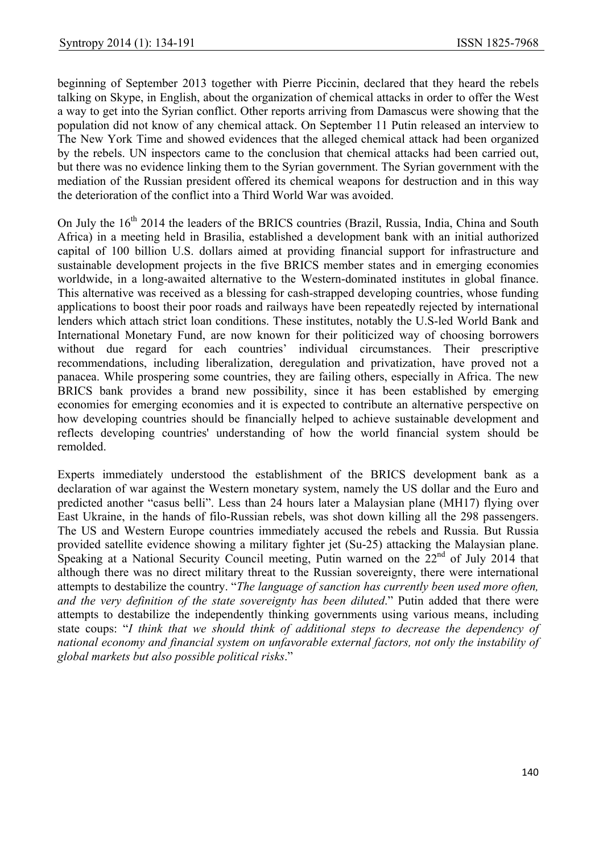beginning of September 2013 together with Pierre Piccinin, declared that they heard the rebels talking on Skype, in English, about the organization of chemical attacks in order to offer the West a way to get into the Syrian conflict. Other reports arriving from Damascus were showing that the population did not know of any chemical attack. On September 11 Putin released an interview to The New York Time and showed evidences that the alleged chemical attack had been organized by the rebels. UN inspectors came to the conclusion that chemical attacks had been carried out, but there was no evidence linking them to the Syrian government. The Syrian government with the mediation of the Russian president offered its chemical weapons for destruction and in this way the deterioration of the conflict into a Third World War was avoided.

On July the 16<sup>th</sup> 2014 the leaders of the BRICS countries (Brazil, Russia, India, China and South Africa) in a meeting held in Brasilia, established a development bank with an initial authorized capital of 100 billion U.S. dollars aimed at providing financial support for infrastructure and sustainable development projects in the five BRICS member states and in emerging economies worldwide, in a long-awaited alternative to the Western-dominated institutes in global finance. This alternative was received as a blessing for cash-strapped developing countries, whose funding applications to boost their poor roads and railways have been repeatedly rejected by international lenders which attach strict loan conditions. These institutes, notably the U.S-led World Bank and International Monetary Fund, are now known for their politicized way of choosing borrowers without due regard for each countries' individual circumstances. Their prescriptive recommendations, including liberalization, deregulation and privatization, have proved not a panacea. While prospering some countries, they are failing others, especially in Africa. The new BRICS bank provides a brand new possibility, since it has been established by emerging economies for emerging economies and it is expected to contribute an alternative perspective on how developing countries should be financially helped to achieve sustainable development and reflects developing countries' understanding of how the world financial system should be remolded.

Experts immediately understood the establishment of the BRICS development bank as a declaration of war against the Western monetary system, namely the US dollar and the Euro and predicted another "casus belli". Less than 24 hours later a Malaysian plane (MH17) flying over East Ukraine, in the hands of filo-Russian rebels, was shot down killing all the 298 passengers. The US and Western Europe countries immediately accused the rebels and Russia. But Russia provided satellite evidence showing a military fighter jet (Su-25) attacking the Malaysian plane. Speaking at a National Security Council meeting, Putin warned on the 22<sup>nd</sup> of July 2014 that although there was no direct military threat to the Russian sovereignty, there were international attempts to destabilize the country. "*The language of sanction has currently been used more often, and the very definition of the state sovereignty has been diluted*." Putin added that there were attempts to destabilize the independently thinking governments using various means, including state coups: "*I think that we should think of additional steps to decrease the dependency of national economy and financial system on unfavorable external factors, not only the instability of global markets but also possible political risks*."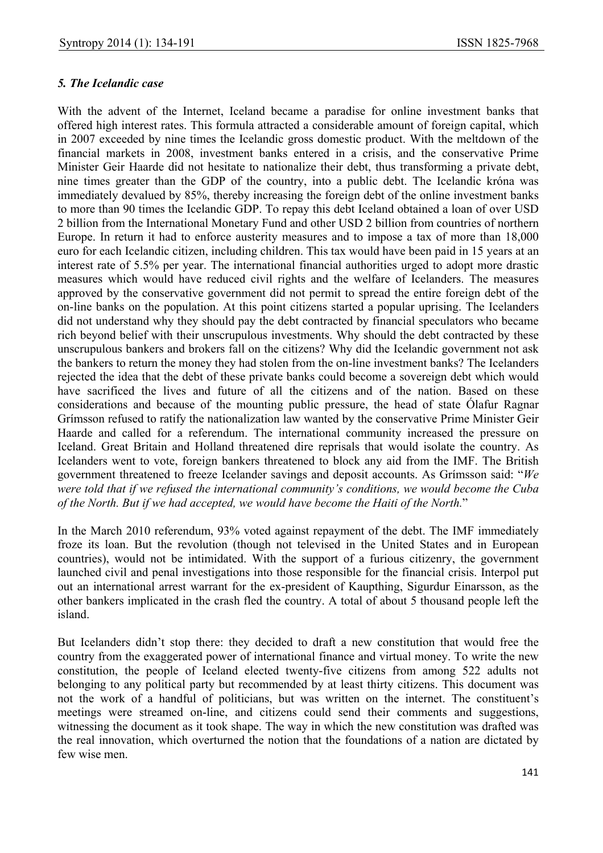# *5. The Icelandic case*

With the advent of the Internet, Iceland became a paradise for online investment banks that offered high interest rates. This formula attracted a considerable amount of foreign capital, which in 2007 exceeded by nine times the Icelandic gross domestic product. With the meltdown of the financial markets in 2008, investment banks entered in a crisis, and the conservative Prime Minister Geir Haarde did not hesitate to nationalize their debt, thus transforming a private debt, nine times greater than the GDP of the country, into a public debt. The Icelandic króna was immediately devalued by 85%, thereby increasing the foreign debt of the online investment banks to more than 90 times the Icelandic GDP. To repay this debt Iceland obtained a loan of over USD 2 billion from the International Monetary Fund and other USD 2 billion from countries of northern Europe. In return it had to enforce austerity measures and to impose a tax of more than 18,000 euro for each Icelandic citizen, including children. This tax would have been paid in 15 years at an interest rate of 5.5% per year. The international financial authorities urged to adopt more drastic measures which would have reduced civil rights and the welfare of Icelanders. The measures approved by the conservative government did not permit to spread the entire foreign debt of the on-line banks on the population. At this point citizens started a popular uprising. The Icelanders did not understand why they should pay the debt contracted by financial speculators who became rich beyond belief with their unscrupulous investments. Why should the debt contracted by these unscrupulous bankers and brokers fall on the citizens? Why did the Icelandic government not ask the bankers to return the money they had stolen from the on-line investment banks? The Icelanders rejected the idea that the debt of these private banks could become a sovereign debt which would have sacrificed the lives and future of all the citizens and of the nation. Based on these considerations and because of the mounting public pressure, the head of state Ólafur Ragnar Grímsson refused to ratify the nationalization law wanted by the conservative Prime Minister Geir Haarde and called for a referendum. The international community increased the pressure on Iceland. Great Britain and Holland threatened dire reprisals that would isolate the country. As Icelanders went to vote, foreign bankers threatened to block any aid from the IMF. The British government threatened to freeze Icelander savings and deposit accounts. As Grímsson said: "*We were told that if we refused the international community's conditions, we would become the Cuba of the North. But if we had accepted, we would have become the Haiti of the North.*"

In the March 2010 referendum, 93% voted against repayment of the debt. The IMF immediately froze its loan. But the revolution (though not televised in the United States and in European countries), would not be intimidated. With the support of a furious citizenry, the government launched civil and penal investigations into those responsible for the financial crisis. Interpol put out an international arrest warrant for the ex-president of Kaupthing, Sigurdur Einarsson, as the other bankers implicated in the crash fled the country. A total of about 5 thousand people left the island.

But Icelanders didn't stop there: they decided to draft a new constitution that would free the country from the exaggerated power of international finance and virtual money. To write the new constitution, the people of Iceland elected twenty-five citizens from among 522 adults not belonging to any political party but recommended by at least thirty citizens. This document was not the work of a handful of politicians, but was written on the internet. The constituent's meetings were streamed on-line, and citizens could send their comments and suggestions, witnessing the document as it took shape. The way in which the new constitution was drafted was the real innovation, which overturned the notion that the foundations of a nation are dictated by few wise men.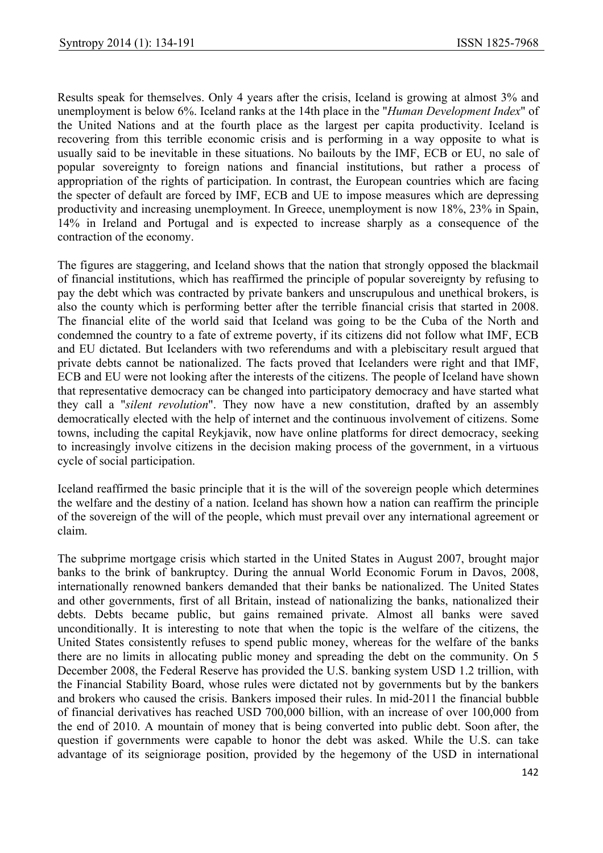Results speak for themselves. Only 4 years after the crisis, Iceland is growing at almost 3% and unemployment is below 6%. Iceland ranks at the 14th place in the "*Human Development Index*" of the United Nations and at the fourth place as the largest per capita productivity. Iceland is recovering from this terrible economic crisis and is performing in a way opposite to what is usually said to be inevitable in these situations. No bailouts by the IMF, ECB or EU, no sale of popular sovereignty to foreign nations and financial institutions, but rather a process of appropriation of the rights of participation. In contrast, the European countries which are facing the specter of default are forced by IMF, ECB and UE to impose measures which are depressing productivity and increasing unemployment. In Greece, unemployment is now 18%, 23% in Spain, 14% in Ireland and Portugal and is expected to increase sharply as a consequence of the contraction of the economy.

The figures are staggering, and Iceland shows that the nation that strongly opposed the blackmail of financial institutions, which has reaffirmed the principle of popular sovereignty by refusing to pay the debt which was contracted by private bankers and unscrupulous and unethical brokers, is also the county which is performing better after the terrible financial crisis that started in 2008. The financial elite of the world said that Iceland was going to be the Cuba of the North and condemned the country to a fate of extreme poverty, if its citizens did not follow what IMF, ECB and EU dictated. But Icelanders with two referendums and with a plebiscitary result argued that private debts cannot be nationalized. The facts proved that Icelanders were right and that IMF, ECB and EU were not looking after the interests of the citizens. The people of Iceland have shown that representative democracy can be changed into participatory democracy and have started what they call a "*silent revolution*". They now have a new constitution, drafted by an assembly democratically elected with the help of internet and the continuous involvement of citizens. Some towns, including the capital Reykjavik, now have online platforms for direct democracy, seeking to increasingly involve citizens in the decision making process of the government, in a virtuous cycle of social participation.

Iceland reaffirmed the basic principle that it is the will of the sovereign people which determines the welfare and the destiny of a nation. Iceland has shown how a nation can reaffirm the principle of the sovereign of the will of the people, which must prevail over any international agreement or claim.

The subprime mortgage crisis which started in the United States in August 2007, brought major banks to the brink of bankruptcy. During the annual World Economic Forum in Davos, 2008, internationally renowned bankers demanded that their banks be nationalized. The United States and other governments, first of all Britain, instead of nationalizing the banks, nationalized their debts. Debts became public, but gains remained private. Almost all banks were saved unconditionally. It is interesting to note that when the topic is the welfare of the citizens, the United States consistently refuses to spend public money, whereas for the welfare of the banks there are no limits in allocating public money and spreading the debt on the community. On 5 December 2008, the Federal Reserve has provided the U.S. banking system USD 1.2 trillion, with the Financial Stability Board, whose rules were dictated not by governments but by the bankers and brokers who caused the crisis. Bankers imposed their rules. In mid-2011 the financial bubble of financial derivatives has reached USD 700,000 billion, with an increase of over 100,000 from the end of 2010. A mountain of money that is being converted into public debt. Soon after, the question if governments were capable to honor the debt was asked. While the U.S. can take advantage of its seigniorage position, provided by the hegemony of the USD in international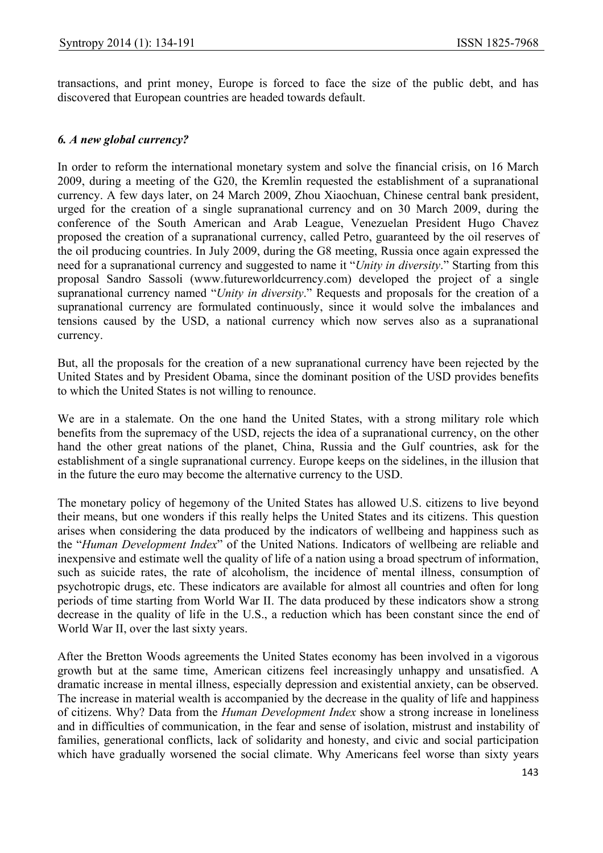transactions, and print money, Europe is forced to face the size of the public debt, and has discovered that European countries are headed towards default.

### *6. A new global currency?*

In order to reform the international monetary system and solve the financial crisis, on 16 March 2009, during a meeting of the G20, the Kremlin requested the establishment of a supranational currency. A few days later, on 24 March 2009, Zhou Xiaochuan, Chinese central bank president, urged for the creation of a single supranational currency and on 30 March 2009, during the conference of the South American and Arab League, Venezuelan President Hugo Chavez proposed the creation of a supranational currency, called Petro, guaranteed by the oil reserves of the oil producing countries. In July 2009, during the G8 meeting, Russia once again expressed the need for a supranational currency and suggested to name it "*Unity in diversity*." Starting from this proposal Sandro Sassoli (www.futureworldcurrency.com) developed the project of a single supranational currency named "*Unity in diversity*." Requests and proposals for the creation of a supranational currency are formulated continuously, since it would solve the imbalances and tensions caused by the USD, a national currency which now serves also as a supranational currency.

But, all the proposals for the creation of a new supranational currency have been rejected by the United States and by President Obama, since the dominant position of the USD provides benefits to which the United States is not willing to renounce.

We are in a stalemate. On the one hand the United States, with a strong military role which benefits from the supremacy of the USD, rejects the idea of a supranational currency, on the other hand the other great nations of the planet, China, Russia and the Gulf countries, ask for the establishment of a single supranational currency. Europe keeps on the sidelines, in the illusion that in the future the euro may become the alternative currency to the USD.

The monetary policy of hegemony of the United States has allowed U.S. citizens to live beyond their means, but one wonders if this really helps the United States and its citizens. This question arises when considering the data produced by the indicators of wellbeing and happiness such as the "*Human Development Index*" of the United Nations. Indicators of wellbeing are reliable and inexpensive and estimate well the quality of life of a nation using a broad spectrum of information, such as suicide rates, the rate of alcoholism, the incidence of mental illness, consumption of psychotropic drugs, etc. These indicators are available for almost all countries and often for long periods of time starting from World War II. The data produced by these indicators show a strong decrease in the quality of life in the U.S., a reduction which has been constant since the end of World War II, over the last sixty years.

After the Bretton Woods agreements the United States economy has been involved in a vigorous growth but at the same time, American citizens feel increasingly unhappy and unsatisfied. A dramatic increase in mental illness, especially depression and existential anxiety, can be observed. The increase in material wealth is accompanied by the decrease in the quality of life and happiness of citizens. Why? Data from the *Human Development Index* show a strong increase in loneliness and in difficulties of communication, in the fear and sense of isolation, mistrust and instability of families, generational conflicts, lack of solidarity and honesty, and civic and social participation which have gradually worsened the social climate. Why Americans feel worse than sixty years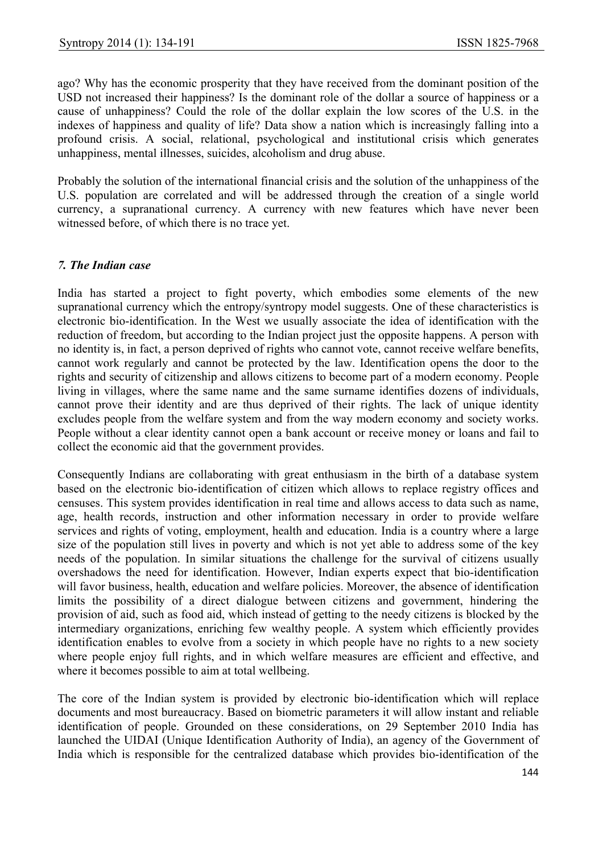ago? Why has the economic prosperity that they have received from the dominant position of the USD not increased their happiness? Is the dominant role of the dollar a source of happiness or a cause of unhappiness? Could the role of the dollar explain the low scores of the U.S. in the indexes of happiness and quality of life? Data show a nation which is increasingly falling into a profound crisis. A social, relational, psychological and institutional crisis which generates unhappiness, mental illnesses, suicides, alcoholism and drug abuse.

Probably the solution of the international financial crisis and the solution of the unhappiness of the U.S. population are correlated and will be addressed through the creation of a single world currency, a supranational currency. A currency with new features which have never been witnessed before, of which there is no trace yet.

### *7. The Indian case*

India has started a project to fight poverty, which embodies some elements of the new supranational currency which the entropy/syntropy model suggests. One of these characteristics is electronic bio-identification. In the West we usually associate the idea of identification with the reduction of freedom, but according to the Indian project just the opposite happens. A person with no identity is, in fact, a person deprived of rights who cannot vote, cannot receive welfare benefits, cannot work regularly and cannot be protected by the law. Identification opens the door to the rights and security of citizenship and allows citizens to become part of a modern economy. People living in villages, where the same name and the same surname identifies dozens of individuals, cannot prove their identity and are thus deprived of their rights. The lack of unique identity excludes people from the welfare system and from the way modern economy and society works. People without a clear identity cannot open a bank account or receive money or loans and fail to collect the economic aid that the government provides.

Consequently Indians are collaborating with great enthusiasm in the birth of a database system based on the electronic bio-identification of citizen which allows to replace registry offices and censuses. This system provides identification in real time and allows access to data such as name, age, health records, instruction and other information necessary in order to provide welfare services and rights of voting, employment, health and education. India is a country where a large size of the population still lives in poverty and which is not yet able to address some of the key needs of the population. In similar situations the challenge for the survival of citizens usually overshadows the need for identification. However, Indian experts expect that bio-identification will favor business, health, education and welfare policies. Moreover, the absence of identification limits the possibility of a direct dialogue between citizens and government, hindering the provision of aid, such as food aid, which instead of getting to the needy citizens is blocked by the intermediary organizations, enriching few wealthy people. A system which efficiently provides identification enables to evolve from a society in which people have no rights to a new society where people enjoy full rights, and in which welfare measures are efficient and effective, and where it becomes possible to aim at total wellbeing.

The core of the Indian system is provided by electronic bio-identification which will replace documents and most bureaucracy. Based on biometric parameters it will allow instant and reliable identification of people. Grounded on these considerations, on 29 September 2010 India has launched the UIDAI (Unique Identification Authority of India), an agency of the Government of India which is responsible for the centralized database which provides bio-identification of the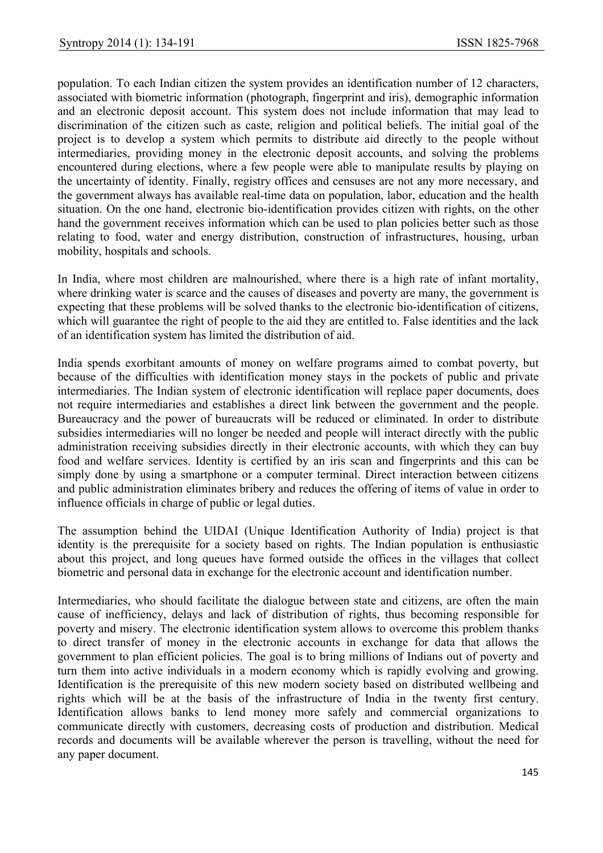population. To each Indian citizen the system provides an identification number of 12 characters, associated with biometric information (photograph, fingerprint and iris), demographic information and an electronic deposit account. This system does not include information that may lead to discrimination of the citizen such as caste, religion and political beliefs. The initial goal of the project is to develop a system which permits to distribute aid directly to the people without intermediaries, providing money in the electronic deposit accounts, and solving the problems encountered during elections, where a few people were able to manipulate results by playing on the uncertainty of identity. Finally, registry offices and censuses are not any more necessary, and the government always has available real-time data on population, labor, education and the health situation. On the one hand, electronic bio-identification provides citizen with rights, on the other hand the government receives information which can be used to plan policies better such as those relating to food, water and energy distribution, construction of infrastructures, housing, urban mobility, hospitals and schools.

In India, where most children are malnourished, where there is a high rate of infant mortality, where drinking water is scarce and the causes of diseases and poverty are many, the government is expecting that these problems will be solved thanks to the electronic bio-identification of citizens, which will guarantee the right of people to the aid they are entitled to. False identities and the lack of an identification system has limited the distribution of aid.

India spends exorbitant amounts of money on welfare programs aimed to combat poverty, but because of the difficulties with identification money stays in the pockets of public and private intermediaries. The Indian system of electronic identification will replace paper documents, does not require intermediaries and establishes a direct link between the government and the people. Bureaucracy and the power of bureaucrats will be reduced or eliminated. In order to distribute subsidies intermediaries will no longer be needed and people will interact directly with the public administration receiving subsidies directly in their electronic accounts, with which they can buy food and welfare services. Identity is certified by an iris scan and fingerprints and this can be simply done by using a smartphone or a computer terminal. Direct interaction between citizens and public administration eliminates bribery and reduces the offering of items of value in order to influence officials in charge of public or legal duties.

The assumption behind the UIDAI (Unique Identification Authority of India) project is that identity is the prerequisite for a society based on rights. The Indian population is enthusiastic about this project, and long queues have formed outside the offices in the villages that collect biometric and personal data in exchange for the electronic account and identification number.

Intermediaries, who should facilitate the dialogue between state and citizens, are often the main cause of inefficiency, delays and lack of distribution of rights, thus becoming responsible for poverty and misery. The electronic identification system allows to overcome this problem thanks to direct transfer of money in the electronic accounts in exchange for data that allows the government to plan efficient policies. The goal is to bring millions of Indians out of poverty and turn them into active individuals in a modern economy which is rapidly evolving and growing. Identification is the prerequisite of this new modern society based on distributed wellbeing and rights which will be at the basis of the infrastructure of India in the twenty first century. Identification allows banks to lend money more safely and commercial organizations to communicate directly with customers, decreasing costs of production and distribution. Medical records and documents will be available wherever the person is travelling, without the need for any paper document.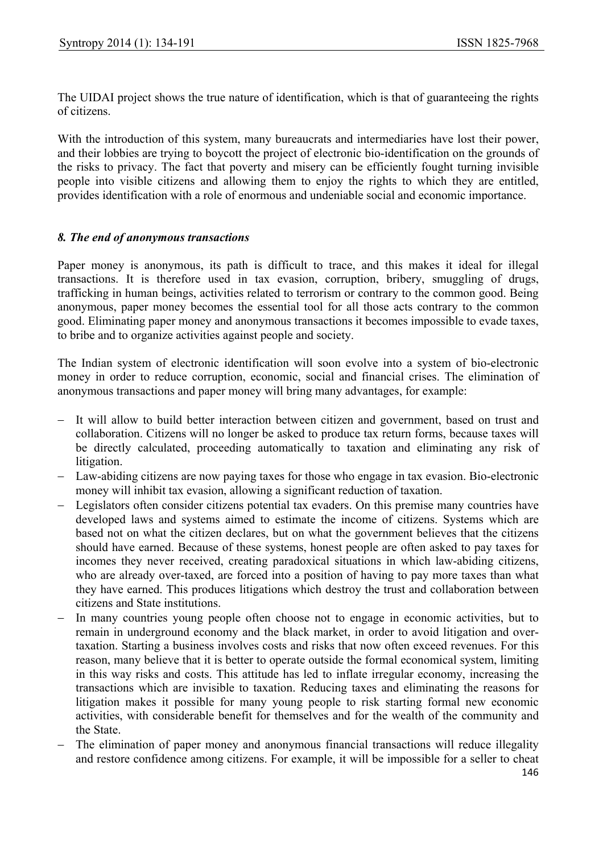The UIDAI project shows the true nature of identification, which is that of guaranteeing the rights of citizens.

With the introduction of this system, many bureaucrats and intermediaries have lost their power, and their lobbies are trying to boycott the project of electronic bio-identification on the grounds of the risks to privacy. The fact that poverty and misery can be efficiently fought turning invisible people into visible citizens and allowing them to enjoy the rights to which they are entitled, provides identification with a role of enormous and undeniable social and economic importance.

# *8. The end of anonymous transactions*

Paper money is anonymous, its path is difficult to trace, and this makes it ideal for illegal transactions. It is therefore used in tax evasion, corruption, bribery, smuggling of drugs, trafficking in human beings, activities related to terrorism or contrary to the common good. Being anonymous, paper money becomes the essential tool for all those acts contrary to the common good. Eliminating paper money and anonymous transactions it becomes impossible to evade taxes, to bribe and to organize activities against people and society.

The Indian system of electronic identification will soon evolve into a system of bio-electronic money in order to reduce corruption, economic, social and financial crises. The elimination of anonymous transactions and paper money will bring many advantages, for example:

- It will allow to build better interaction between citizen and government, based on trust and collaboration. Citizens will no longer be asked to produce tax return forms, because taxes will be directly calculated, proceeding automatically to taxation and eliminating any risk of litigation.
- Law-abiding citizens are now paying taxes for those who engage in tax evasion. Bio-electronic money will inhibit tax evasion, allowing a significant reduction of taxation.
- − Legislators often consider citizens potential tax evaders. On this premise many countries have developed laws and systems aimed to estimate the income of citizens. Systems which are based not on what the citizen declares, but on what the government believes that the citizens should have earned. Because of these systems, honest people are often asked to pay taxes for incomes they never received, creating paradoxical situations in which law-abiding citizens, who are already over-taxed, are forced into a position of having to pay more taxes than what they have earned. This produces litigations which destroy the trust and collaboration between citizens and State institutions.
- In many countries young people often choose not to engage in economic activities, but to remain in underground economy and the black market, in order to avoid litigation and overtaxation. Starting a business involves costs and risks that now often exceed revenues. For this reason, many believe that it is better to operate outside the formal economical system, limiting in this way risks and costs. This attitude has led to inflate irregular economy, increasing the transactions which are invisible to taxation. Reducing taxes and eliminating the reasons for litigation makes it possible for many young people to risk starting formal new economic activities, with considerable benefit for themselves and for the wealth of the community and the State.
- The elimination of paper money and anonymous financial transactions will reduce illegality and restore confidence among citizens. For example, it will be impossible for a seller to cheat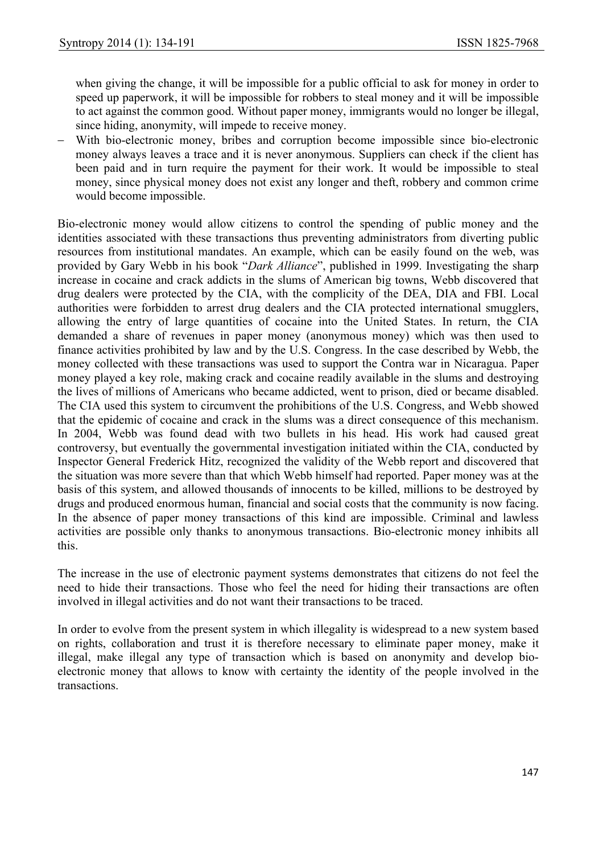when giving the change, it will be impossible for a public official to ask for money in order to speed up paperwork, it will be impossible for robbers to steal money and it will be impossible to act against the common good. Without paper money, immigrants would no longer be illegal, since hiding, anonymity, will impede to receive money.

− With bio-electronic money, bribes and corruption become impossible since bio-electronic money always leaves a trace and it is never anonymous. Suppliers can check if the client has been paid and in turn require the payment for their work. It would be impossible to steal money, since physical money does not exist any longer and theft, robbery and common crime would become impossible.

Bio-electronic money would allow citizens to control the spending of public money and the identities associated with these transactions thus preventing administrators from diverting public resources from institutional mandates. An example, which can be easily found on the web, was provided by Gary Webb in his book "*Dark Alliance*", published in 1999. Investigating the sharp increase in cocaine and crack addicts in the slums of American big towns, Webb discovered that drug dealers were protected by the CIA, with the complicity of the DEA, DIA and FBI. Local authorities were forbidden to arrest drug dealers and the CIA protected international smugglers, allowing the entry of large quantities of cocaine into the United States. In return, the CIA demanded a share of revenues in paper money (anonymous money) which was then used to finance activities prohibited by law and by the U.S. Congress. In the case described by Webb, the money collected with these transactions was used to support the Contra war in Nicaragua. Paper money played a key role, making crack and cocaine readily available in the slums and destroying the lives of millions of Americans who became addicted, went to prison, died or became disabled. The CIA used this system to circumvent the prohibitions of the U.S. Congress, and Webb showed that the epidemic of cocaine and crack in the slums was a direct consequence of this mechanism. In 2004, Webb was found dead with two bullets in his head. His work had caused great controversy, but eventually the governmental investigation initiated within the CIA, conducted by Inspector General Frederick Hitz, recognized the validity of the Webb report and discovered that the situation was more severe than that which Webb himself had reported. Paper money was at the basis of this system, and allowed thousands of innocents to be killed, millions to be destroyed by drugs and produced enormous human, financial and social costs that the community is now facing. In the absence of paper money transactions of this kind are impossible. Criminal and lawless activities are possible only thanks to anonymous transactions. Bio-electronic money inhibits all this.

The increase in the use of electronic payment systems demonstrates that citizens do not feel the need to hide their transactions. Those who feel the need for hiding their transactions are often involved in illegal activities and do not want their transactions to be traced.

In order to evolve from the present system in which illegality is widespread to a new system based on rights, collaboration and trust it is therefore necessary to eliminate paper money, make it illegal, make illegal any type of transaction which is based on anonymity and develop bioelectronic money that allows to know with certainty the identity of the people involved in the transactions.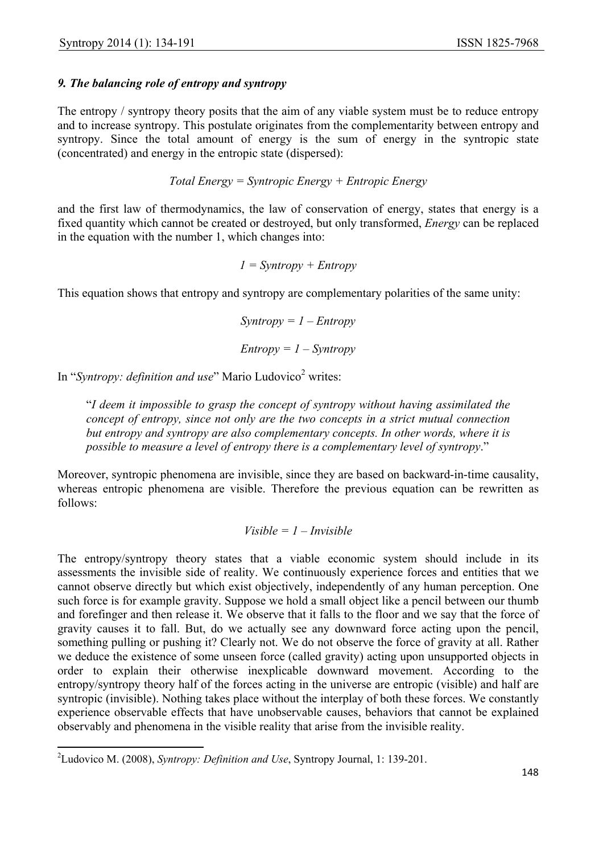### *9. The balancing role of entropy and syntropy*

The entropy / syntropy theory posits that the aim of any viable system must be to reduce entropy and to increase syntropy. This postulate originates from the complementarity between entropy and syntropy. Since the total amount of energy is the sum of energy in the syntropic state (concentrated) and energy in the entropic state (dispersed):

$$
Total Energy = Syntropic Energy + Entropic Energy
$$

and the first law of thermodynamics, the law of conservation of energy, states that energy is a fixed quantity which cannot be created or destroyed, but only transformed, *Energy* can be replaced in the equation with the number 1, which changes into:

$$
I = Syntaxcopy + Entropy
$$

This equation shows that entropy and syntropy are complementary polarities of the same unity:

*Syntropy = 1 – Entropy Entropy = 1 – Syntropy*

In "*Syntropy: definition and use*" Mario Ludovico<sup>2</sup> writes:

"*I deem it impossible to grasp the concept of syntropy without having assimilated the concept of entropy, since not only are the two concepts in a strict mutual connection but entropy and syntropy are also complementary concepts. In other words, where it is possible to measure a level of entropy there is a complementary level of syntropy*."

Moreover, syntropic phenomena are invisible, since they are based on backward-in-time causality, whereas entropic phenomena are visible. Therefore the previous equation can be rewritten as follows:

### *Visible = 1 – Invisible*

The entropy/syntropy theory states that a viable economic system should include in its assessments the invisible side of reality. We continuously experience forces and entities that we cannot observe directly but which exist objectively, independently of any human perception. One such force is for example gravity. Suppose we hold a small object like a pencil between our thumb and forefinger and then release it. We observe that it falls to the floor and we say that the force of gravity causes it to fall. But, do we actually see any downward force acting upon the pencil, something pulling or pushing it? Clearly not. We do not observe the force of gravity at all. Rather we deduce the existence of some unseen force (called gravity) acting upon unsupported objects in order to explain their otherwise inexplicable downward movement. According to the entropy/syntropy theory half of the forces acting in the universe are entropic (visible) and half are syntropic (invisible). Nothing takes place without the interplay of both these forces. We constantly experience observable effects that have unobservable causes, behaviors that cannot be explained observably and phenomena in the visible reality that arise from the invisible reality.

 $\overline{a}$ 

<sup>2</sup> Ludovico M. (2008), *Syntropy: Definition and Use*, Syntropy Journal, 1: 139-201.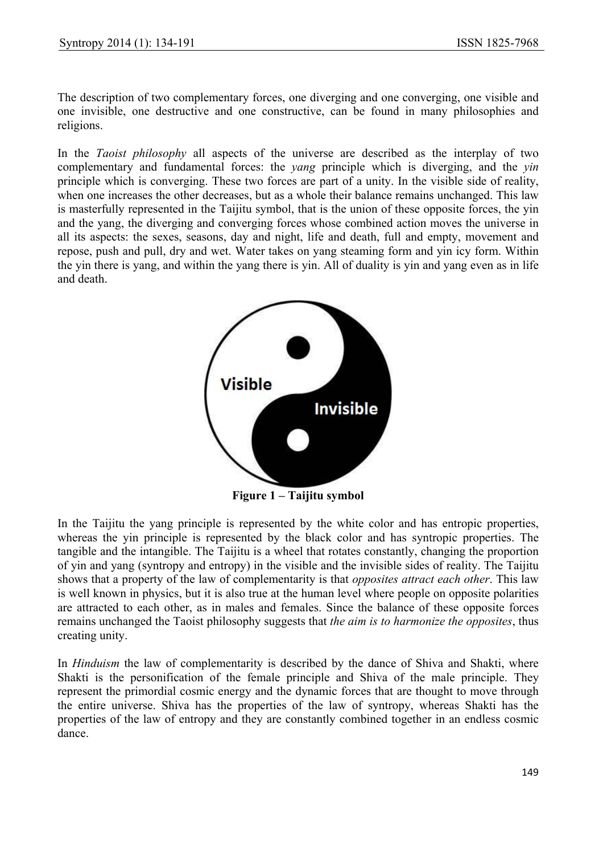The description of two complementary forces, one diverging and one converging, one visible and one invisible, one destructive and one constructive, can be found in many philosophies and religions.

In the *Taoist philosophy* all aspects of the universe are described as the interplay of two complementary and fundamental forces: the *yang* principle which is diverging, and the *yin* principle which is converging. These two forces are part of a unity. In the visible side of reality, when one increases the other decreases, but as a whole their balance remains unchanged. This law is masterfully represented in the Taijitu symbol, that is the union of these opposite forces, the yin and the yang, the diverging and converging forces whose combined action moves the universe in all its aspects: the sexes, seasons, day and night, life and death, full and empty, movement and repose, push and pull, dry and wet. Water takes on yang steaming form and yin icy form. Within the yin there is yang, and within the yang there is yin. All of duality is yin and yang even as in life and death.



**Figure 1 – Taijitu symbol** 

In the Taijitu the yang principle is represented by the white color and has entropic properties, whereas the yin principle is represented by the black color and has syntropic properties. The tangible and the intangible. The Taijitu is a wheel that rotates constantly, changing the proportion of yin and yang (syntropy and entropy) in the visible and the invisible sides of reality. The Taijitu shows that a property of the law of complementarity is that *opposites attract each other*. This law is well known in physics, but it is also true at the human level where people on opposite polarities are attracted to each other, as in males and females. Since the balance of these opposite forces remains unchanged the Taoist philosophy suggests that *the aim is to harmonize the opposites*, thus creating unity.

In *Hinduism* the law of complementarity is described by the dance of Shiva and Shakti, where Shakti is the personification of the female principle and Shiva of the male principle. They represent the primordial cosmic energy and the dynamic forces that are thought to move through the entire universe. Shiva has the properties of the law of syntropy, whereas Shakti has the properties of the law of entropy and they are constantly combined together in an endless cosmic dance.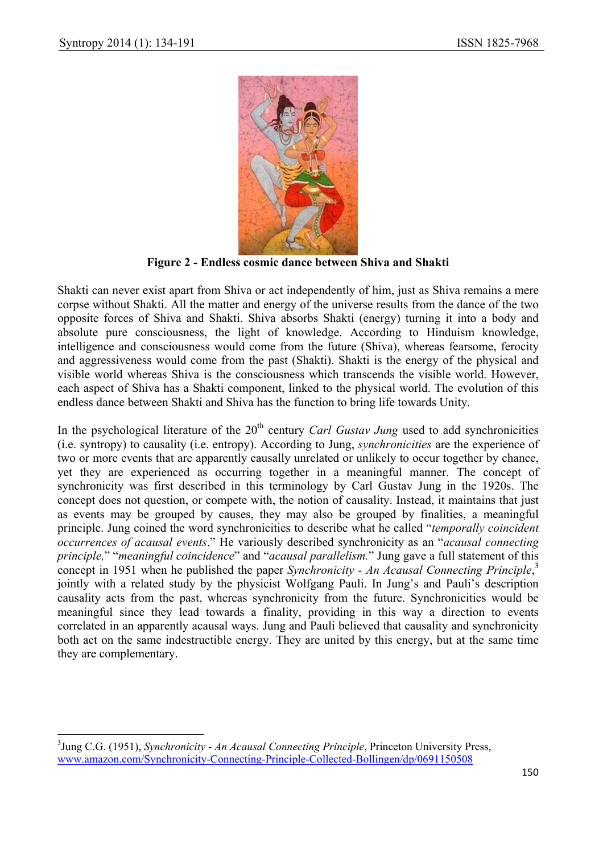$\overline{\phantom{a}}$ 



**Figure 2 - Endless cosmic dance between Shiva and Shakti** 

Shakti can never exist apart from Shiva or act independently of him, just as Shiva remains a mere corpse without Shakti. All the matter and energy of the universe results from the dance of the two opposite forces of Shiva and Shakti. Shiva absorbs Shakti (energy) turning it into a body and absolute pure consciousness, the light of knowledge. According to Hinduism knowledge, intelligence and consciousness would come from the future (Shiva), whereas fearsome, ferocity and aggressiveness would come from the past (Shakti). Shakti is the energy of the physical and visible world whereas Shiva is the consciousness which transcends the visible world. However, each aspect of Shiva has a Shakti component, linked to the physical world. The evolution of this endless dance between Shakti and Shiva has the function to bring life towards Unity.

In the psychological literature of the 20<sup>th</sup> century *Carl Gustav Jung* used to add synchronicities (i.e. syntropy) to causality (i.e. entropy). According to Jung, *synchronicities* are the experience of two or more events that are apparently causally unrelated or unlikely to occur together by chance, yet they are experienced as occurring together in a meaningful manner. The concept of synchronicity was first described in this terminology by Carl Gustav Jung in the 1920s. The concept does not question, or compete with, the notion of causality. Instead, it maintains that just as events may be grouped by causes, they may also be grouped by finalities, a meaningful principle. Jung coined the word synchronicities to describe what he called "*temporally coincident occurrences of acausal events*." He variously described synchronicity as an "*acausal connecting principle,*" "*meaningful coincidence*" and "*acausal parallelism.*" Jung gave a full statement of this concept in 1951 when he published the paper *Synchronicity - An Acausal Connecting Principle*, 3 jointly with a related study by the physicist Wolfgang Pauli. In Jung's and Pauli's description causality acts from the past, whereas synchronicity from the future. Synchronicities would be meaningful since they lead towards a finality, providing in this way a direction to events correlated in an apparently acausal ways. Jung and Pauli believed that causality and synchronicity both act on the same indestructible energy. They are united by this energy, but at the same time they are complementary.

<sup>&</sup>lt;sup>3</sup> Jung C.G. (1951), *Synchronicity - An Acausal Connecting Principle*, Princeton University Press, www.amazon.com/Synchronicity-Connecting-Principle-Collected-Bollingen/dp/0691150508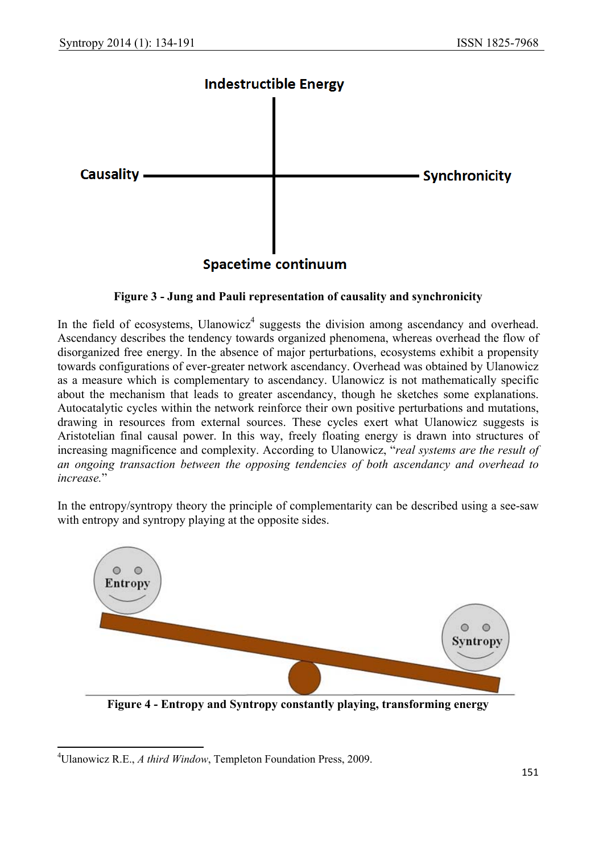

# **Figure 3 - Jung and Pauli representation of causality and synchronicity**

In the field of ecosystems, Ulanowicz<sup>4</sup> suggests the division among ascendancy and overhead. Ascendancy describes the tendency towards organized phenomena, whereas overhead the flow of disorganized free energy. In the absence of major perturbations, ecosystems exhibit a propensity towards configurations of ever-greater network ascendancy. Overhead was obtained by Ulanowicz as a measure which is complementary to ascendancy. Ulanowicz is not mathematically specific about the mechanism that leads to greater ascendancy, though he sketches some explanations. Autocatalytic cycles within the network reinforce their own positive perturbations and mutations, drawing in resources from external sources. These cycles exert what Ulanowicz suggests is Aristotelian final causal power. In this way, freely floating energy is drawn into structures of increasing magnificence and complexity. According to Ulanowicz, "*real systems are the result of an ongoing transaction between the opposing tendencies of both ascendancy and overhead to increase.*"

In the entropy/syntropy theory the principle of complementarity can be described using a see-saw with entropy and syntropy playing at the opposite sides.



**Figure 4 - Entropy and Syntropy constantly playing, transforming energy** 

 $\overline{a}$ 4 Ulanowicz R.E., *A third Window*, Templeton Foundation Press, 2009.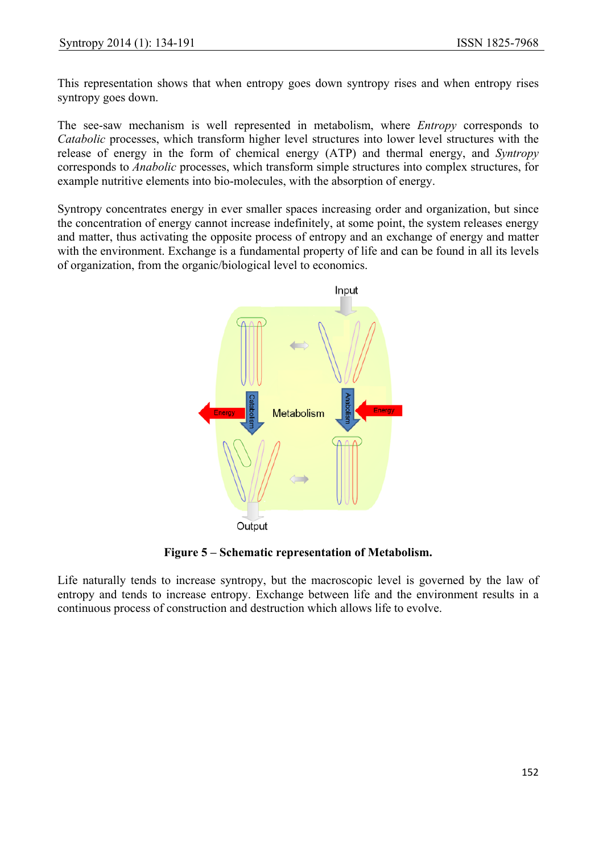This representation shows that when entropy goes down syntropy rises and when entropy rises syntropy goes down.

The see-saw mechanism is well represented in metabolism, where *Entropy* corresponds to *Catabolic* processes, which transform higher level structures into lower level structures with the release of energy in the form of chemical energy (ATP) and thermal energy, and *Syntropy*  corresponds to *Anabolic* processes, which transform simple structures into complex structures, for example nutritive elements into bio-molecules, with the absorption of energy.

Syntropy concentrates energy in ever smaller spaces increasing order and organization, but since the concentration of energy cannot increase indefinitely, at some point, the system releases energy and matter, thus activating the opposite process of entropy and an exchange of energy and matter with the environment. Exchange is a fundamental property of life and can be found in all its levels of organization, from the organic/biological level to economics.



**Figure 5 – Schematic representation of Metabolism.** 

Life naturally tends to increase syntropy, but the macroscopic level is governed by the law of entropy and tends to increase entropy. Exchange between life and the environment results in a continuous process of construction and destruction which allows life to evolve.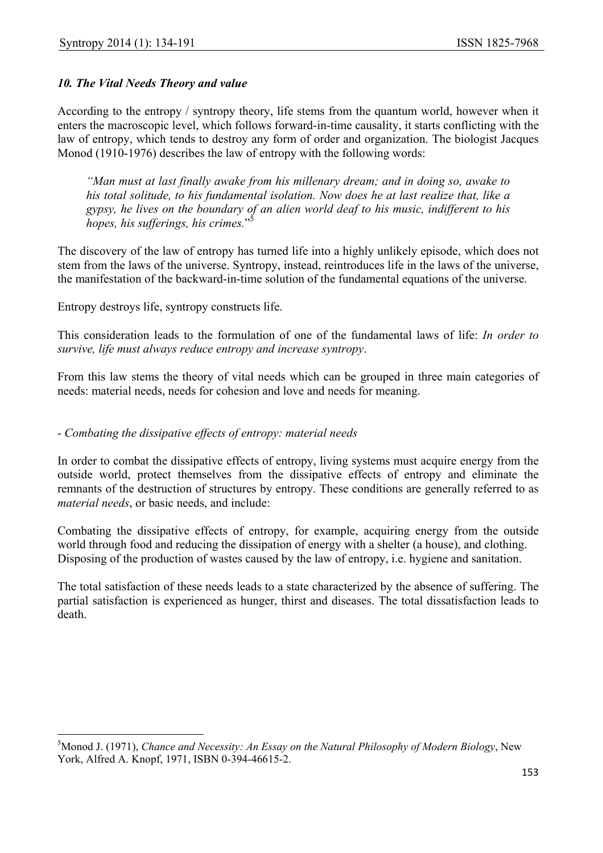# *10. The Vital Needs Theory and value*

According to the entropy / syntropy theory, life stems from the quantum world, however when it enters the macroscopic level, which follows forward-in-time causality, it starts conflicting with the law of entropy, which tends to destroy any form of order and organization. The biologist Jacques Monod (1910-1976) describes the law of entropy with the following words:

*"Man must at last finally awake from his millenary dream; and in doing so, awake to his total solitude, to his fundamental isolation. Now does he at last realize that, like a gypsy, he lives on the boundary of an alien world deaf to his music, indifferent to his hopes, his sufferings, his crimes.*" 5

The discovery of the law of entropy has turned life into a highly unlikely episode, which does not stem from the laws of the universe. Syntropy, instead, reintroduces life in the laws of the universe, the manifestation of the backward-in-time solution of the fundamental equations of the universe.

Entropy destroys life, syntropy constructs life.

 $\overline{\phantom{a}}$ 

This consideration leads to the formulation of one of the fundamental laws of life: *In order to survive, life must always reduce entropy and increase syntropy*.

From this law stems the theory of vital needs which can be grouped in three main categories of needs: material needs, needs for cohesion and love and needs for meaning.

### *- Combating the dissipative effects of entropy: material needs*

In order to combat the dissipative effects of entropy, living systems must acquire energy from the outside world, protect themselves from the dissipative effects of entropy and eliminate the remnants of the destruction of structures by entropy. These conditions are generally referred to as *material needs*, or basic needs, and include:

Combating the dissipative effects of entropy, for example, acquiring energy from the outside world through food and reducing the dissipation of energy with a shelter (a house), and clothing. Disposing of the production of wastes caused by the law of entropy, i.e. hygiene and sanitation.

The total satisfaction of these needs leads to a state characterized by the absence of suffering. The partial satisfaction is experienced as hunger, thirst and diseases. The total dissatisfaction leads to death.

<sup>5</sup> Monod J. (1971), *Chance and Necessity: An Essay on the Natural Philosophy of Modern Biology*, New York, Alfred A. Knopf, 1971, ISBN 0-394-46615-2.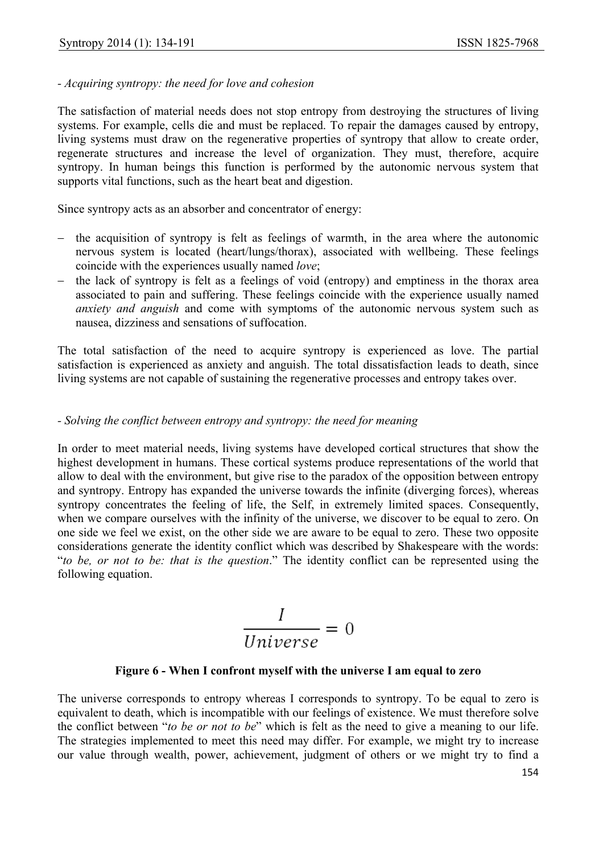*- Acquiring syntropy: the need for love and cohesion* 

The satisfaction of material needs does not stop entropy from destroying the structures of living systems. For example, cells die and must be replaced. To repair the damages caused by entropy, living systems must draw on the regenerative properties of syntropy that allow to create order, regenerate structures and increase the level of organization. They must, therefore, acquire syntropy. In human beings this function is performed by the autonomic nervous system that supports vital functions, such as the heart beat and digestion.

Since syntropy acts as an absorber and concentrator of energy:

- − the acquisition of syntropy is felt as feelings of warmth, in the area where the autonomic nervous system is located (heart/lungs/thorax), associated with wellbeing. These feelings coincide with the experiences usually named *love*;
- − the lack of syntropy is felt as a feelings of void (entropy) and emptiness in the thorax area associated to pain and suffering. These feelings coincide with the experience usually named *anxiety and anguish* and come with symptoms of the autonomic nervous system such as nausea, dizziness and sensations of suffocation.

The total satisfaction of the need to acquire syntropy is experienced as love. The partial satisfaction is experienced as anxiety and anguish. The total dissatisfaction leads to death, since living systems are not capable of sustaining the regenerative processes and entropy takes over.

### *- Solving the conflict between entropy and syntropy: the need for meaning*

In order to meet material needs, living systems have developed cortical structures that show the highest development in humans. These cortical systems produce representations of the world that allow to deal with the environment, but give rise to the paradox of the opposition between entropy and syntropy. Entropy has expanded the universe towards the infinite (diverging forces), whereas syntropy concentrates the feeling of life, the Self, in extremely limited spaces. Consequently, when we compare ourselves with the infinity of the universe, we discover to be equal to zero. On one side we feel we exist, on the other side we are aware to be equal to zero. These two opposite considerations generate the identity conflict which was described by Shakespeare with the words: "*to be, or not to be: that is the question*." The identity conflict can be represented using the following equation.

$$
\frac{I}{Universe} = 0
$$

# **Figure 6 - When I confront myself with the universe I am equal to zero**

The universe corresponds to entropy whereas I corresponds to syntropy. To be equal to zero is equivalent to death, which is incompatible with our feelings of existence. We must therefore solve the conflict between "*to be or not to be*" which is felt as the need to give a meaning to our life. The strategies implemented to meet this need may differ. For example, we might try to increase our value through wealth, power, achievement, judgment of others or we might try to find a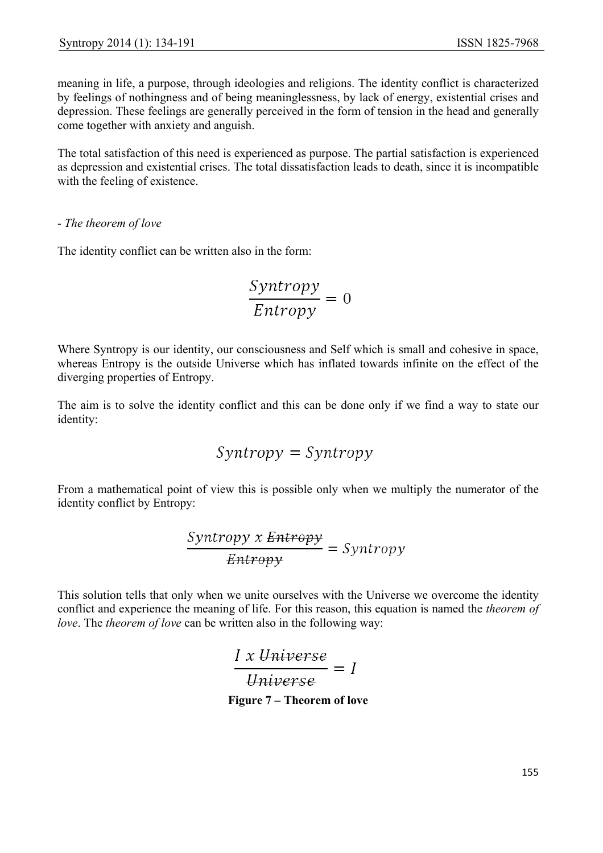meaning in life, a purpose, through ideologies and religions. The identity conflict is characterized by feelings of nothingness and of being meaninglessness, by lack of energy, existential crises and depression. These feelings are generally perceived in the form of tension in the head and generally come together with anxiety and anguish.

The total satisfaction of this need is experienced as purpose. The partial satisfaction is experienced as depression and existential crises. The total dissatisfaction leads to death, since it is incompatible with the feeling of existence.

*- The theorem of love* 

The identity conflict can be written also in the form:

$$
\frac{Syntropy}{Entropy} = 0
$$

Where Syntropy is our identity, our consciousness and Self which is small and cohesive in space, whereas Entropy is the outside Universe which has inflated towards infinite on the effect of the diverging properties of Entropy.

The aim is to solve the identity conflict and this can be done only if we find a way to state our identity:

$$
Syntropy = Syntropy
$$

From a mathematical point of view this is possible only when we multiply the numerator of the identity conflict by Entropy:

$$
\frac{Syntropy \ x \ Entropy}{Entropy} = Syntropy
$$

This solution tells that only when we unite ourselves with the Universe we overcome the identity conflict and experience the meaning of life. For this reason, this equation is named the *theorem of love*. The *theorem of love* can be written also in the following way:

$$
\frac{I \times Universe}{Universe} = I
$$

**Figure 7 – Theorem of love**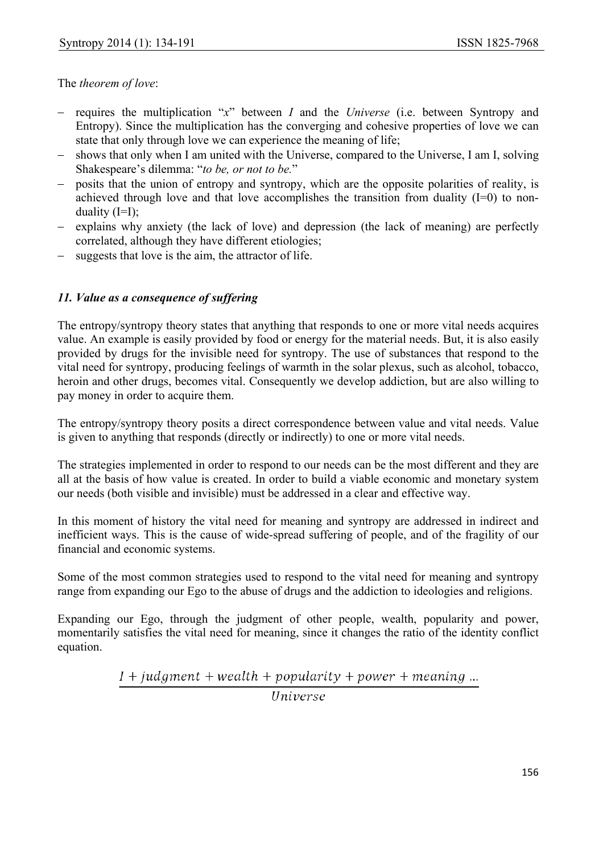The *theorem of love*:

- − requires the multiplication "*x*" between *I* and the *Universe* (i.e. between Syntropy and Entropy). Since the multiplication has the converging and cohesive properties of love we can state that only through love we can experience the meaning of life;
- shows that only when I am united with the Universe, compared to the Universe, I am I, solving Shakespeare's dilemma: "*to be, or not to be.*"
- − posits that the union of entropy and syntropy, which are the opposite polarities of reality, is achieved through love and that love accomplishes the transition from duality  $(I=0)$  to nonduality  $(I=I)$ ;
- − explains why anxiety (the lack of love) and depression (the lack of meaning) are perfectly correlated, although they have different etiologies;
- − suggests that love is the aim, the attractor of life.

# *11. Value as a consequence of suffering*

The entropy/syntropy theory states that anything that responds to one or more vital needs acquires value. An example is easily provided by food or energy for the material needs. But, it is also easily provided by drugs for the invisible need for syntropy. The use of substances that respond to the vital need for syntropy, producing feelings of warmth in the solar plexus, such as alcohol, tobacco, heroin and other drugs, becomes vital. Consequently we develop addiction, but are also willing to pay money in order to acquire them.

The entropy/syntropy theory posits a direct correspondence between value and vital needs. Value is given to anything that responds (directly or indirectly) to one or more vital needs.

The strategies implemented in order to respond to our needs can be the most different and they are all at the basis of how value is created. In order to build a viable economic and monetary system our needs (both visible and invisible) must be addressed in a clear and effective way.

In this moment of history the vital need for meaning and syntropy are addressed in indirect and inefficient ways. This is the cause of wide-spread suffering of people, and of the fragility of our financial and economic systems.

Some of the most common strategies used to respond to the vital need for meaning and syntropy range from expanding our Ego to the abuse of drugs and the addiction to ideologies and religions.

Expanding our Ego, through the judgment of other people, wealth, popularity and power, momentarily satisfies the vital need for meaning, since it changes the ratio of the identity conflict equation.

> $I + judgment + wealth + popularity + power + meaning ...$ *<u>Universe</u>*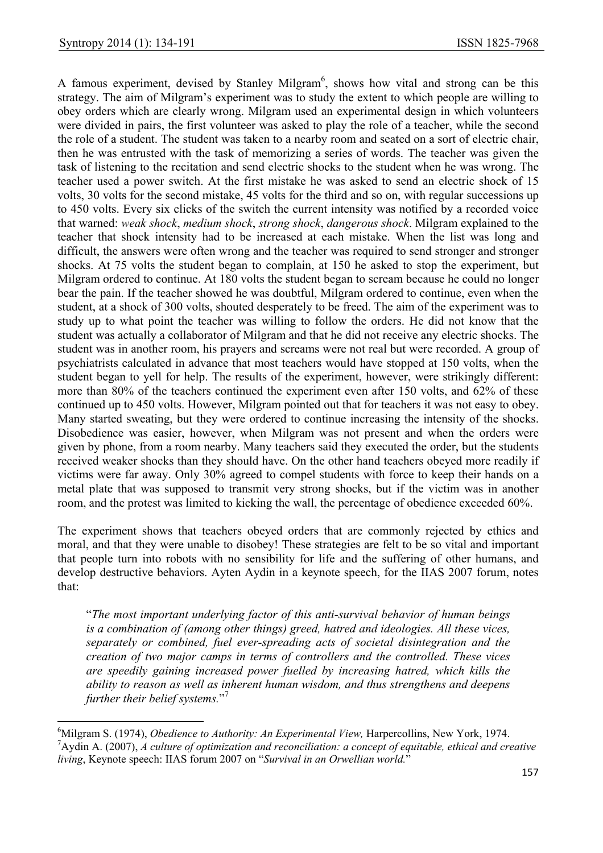$\overline{\phantom{a}}$ 

A famous experiment, devised by Stanley Milgram<sup>6</sup>, shows how vital and strong can be this strategy. The aim of Milgram's experiment was to study the extent to which people are willing to obey orders which are clearly wrong. Milgram used an experimental design in which volunteers were divided in pairs, the first volunteer was asked to play the role of a teacher, while the second the role of a student. The student was taken to a nearby room and seated on a sort of electric chair, then he was entrusted with the task of memorizing a series of words. The teacher was given the task of listening to the recitation and send electric shocks to the student when he was wrong. The teacher used a power switch. At the first mistake he was asked to send an electric shock of 15 volts, 30 volts for the second mistake, 45 volts for the third and so on, with regular successions up to 450 volts. Every six clicks of the switch the current intensity was notified by a recorded voice that warned: *weak shock*, *medium shock*, *strong shock*, *dangerous shock*. Milgram explained to the teacher that shock intensity had to be increased at each mistake. When the list was long and difficult, the answers were often wrong and the teacher was required to send stronger and stronger shocks. At 75 volts the student began to complain, at 150 he asked to stop the experiment, but Milgram ordered to continue. At 180 volts the student began to scream because he could no longer bear the pain. If the teacher showed he was doubtful, Milgram ordered to continue, even when the student, at a shock of 300 volts, shouted desperately to be freed. The aim of the experiment was to study up to what point the teacher was willing to follow the orders. He did not know that the student was actually a collaborator of Milgram and that he did not receive any electric shocks. The student was in another room, his prayers and screams were not real but were recorded. A group of psychiatrists calculated in advance that most teachers would have stopped at 150 volts, when the student began to yell for help. The results of the experiment, however, were strikingly different: more than 80% of the teachers continued the experiment even after 150 volts, and 62% of these continued up to 450 volts. However, Milgram pointed out that for teachers it was not easy to obey. Many started sweating, but they were ordered to continue increasing the intensity of the shocks. Disobedience was easier, however, when Milgram was not present and when the orders were given by phone, from a room nearby. Many teachers said they executed the order, but the students received weaker shocks than they should have. On the other hand teachers obeyed more readily if victims were far away. Only 30% agreed to compel students with force to keep their hands on a metal plate that was supposed to transmit very strong shocks, but if the victim was in another room, and the protest was limited to kicking the wall, the percentage of obedience exceeded 60%.

The experiment shows that teachers obeyed orders that are commonly rejected by ethics and moral, and that they were unable to disobey! These strategies are felt to be so vital and important that people turn into robots with no sensibility for life and the suffering of other humans, and develop destructive behaviors. Ayten Aydin in a keynote speech, for the IIAS 2007 forum, notes that:

"*The most important underlying factor of this anti-survival behavior of human beings is a combination of (among other things) greed, hatred and ideologies. All these vices, separately or combined, fuel ever-spreading acts of societal disintegration and the creation of two major camps in terms of controllers and the controlled. These vices are speedily gaining increased power fuelled by increasing hatred, which kills the ability to reason as well as inherent human wisdom, and thus strengthens and deepens further their belief systems.*" 7

<sup>&</sup>lt;sup>6</sup>Milgram S. (1974), *Obedience to Authority: An Experimental View*, Harpercollins, New York, 1974. 7 Aydin A. (2007), *A culture of optimization and reconciliation: a concept of equitable, ethical and creative living*, Keynote speech: IIAS forum 2007 on "*Survival in an Orwellian world.*"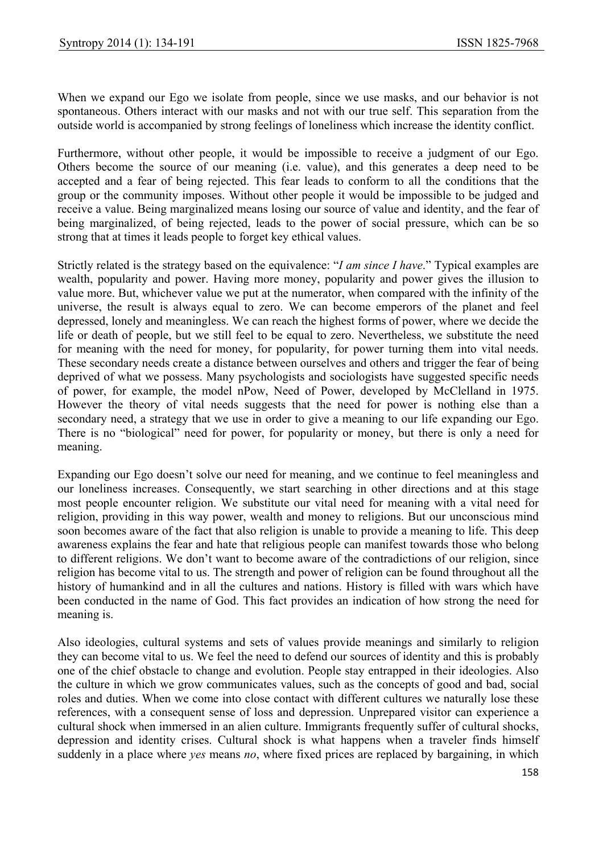When we expand our Ego we isolate from people, since we use masks, and our behavior is not spontaneous. Others interact with our masks and not with our true self. This separation from the outside world is accompanied by strong feelings of loneliness which increase the identity conflict.

Furthermore, without other people, it would be impossible to receive a judgment of our Ego. Others become the source of our meaning (i.e. value), and this generates a deep need to be accepted and a fear of being rejected. This fear leads to conform to all the conditions that the group or the community imposes. Without other people it would be impossible to be judged and receive a value. Being marginalized means losing our source of value and identity, and the fear of being marginalized, of being rejected, leads to the power of social pressure, which can be so strong that at times it leads people to forget key ethical values.

Strictly related is the strategy based on the equivalence: "*I am since I have*." Typical examples are wealth, popularity and power. Having more money, popularity and power gives the illusion to value more. But, whichever value we put at the numerator, when compared with the infinity of the universe, the result is always equal to zero. We can become emperors of the planet and feel depressed, lonely and meaningless. We can reach the highest forms of power, where we decide the life or death of people, but we still feel to be equal to zero. Nevertheless, we substitute the need for meaning with the need for money, for popularity, for power turning them into vital needs. These secondary needs create a distance between ourselves and others and trigger the fear of being deprived of what we possess. Many psychologists and sociologists have suggested specific needs of power, for example, the model nPow, Need of Power, developed by McClelland in 1975. However the theory of vital needs suggests that the need for power is nothing else than a secondary need, a strategy that we use in order to give a meaning to our life expanding our Ego. There is no "biological" need for power, for popularity or money, but there is only a need for meaning.

Expanding our Ego doesn't solve our need for meaning, and we continue to feel meaningless and our loneliness increases. Consequently, we start searching in other directions and at this stage most people encounter religion. We substitute our vital need for meaning with a vital need for religion, providing in this way power, wealth and money to religions. But our unconscious mind soon becomes aware of the fact that also religion is unable to provide a meaning to life. This deep awareness explains the fear and hate that religious people can manifest towards those who belong to different religions. We don't want to become aware of the contradictions of our religion, since religion has become vital to us. The strength and power of religion can be found throughout all the history of humankind and in all the cultures and nations. History is filled with wars which have been conducted in the name of God. This fact provides an indication of how strong the need for meaning is.

Also ideologies, cultural systems and sets of values provide meanings and similarly to religion they can become vital to us. We feel the need to defend our sources of identity and this is probably one of the chief obstacle to change and evolution. People stay entrapped in their ideologies. Also the culture in which we grow communicates values, such as the concepts of good and bad, social roles and duties. When we come into close contact with different cultures we naturally lose these references, with a consequent sense of loss and depression. Unprepared visitor can experience a cultural shock when immersed in an alien culture. Immigrants frequently suffer of cultural shocks, depression and identity crises. Cultural shock is what happens when a traveler finds himself suddenly in a place where *yes* means *no*, where fixed prices are replaced by bargaining, in which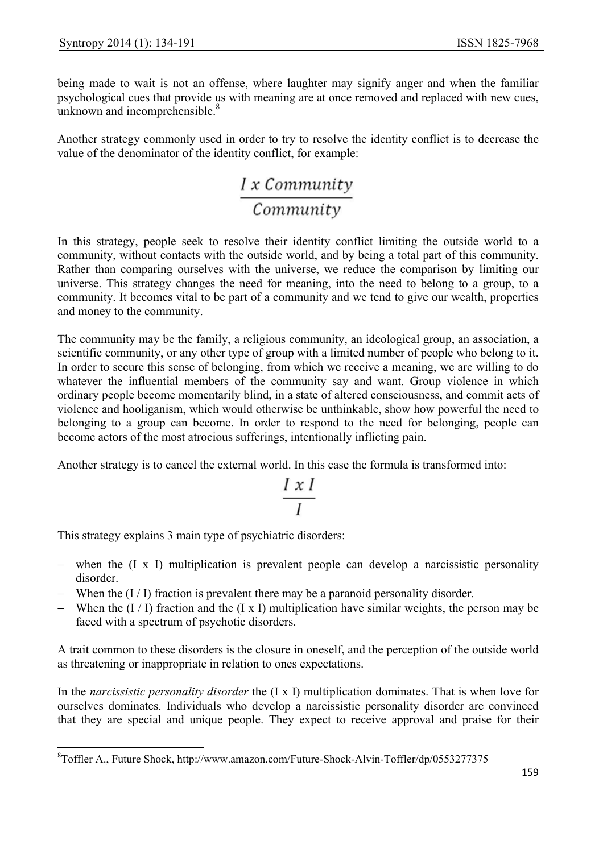being made to wait is not an offense, where laughter may signify anger and when the familiar psychological cues that provide us with meaning are at once removed and replaced with new cues, unknown and incomprehensible.<sup>8</sup>

Another strategy commonly used in order to try to resolve the identity conflict is to decrease the value of the denominator of the identity conflict, for example:

# $\frac{I x \, Community}{Commuty}$

In this strategy, people seek to resolve their identity conflict limiting the outside world to a community, without contacts with the outside world, and by being a total part of this community. Rather than comparing ourselves with the universe, we reduce the comparison by limiting our universe. This strategy changes the need for meaning, into the need to belong to a group, to a community. It becomes vital to be part of a community and we tend to give our wealth, properties and money to the community.

The community may be the family, a religious community, an ideological group, an association, a scientific community, or any other type of group with a limited number of people who belong to it. In order to secure this sense of belonging, from which we receive a meaning, we are willing to do whatever the influential members of the community say and want. Group violence in which ordinary people become momentarily blind, in a state of altered consciousness, and commit acts of violence and hooliganism, which would otherwise be unthinkable, show how powerful the need to belonging to a group can become. In order to respond to the need for belonging, people can become actors of the most atrocious sufferings, intentionally inflicting pain.

Another strategy is to cancel the external world. In this case the formula is transformed into:

$$
\frac{I\times I}{I}
$$

This strategy explains 3 main type of psychiatric disorders:

 $\overline{a}$ 

- − when the (I x I) multiplication is prevalent people can develop a narcissistic personality disorder.
- − When the (I / I) fraction is prevalent there may be a paranoid personality disorder.
- − When the (I / I) fraction and the (I x I) multiplication have similar weights, the person may be faced with a spectrum of psychotic disorders.

A trait common to these disorders is the closure in oneself, and the perception of the outside world as threatening or inappropriate in relation to ones expectations.

In the *narcissistic personality disorder* the (I x I) multiplication dominates. That is when love for ourselves dominates. Individuals who develop a narcissistic personality disorder are convinced that they are special and unique people. They expect to receive approval and praise for their

<sup>8</sup> Toffler A., Future Shock, http://www.amazon.com/Future-Shock-Alvin-Toffler/dp/0553277375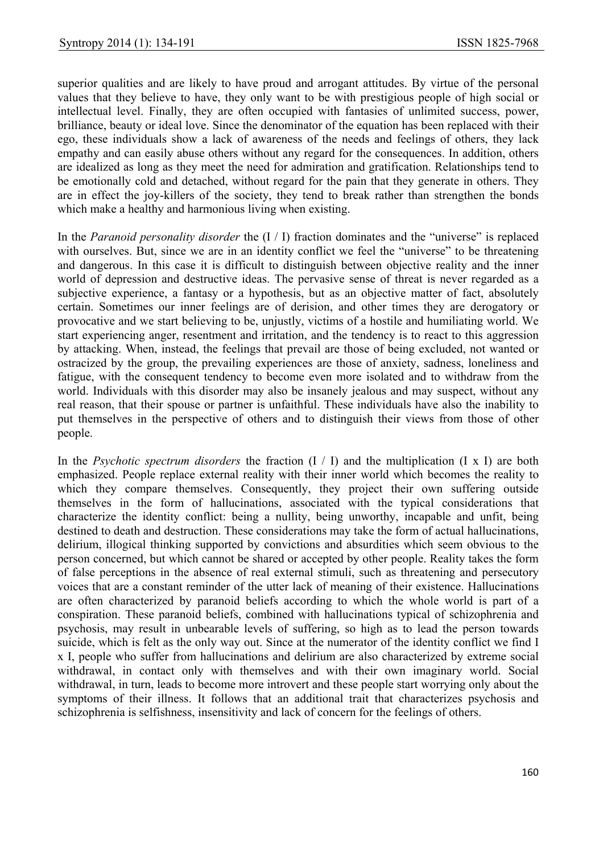superior qualities and are likely to have proud and arrogant attitudes. By virtue of the personal values that they believe to have, they only want to be with prestigious people of high social or intellectual level. Finally, they are often occupied with fantasies of unlimited success, power, brilliance, beauty or ideal love. Since the denominator of the equation has been replaced with their ego, these individuals show a lack of awareness of the needs and feelings of others, they lack empathy and can easily abuse others without any regard for the consequences. In addition, others are idealized as long as they meet the need for admiration and gratification. Relationships tend to be emotionally cold and detached, without regard for the pain that they generate in others. They are in effect the joy-killers of the society, they tend to break rather than strengthen the bonds which make a healthy and harmonious living when existing.

In the *Paranoid personality disorder* the  $(I / I)$  fraction dominates and the "universe" is replaced with ourselves. But, since we are in an identity conflict we feel the "universe" to be threatening and dangerous. In this case it is difficult to distinguish between objective reality and the inner world of depression and destructive ideas. The pervasive sense of threat is never regarded as a subjective experience, a fantasy or a hypothesis, but as an objective matter of fact, absolutely certain. Sometimes our inner feelings are of derision, and other times they are derogatory or provocative and we start believing to be, unjustly, victims of a hostile and humiliating world. We start experiencing anger, resentment and irritation, and the tendency is to react to this aggression by attacking. When, instead, the feelings that prevail are those of being excluded, not wanted or ostracized by the group, the prevailing experiences are those of anxiety, sadness, loneliness and fatigue, with the consequent tendency to become even more isolated and to withdraw from the world. Individuals with this disorder may also be insanely jealous and may suspect, without any real reason, that their spouse or partner is unfaithful. These individuals have also the inability to put themselves in the perspective of others and to distinguish their views from those of other people.

In the *Psychotic spectrum disorders* the fraction (I / I) and the multiplication (I x I) are both emphasized. People replace external reality with their inner world which becomes the reality to which they compare themselves. Consequently, they project their own suffering outside themselves in the form of hallucinations, associated with the typical considerations that characterize the identity conflict: being a nullity, being unworthy, incapable and unfit, being destined to death and destruction. These considerations may take the form of actual hallucinations, delirium, illogical thinking supported by convictions and absurdities which seem obvious to the person concerned, but which cannot be shared or accepted by other people. Reality takes the form of false perceptions in the absence of real external stimuli, such as threatening and persecutory voices that are a constant reminder of the utter lack of meaning of their existence. Hallucinations are often characterized by paranoid beliefs according to which the whole world is part of a conspiration. These paranoid beliefs, combined with hallucinations typical of schizophrenia and psychosis, may result in unbearable levels of suffering, so high as to lead the person towards suicide, which is felt as the only way out. Since at the numerator of the identity conflict we find I x I, people who suffer from hallucinations and delirium are also characterized by extreme social withdrawal, in contact only with themselves and with their own imaginary world. Social withdrawal, in turn, leads to become more introvert and these people start worrying only about the symptoms of their illness. It follows that an additional trait that characterizes psychosis and schizophrenia is selfishness, insensitivity and lack of concern for the feelings of others.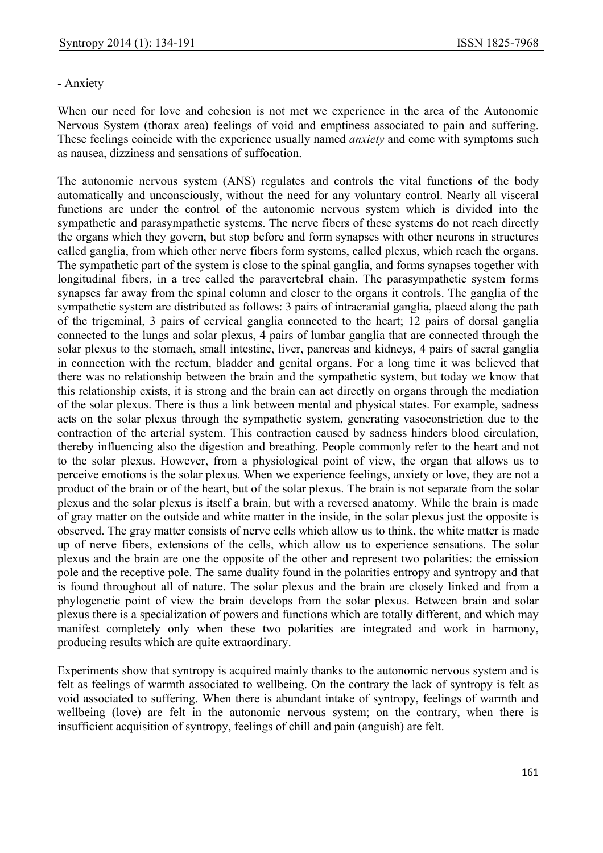### - Anxiety

When our need for love and cohesion is not met we experience in the area of the Autonomic Nervous System (thorax area) feelings of void and emptiness associated to pain and suffering. These feelings coincide with the experience usually named *anxiety* and come with symptoms such as nausea, dizziness and sensations of suffocation.

The autonomic nervous system (ANS) regulates and controls the vital functions of the body automatically and unconsciously, without the need for any voluntary control. Nearly all visceral functions are under the control of the autonomic nervous system which is divided into the sympathetic and parasympathetic systems. The nerve fibers of these systems do not reach directly the organs which they govern, but stop before and form synapses with other neurons in structures called ganglia, from which other nerve fibers form systems, called plexus, which reach the organs. The sympathetic part of the system is close to the spinal ganglia, and forms synapses together with longitudinal fibers, in a tree called the paravertebral chain. The parasympathetic system forms synapses far away from the spinal column and closer to the organs it controls. The ganglia of the sympathetic system are distributed as follows: 3 pairs of intracranial ganglia, placed along the path of the trigeminal, 3 pairs of cervical ganglia connected to the heart; 12 pairs of dorsal ganglia connected to the lungs and solar plexus, 4 pairs of lumbar ganglia that are connected through the solar plexus to the stomach, small intestine, liver, pancreas and kidneys, 4 pairs of sacral ganglia in connection with the rectum, bladder and genital organs. For a long time it was believed that there was no relationship between the brain and the sympathetic system, but today we know that this relationship exists, it is strong and the brain can act directly on organs through the mediation of the solar plexus. There is thus a link between mental and physical states. For example, sadness acts on the solar plexus through the sympathetic system, generating vasoconstriction due to the contraction of the arterial system. This contraction caused by sadness hinders blood circulation, thereby influencing also the digestion and breathing. People commonly refer to the heart and not to the solar plexus. However, from a physiological point of view, the organ that allows us to perceive emotions is the solar plexus. When we experience feelings, anxiety or love, they are not a product of the brain or of the heart, but of the solar plexus. The brain is not separate from the solar plexus and the solar plexus is itself a brain, but with a reversed anatomy. While the brain is made of gray matter on the outside and white matter in the inside, in the solar plexus just the opposite is observed. The gray matter consists of nerve cells which allow us to think, the white matter is made up of nerve fibers, extensions of the cells, which allow us to experience sensations. The solar plexus and the brain are one the opposite of the other and represent two polarities: the emission pole and the receptive pole. The same duality found in the polarities entropy and syntropy and that is found throughout all of nature. The solar plexus and the brain are closely linked and from a phylogenetic point of view the brain develops from the solar plexus. Between brain and solar plexus there is a specialization of powers and functions which are totally different, and which may manifest completely only when these two polarities are integrated and work in harmony, producing results which are quite extraordinary.

Experiments show that syntropy is acquired mainly thanks to the autonomic nervous system and is felt as feelings of warmth associated to wellbeing. On the contrary the lack of syntropy is felt as void associated to suffering. When there is abundant intake of syntropy, feelings of warmth and wellbeing (love) are felt in the autonomic nervous system; on the contrary, when there is insufficient acquisition of syntropy, feelings of chill and pain (anguish) are felt.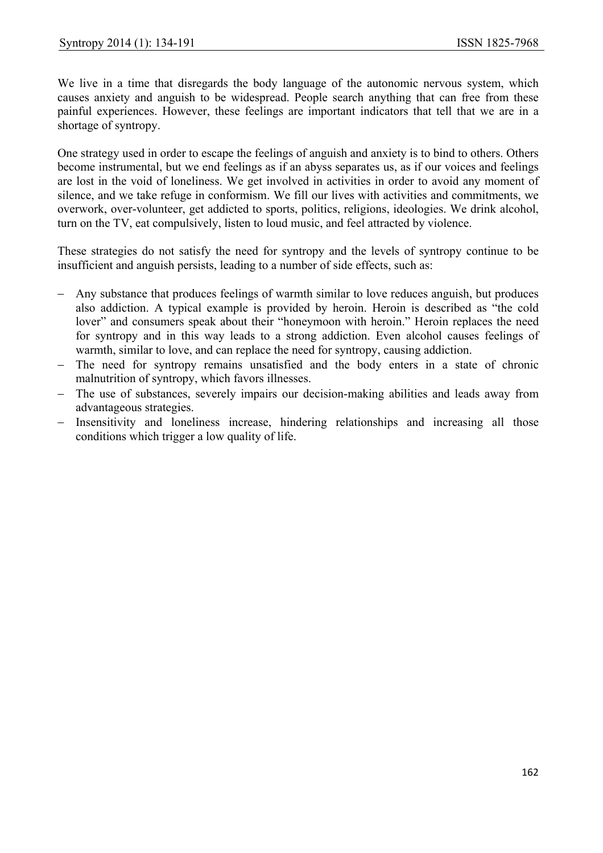We live in a time that disregards the body language of the autonomic nervous system, which causes anxiety and anguish to be widespread. People search anything that can free from these painful experiences. However, these feelings are important indicators that tell that we are in a shortage of syntropy.

One strategy used in order to escape the feelings of anguish and anxiety is to bind to others. Others become instrumental, but we end feelings as if an abyss separates us, as if our voices and feelings are lost in the void of loneliness. We get involved in activities in order to avoid any moment of silence, and we take refuge in conformism. We fill our lives with activities and commitments, we overwork, over-volunteer, get addicted to sports, politics, religions, ideologies. We drink alcohol, turn on the TV, eat compulsively, listen to loud music, and feel attracted by violence.

These strategies do not satisfy the need for syntropy and the levels of syntropy continue to be insufficient and anguish persists, leading to a number of side effects, such as:

- − Any substance that produces feelings of warmth similar to love reduces anguish, but produces also addiction. A typical example is provided by heroin. Heroin is described as "the cold lover" and consumers speak about their "honeymoon with heroin." Heroin replaces the need for syntropy and in this way leads to a strong addiction. Even alcohol causes feelings of warmth, similar to love, and can replace the need for syntropy, causing addiction.
- − The need for syntropy remains unsatisfied and the body enters in a state of chronic malnutrition of syntropy, which favors illnesses.
- − The use of substances, severely impairs our decision-making abilities and leads away from advantageous strategies.
- − Insensitivity and loneliness increase, hindering relationships and increasing all those conditions which trigger a low quality of life.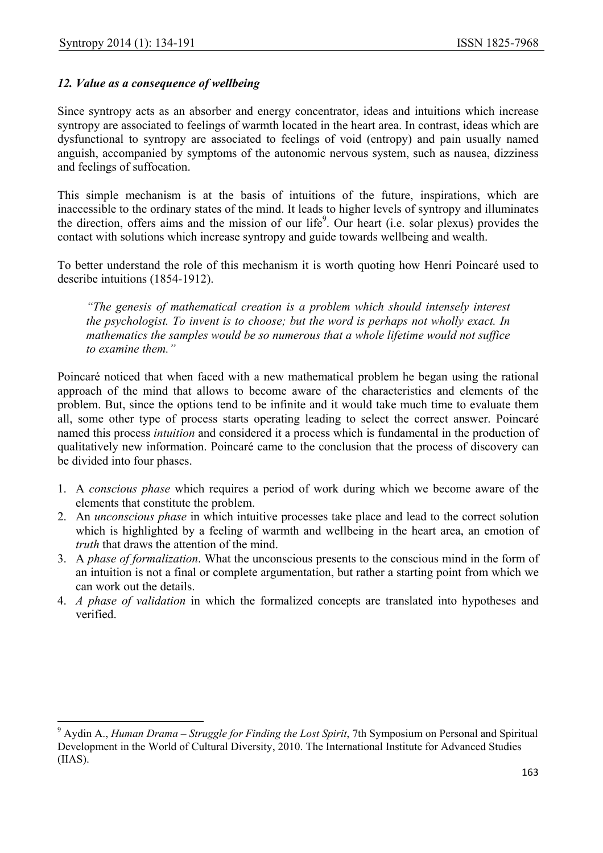# *12. Value as a consequence of wellbeing*

Since syntropy acts as an absorber and energy concentrator, ideas and intuitions which increase syntropy are associated to feelings of warmth located in the heart area. In contrast, ideas which are dysfunctional to syntropy are associated to feelings of void (entropy) and pain usually named anguish, accompanied by symptoms of the autonomic nervous system, such as nausea, dizziness and feelings of suffocation.

This simple mechanism is at the basis of intuitions of the future, inspirations, which are inaccessible to the ordinary states of the mind. It leads to higher levels of syntropy and illuminates the direction, offers aims and the mission of our life<sup>9</sup>. Our heart (i.e. solar plexus) provides the contact with solutions which increase syntropy and guide towards wellbeing and wealth.

To better understand the role of this mechanism it is worth quoting how Henri Poincaré used to describe intuitions (1854-1912).

*"The genesis of mathematical creation is a problem which should intensely interest the psychologist. To invent is to choose; but the word is perhaps not wholly exact. In mathematics the samples would be so numerous that a whole lifetime would not suffice to examine them."* 

Poincaré noticed that when faced with a new mathematical problem he began using the rational approach of the mind that allows to become aware of the characteristics and elements of the problem. But, since the options tend to be infinite and it would take much time to evaluate them all, some other type of process starts operating leading to select the correct answer. Poincaré named this process *intuition* and considered it a process which is fundamental in the production of qualitatively new information. Poincaré came to the conclusion that the process of discovery can be divided into four phases.

- 1. A *conscious phase* which requires a period of work during which we become aware of the elements that constitute the problem.
- 2. An *unconscious phase* in which intuitive processes take place and lead to the correct solution which is highlighted by a feeling of warmth and wellbeing in the heart area, an emotion of *truth* that draws the attention of the mind.
- 3. A *phase of formalization*. What the unconscious presents to the conscious mind in the form of an intuition is not a final or complete argumentation, but rather a starting point from which we can work out the details.
- 4. *A phase of validation* in which the formalized concepts are translated into hypotheses and verified.

 9 Aydin A., *Human Drama – Struggle for Finding the Lost Spirit*, 7th Symposium on Personal and Spiritual Development in the World of Cultural Diversity, 2010. The International Institute for Advanced Studies (IIAS).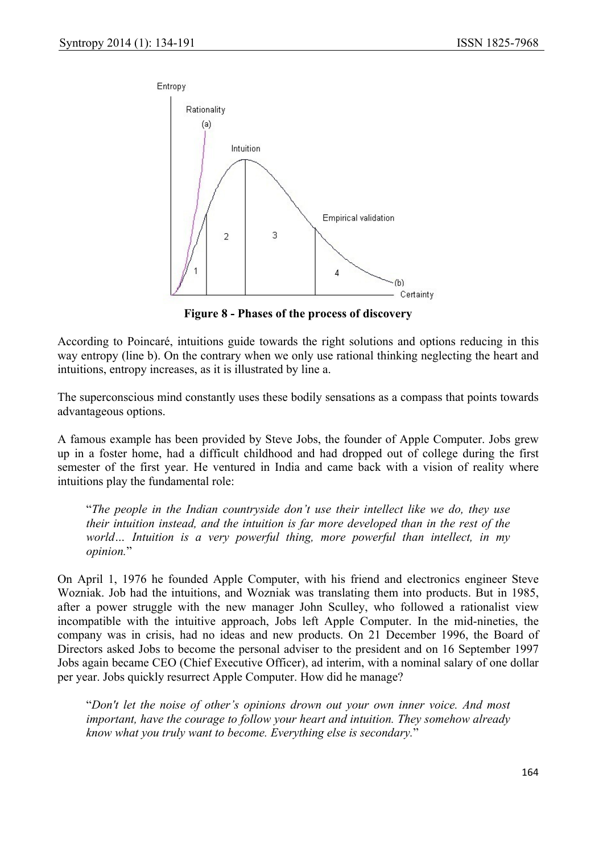

**Figure 8 - Phases of the process of discovery** 

According to Poincaré, intuitions guide towards the right solutions and options reducing in this way entropy (line b). On the contrary when we only use rational thinking neglecting the heart and intuitions, entropy increases, as it is illustrated by line a.

The superconscious mind constantly uses these bodily sensations as a compass that points towards advantageous options.

A famous example has been provided by Steve Jobs, the founder of Apple Computer. Jobs grew up in a foster home, had a difficult childhood and had dropped out of college during the first semester of the first year. He ventured in India and came back with a vision of reality where intuitions play the fundamental role:

"*The people in the Indian countryside don't use their intellect like we do, they use their intuition instead, and the intuition is far more developed than in the rest of the world… Intuition is a very powerful thing, more powerful than intellect, in my opinion.*"

On April 1, 1976 he founded Apple Computer, with his friend and electronics engineer Steve Wozniak. Job had the intuitions, and Wozniak was translating them into products. But in 1985, after a power struggle with the new manager John Sculley, who followed a rationalist view incompatible with the intuitive approach, Jobs left Apple Computer. In the mid-nineties, the company was in crisis, had no ideas and new products. On 21 December 1996, the Board of Directors asked Jobs to become the personal adviser to the president and on 16 September 1997 Jobs again became CEO (Chief Executive Officer), ad interim, with a nominal salary of one dollar per year. Jobs quickly resurrect Apple Computer. How did he manage?

"*Don't let the noise of other's opinions drown out your own inner voice. And most important, have the courage to follow your heart and intuition. They somehow already know what you truly want to become. Everything else is secondary.*"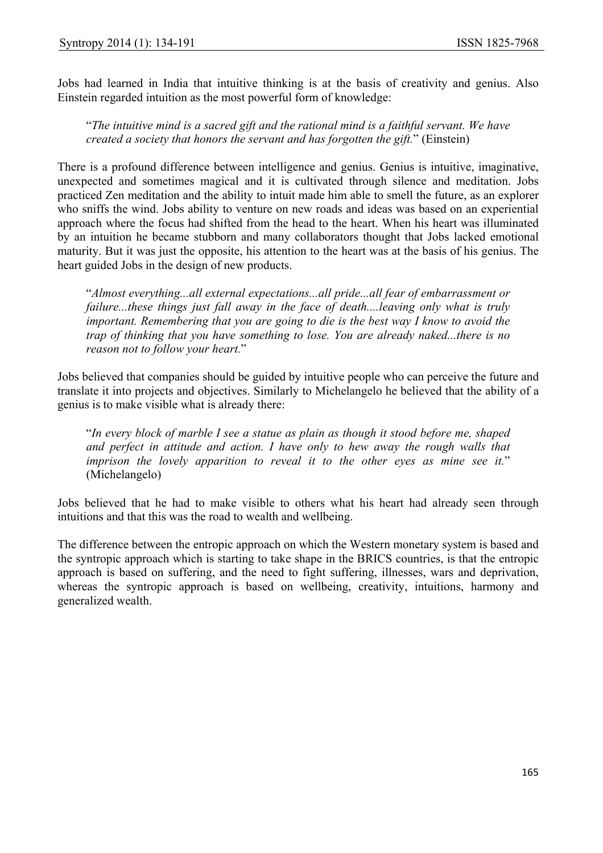Jobs had learned in India that intuitive thinking is at the basis of creativity and genius. Also Einstein regarded intuition as the most powerful form of knowledge:

"*The intuitive mind is a sacred gift and the rational mind is a faithful servant. We have created a society that honors the servant and has forgotten the gift.*" (Einstein)

There is a profound difference between intelligence and genius. Genius is intuitive, imaginative, unexpected and sometimes magical and it is cultivated through silence and meditation. Jobs practiced Zen meditation and the ability to intuit made him able to smell the future, as an explorer who sniffs the wind. Jobs ability to venture on new roads and ideas was based on an experiential approach where the focus had shifted from the head to the heart. When his heart was illuminated by an intuition he became stubborn and many collaborators thought that Jobs lacked emotional maturity. But it was just the opposite, his attention to the heart was at the basis of his genius. The heart guided Jobs in the design of new products.

"*Almost everything...all external expectations...all pride...all fear of embarrassment or failure...these things just fall away in the face of death....leaving only what is truly important. Remembering that you are going to die is the best way I know to avoid the trap of thinking that you have something to lose. You are already naked...there is no reason not to follow your heart.*"

Jobs believed that companies should be guided by intuitive people who can perceive the future and translate it into projects and objectives. Similarly to Michelangelo he believed that the ability of a genius is to make visible what is already there:

"*In every block of marble I see a statue as plain as though it stood before me, shaped*  and perfect in attitude and action. I have only to hew away the rough walls that *imprison the lovely apparition to reveal it to the other eyes as mine see it.*" (Michelangelo)

Jobs believed that he had to make visible to others what his heart had already seen through intuitions and that this was the road to wealth and wellbeing.

The difference between the entropic approach on which the Western monetary system is based and the syntropic approach which is starting to take shape in the BRICS countries, is that the entropic approach is based on suffering, and the need to fight suffering, illnesses, wars and deprivation, whereas the syntropic approach is based on wellbeing, creativity, intuitions, harmony and generalized wealth.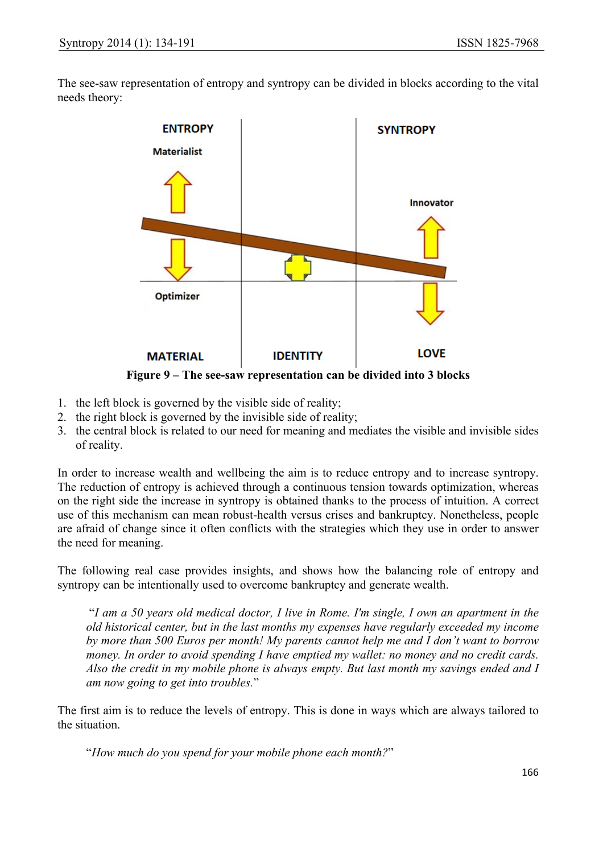The see-saw representation of entropy and syntropy can be divided in blocks according to the vital needs theory:



**Figure 9 – The see-saw representation can be divided into 3 blocks** 

- 1. the left block is governed by the visible side of reality;
- 2. the right block is governed by the invisible side of reality;
- 3. the central block is related to our need for meaning and mediates the visible and invisible sides of reality.

In order to increase wealth and wellbeing the aim is to reduce entropy and to increase syntropy. The reduction of entropy is achieved through a continuous tension towards optimization, whereas on the right side the increase in syntropy is obtained thanks to the process of intuition. A correct use of this mechanism can mean robust-health versus crises and bankruptcy. Nonetheless, people are afraid of change since it often conflicts with the strategies which they use in order to answer the need for meaning.

The following real case provides insights, and shows how the balancing role of entropy and syntropy can be intentionally used to overcome bankruptcy and generate wealth.

 "*I am a 50 years old medical doctor, I live in Rome. I'm single, I own an apartment in the old historical center, but in the last months my expenses have regularly exceeded my income by more than 500 Euros per month! My parents cannot help me and I don't want to borrow money. In order to avoid spending I have emptied my wallet: no money and no credit cards. Also the credit in my mobile phone is always empty. But last month my savings ended and I am now going to get into troubles.*"

The first aim is to reduce the levels of entropy. This is done in ways which are always tailored to the situation.

"*How much do you spend for your mobile phone each month?*"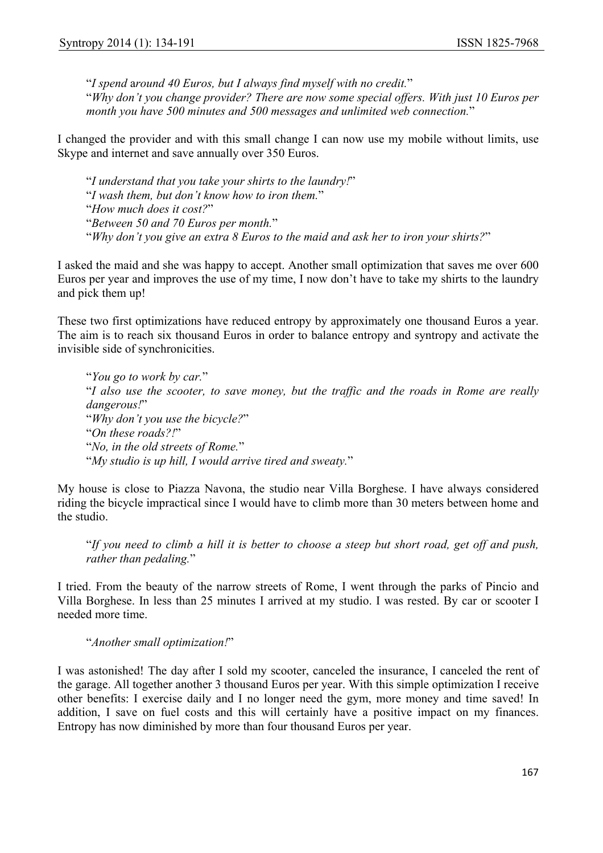"*I spend* a*round 40 Euros, but I always find myself with no credit.*"

"*Why don't you change provider? There are now some special offers. With just 10 Euros per month you have 500 minutes and 500 messages and unlimited web connection.*"

I changed the provider and with this small change I can now use my mobile without limits, use Skype and internet and save annually over 350 Euros.

"*I understand that you take your shirts to the laundry!*" "*I wash them, but don't know how to iron them.*" "*How much does it cost?*" "*Between 50 and 70 Euros per month.*" "*Why don't you give an extra 8 Euros to the maid and ask her to iron your shirts?*"

I asked the maid and she was happy to accept. Another small optimization that saves me over 600 Euros per year and improves the use of my time, I now don't have to take my shirts to the laundry and pick them up!

These two first optimizations have reduced entropy by approximately one thousand Euros a year. The aim is to reach six thousand Euros in order to balance entropy and syntropy and activate the invisible side of synchronicities.

"*You go to work by car.*" "*I also use the scooter, to save money, but the traffic and the roads in Rome are really dangerous!*" "*Why don't you use the bicycle?*" "*On these roads?!*" "*No, in the old streets of Rome.*" "*My studio is up hill, I would arrive tired and sweaty.*"

My house is close to Piazza Navona, the studio near Villa Borghese. I have always considered riding the bicycle impractical since I would have to climb more than 30 meters between home and the studio.

"*If you need to climb a hill it is better to choose a steep but short road, get off and push, rather than pedaling.*"

I tried. From the beauty of the narrow streets of Rome, I went through the parks of Pincio and Villa Borghese. In less than 25 minutes I arrived at my studio. I was rested. By car or scooter I needed more time.

"*Another small optimization!*"

I was astonished! The day after I sold my scooter, canceled the insurance, I canceled the rent of the garage. All together another 3 thousand Euros per year. With this simple optimization I receive other benefits: I exercise daily and I no longer need the gym, more money and time saved! In addition, I save on fuel costs and this will certainly have a positive impact on my finances. Entropy has now diminished by more than four thousand Euros per year.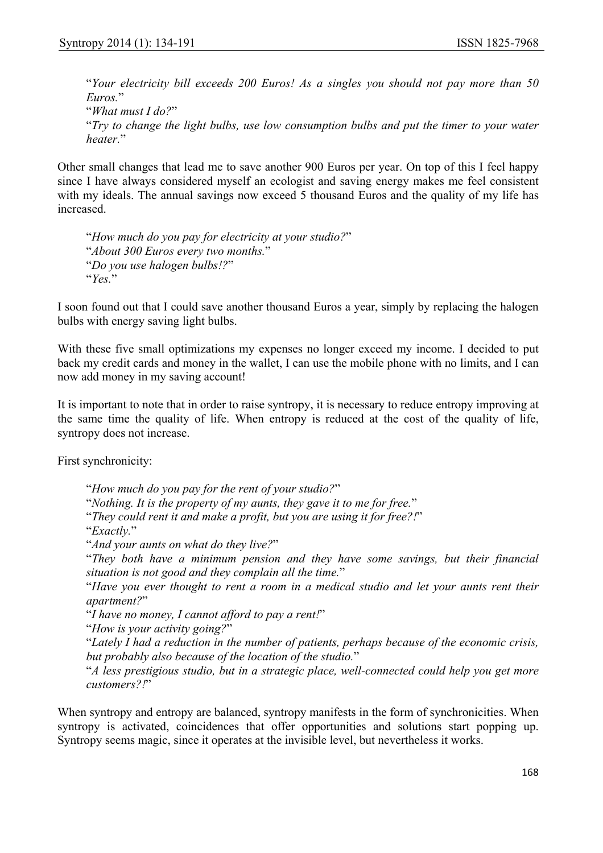"*Your electricity bill exceeds 200 Euros! As a singles you should not pay more than 50 Euros.*" "*What must I do?*" "*Try to change the light bulbs, use low consumption bulbs and put the timer to your water heater.*"

Other small changes that lead me to save another 900 Euros per year. On top of this I feel happy since I have always considered myself an ecologist and saving energy makes me feel consistent with my ideals. The annual savings now exceed 5 thousand Euros and the quality of my life has increased.

"*How much do you pay for electricity at your studio?*" "*About 300 Euros every two months.*" "*Do you use halogen bulbs!?*" "*Yes.*"

I soon found out that I could save another thousand Euros a year, simply by replacing the halogen bulbs with energy saving light bulbs.

With these five small optimizations my expenses no longer exceed my income. I decided to put back my credit cards and money in the wallet, I can use the mobile phone with no limits, and I can now add money in my saving account!

It is important to note that in order to raise syntropy, it is necessary to reduce entropy improving at the same time the quality of life. When entropy is reduced at the cost of the quality of life, syntropy does not increase.

First synchronicity:

"*How much do you pay for the rent of your studio?*"

"*Nothing. It is the property of my aunts, they gave it to me for free.*"

"*They could rent it and make a profit, but you are using it for free?!*"

"*Exactly.*"

"*And your aunts on what do they live?*"

"*They both have a minimum pension and they have some savings, but their financial situation is not good and they complain all the time.*"

"*Have you ever thought to rent a room in a medical studio and let your aunts rent their apartment?*"

"*I have no money, I cannot afford to pay a rent!*"

"*How is your activity going?*"

"*Lately I had a reduction in the number of patients, perhaps because of the economic crisis, but probably also because of the location of the studio.*"

"*A less prestigious studio, but in a strategic place, well-connected could help you get more customers?!*"

When syntropy and entropy are balanced, syntropy manifests in the form of synchronicities. When syntropy is activated, coincidences that offer opportunities and solutions start popping up. Syntropy seems magic, since it operates at the invisible level, but nevertheless it works.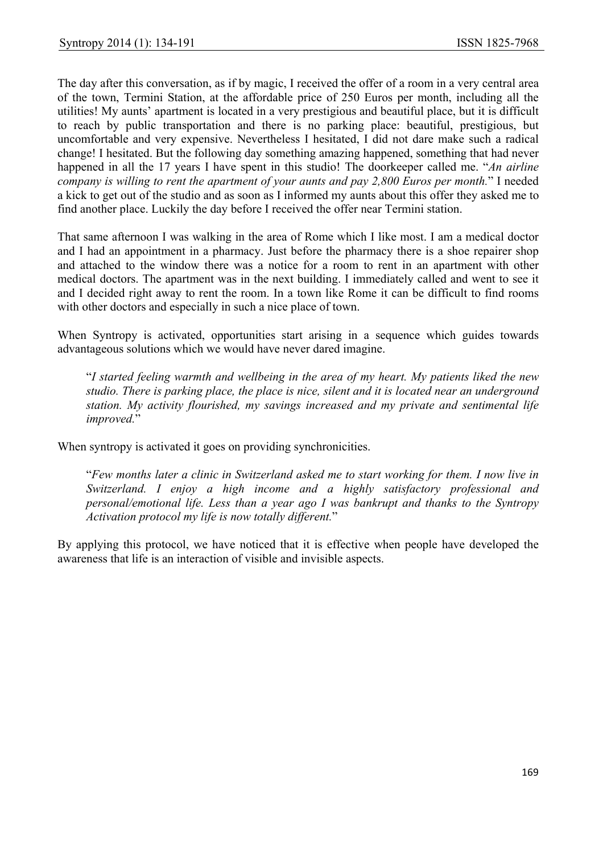The day after this conversation, as if by magic, I received the offer of a room in a very central area of the town, Termini Station, at the affordable price of 250 Euros per month, including all the utilities! My aunts' apartment is located in a very prestigious and beautiful place, but it is difficult to reach by public transportation and there is no parking place: beautiful, prestigious, but uncomfortable and very expensive. Nevertheless I hesitated, I did not dare make such a radical change! I hesitated. But the following day something amazing happened, something that had never happened in all the 17 years I have spent in this studio! The doorkeeper called me. "*An airline company is willing to rent the apartment of your aunts and pay 2,800 Euros per month.*" I needed a kick to get out of the studio and as soon as I informed my aunts about this offer they asked me to find another place. Luckily the day before I received the offer near Termini station.

That same afternoon I was walking in the area of Rome which I like most. I am a medical doctor and I had an appointment in a pharmacy. Just before the pharmacy there is a shoe repairer shop and attached to the window there was a notice for a room to rent in an apartment with other medical doctors. The apartment was in the next building. I immediately called and went to see it and I decided right away to rent the room. In a town like Rome it can be difficult to find rooms with other doctors and especially in such a nice place of town.

When Syntropy is activated, opportunities start arising in a sequence which guides towards advantageous solutions which we would have never dared imagine.

"*I started feeling warmth and wellbeing in the area of my heart. My patients liked the new studio. There is parking place, the place is nice, silent and it is located near an underground station. My activity flourished, my savings increased and my private and sentimental life improved.*"

When syntropy is activated it goes on providing synchronicities.

"*Few months later a clinic in Switzerland asked me to start working for them. I now live in Switzerland. I enjoy a high income and a highly satisfactory professional and personal/emotional life. Less than a year ago I was bankrupt and thanks to the Syntropy Activation protocol my life is now totally different.*"

By applying this protocol, we have noticed that it is effective when people have developed the awareness that life is an interaction of visible and invisible aspects.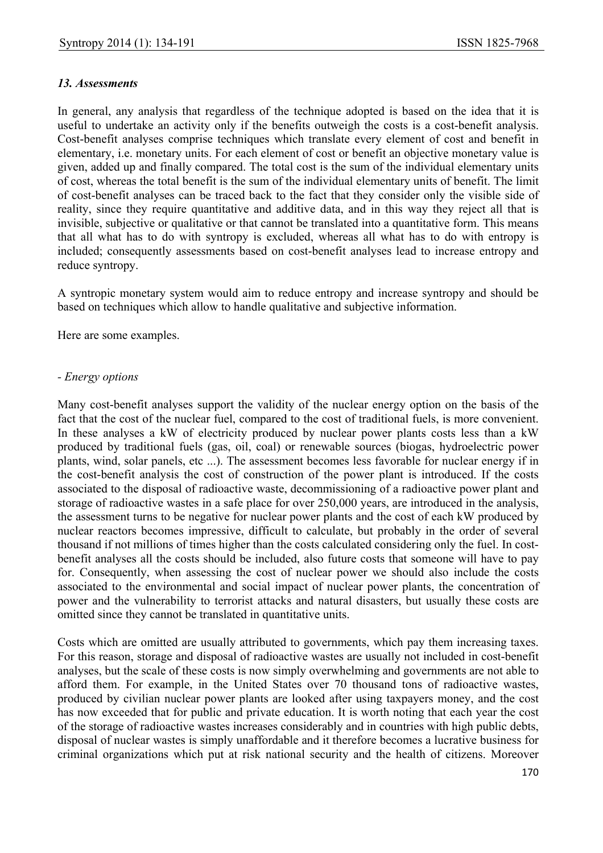# *13. Assessments*

In general, any analysis that regardless of the technique adopted is based on the idea that it is useful to undertake an activity only if the benefits outweigh the costs is a cost-benefit analysis. Cost-benefit analyses comprise techniques which translate every element of cost and benefit in elementary, i.e. monetary units. For each element of cost or benefit an objective monetary value is given, added up and finally compared. The total cost is the sum of the individual elementary units of cost, whereas the total benefit is the sum of the individual elementary units of benefit. The limit of cost-benefit analyses can be traced back to the fact that they consider only the visible side of reality, since they require quantitative and additive data, and in this way they reject all that is invisible, subjective or qualitative or that cannot be translated into a quantitative form. This means that all what has to do with syntropy is excluded, whereas all what has to do with entropy is included; consequently assessments based on cost-benefit analyses lead to increase entropy and reduce syntropy.

A syntropic monetary system would aim to reduce entropy and increase syntropy and should be based on techniques which allow to handle qualitative and subjective information.

Here are some examples.

### *- Energy options*

Many cost-benefit analyses support the validity of the nuclear energy option on the basis of the fact that the cost of the nuclear fuel, compared to the cost of traditional fuels, is more convenient. In these analyses a kW of electricity produced by nuclear power plants costs less than a kW produced by traditional fuels (gas, oil, coal) or renewable sources (biogas, hydroelectric power plants, wind, solar panels, etc ...). The assessment becomes less favorable for nuclear energy if in the cost-benefit analysis the cost of construction of the power plant is introduced. If the costs associated to the disposal of radioactive waste, decommissioning of a radioactive power plant and storage of radioactive wastes in a safe place for over 250,000 years, are introduced in the analysis, the assessment turns to be negative for nuclear power plants and the cost of each kW produced by nuclear reactors becomes impressive, difficult to calculate, but probably in the order of several thousand if not millions of times higher than the costs calculated considering only the fuel. In costbenefit analyses all the costs should be included, also future costs that someone will have to pay for. Consequently, when assessing the cost of nuclear power we should also include the costs associated to the environmental and social impact of nuclear power plants, the concentration of power and the vulnerability to terrorist attacks and natural disasters, but usually these costs are omitted since they cannot be translated in quantitative units.

Costs which are omitted are usually attributed to governments, which pay them increasing taxes. For this reason, storage and disposal of radioactive wastes are usually not included in cost-benefit analyses, but the scale of these costs is now simply overwhelming and governments are not able to afford them. For example, in the United States over 70 thousand tons of radioactive wastes, produced by civilian nuclear power plants are looked after using taxpayers money, and the cost has now exceeded that for public and private education. It is worth noting that each year the cost of the storage of radioactive wastes increases considerably and in countries with high public debts, disposal of nuclear wastes is simply unaffordable and it therefore becomes a lucrative business for criminal organizations which put at risk national security and the health of citizens. Moreover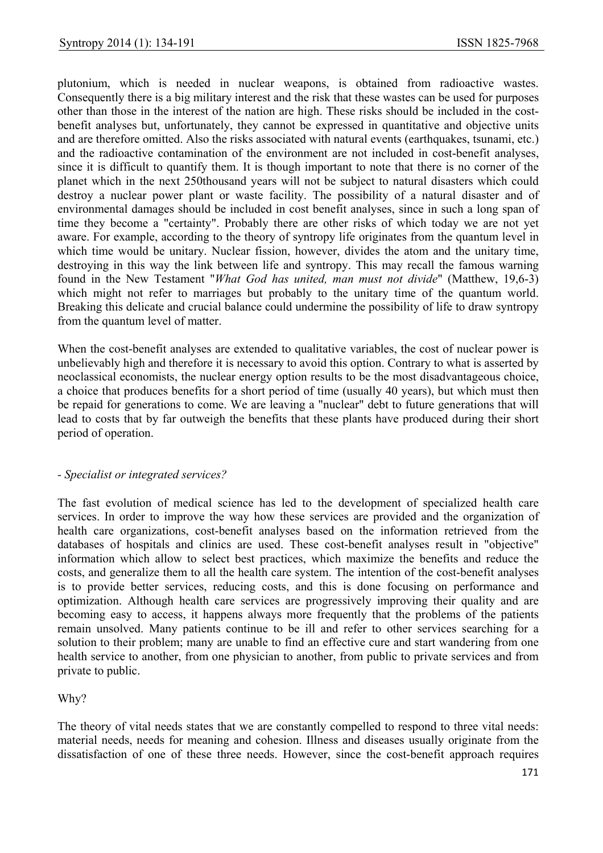plutonium, which is needed in nuclear weapons, is obtained from radioactive wastes. Consequently there is a big military interest and the risk that these wastes can be used for purposes other than those in the interest of the nation are high. These risks should be included in the costbenefit analyses but, unfortunately, they cannot be expressed in quantitative and objective units and are therefore omitted. Also the risks associated with natural events (earthquakes, tsunami, etc.) and the radioactive contamination of the environment are not included in cost-benefit analyses, since it is difficult to quantify them. It is though important to note that there is no corner of the planet which in the next 250thousand years will not be subject to natural disasters which could destroy a nuclear power plant or waste facility. The possibility of a natural disaster and of environmental damages should be included in cost benefit analyses, since in such a long span of time they become a "certainty". Probably there are other risks of which today we are not yet aware. For example, according to the theory of syntropy life originates from the quantum level in which time would be unitary. Nuclear fission, however, divides the atom and the unitary time, destroying in this way the link between life and syntropy. This may recall the famous warning found in the New Testament "*What God has united, man must not divide*" (Matthew, 19,6-3) which might not refer to marriages but probably to the unitary time of the quantum world. Breaking this delicate and crucial balance could undermine the possibility of life to draw syntropy from the quantum level of matter.

When the cost-benefit analyses are extended to qualitative variables, the cost of nuclear power is unbelievably high and therefore it is necessary to avoid this option. Contrary to what is asserted by neoclassical economists, the nuclear energy option results to be the most disadvantageous choice, a choice that produces benefits for a short period of time (usually 40 years), but which must then be repaid for generations to come. We are leaving a "nuclear" debt to future generations that will lead to costs that by far outweigh the benefits that these plants have produced during their short period of operation.

# *- Specialist or integrated services?*

The fast evolution of medical science has led to the development of specialized health care services. In order to improve the way how these services are provided and the organization of health care organizations, cost-benefit analyses based on the information retrieved from the databases of hospitals and clinics are used. These cost-benefit analyses result in "objective" information which allow to select best practices, which maximize the benefits and reduce the costs, and generalize them to all the health care system. The intention of the cost-benefit analyses is to provide better services, reducing costs, and this is done focusing on performance and optimization. Although health care services are progressively improving their quality and are becoming easy to access, it happens always more frequently that the problems of the patients remain unsolved. Many patients continue to be ill and refer to other services searching for a solution to their problem; many are unable to find an effective cure and start wandering from one health service to another, from one physician to another, from public to private services and from private to public.

# Why?

The theory of vital needs states that we are constantly compelled to respond to three vital needs: material needs, needs for meaning and cohesion. Illness and diseases usually originate from the dissatisfaction of one of these three needs. However, since the cost-benefit approach requires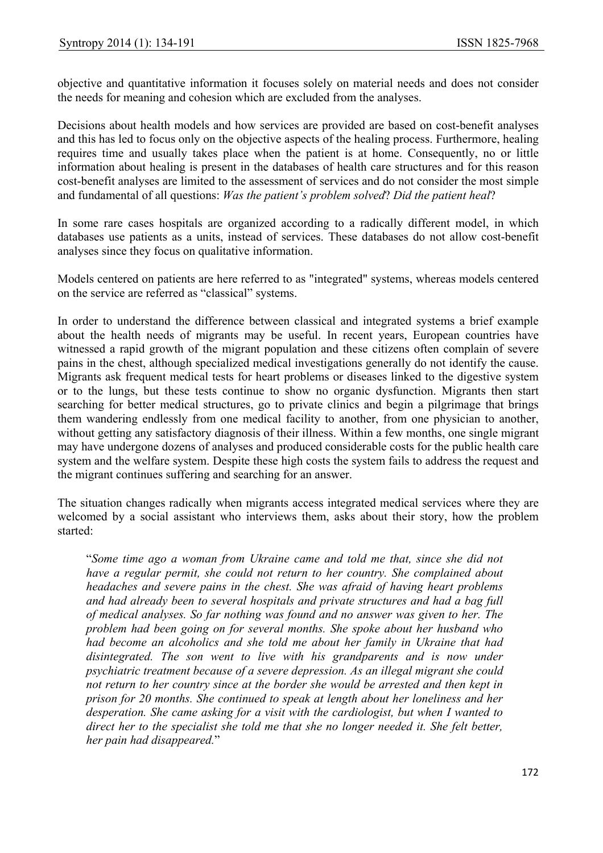objective and quantitative information it focuses solely on material needs and does not consider the needs for meaning and cohesion which are excluded from the analyses.

Decisions about health models and how services are provided are based on cost-benefit analyses and this has led to focus only on the objective aspects of the healing process. Furthermore, healing requires time and usually takes place when the patient is at home. Consequently, no or little information about healing is present in the databases of health care structures and for this reason cost-benefit analyses are limited to the assessment of services and do not consider the most simple and fundamental of all questions: *Was the patient's problem solved*? *Did the patient heal*?

In some rare cases hospitals are organized according to a radically different model, in which databases use patients as a units, instead of services. These databases do not allow cost-benefit analyses since they focus on qualitative information.

Models centered on patients are here referred to as "integrated" systems, whereas models centered on the service are referred as "classical" systems.

In order to understand the difference between classical and integrated systems a brief example about the health needs of migrants may be useful. In recent years, European countries have witnessed a rapid growth of the migrant population and these citizens often complain of severe pains in the chest, although specialized medical investigations generally do not identify the cause. Migrants ask frequent medical tests for heart problems or diseases linked to the digestive system or to the lungs, but these tests continue to show no organic dysfunction. Migrants then start searching for better medical structures, go to private clinics and begin a pilgrimage that brings them wandering endlessly from one medical facility to another, from one physician to another, without getting any satisfactory diagnosis of their illness. Within a few months, one single migrant may have undergone dozens of analyses and produced considerable costs for the public health care system and the welfare system. Despite these high costs the system fails to address the request and the migrant continues suffering and searching for an answer.

The situation changes radically when migrants access integrated medical services where they are welcomed by a social assistant who interviews them, asks about their story, how the problem started:

"*Some time ago a woman from Ukraine came and told me that, since she did not have a regular permit, she could not return to her country. She complained about headaches and severe pains in the chest. She was afraid of having heart problems and had already been to several hospitals and private structures and had a bag full of medical analyses. So far nothing was found and no answer was given to her. The problem had been going on for several months. She spoke about her husband who had become an alcoholics and she told me about her family in Ukraine that had*  disintegrated. The son went to live with his grandparents and is now under *psychiatric treatment because of a severe depression. As an illegal migrant she could not return to her country since at the border she would be arrested and then kept in prison for 20 months. She continued to speak at length about her loneliness and her desperation. She came asking for a visit with the cardiologist, but when I wanted to direct her to the specialist she told me that she no longer needed it. She felt better, her pain had disappeared.*"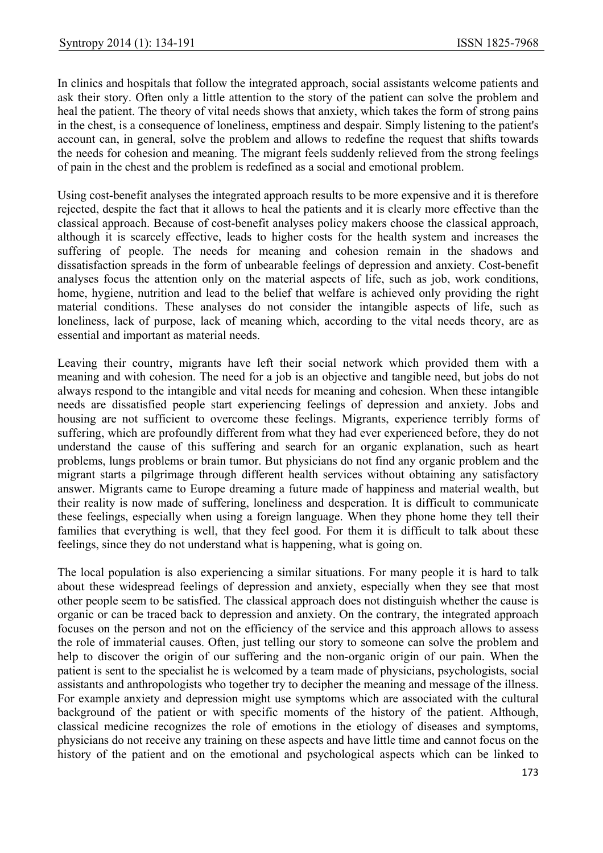In clinics and hospitals that follow the integrated approach, social assistants welcome patients and ask their story. Often only a little attention to the story of the patient can solve the problem and heal the patient. The theory of vital needs shows that anxiety, which takes the form of strong pains in the chest, is a consequence of loneliness, emptiness and despair. Simply listening to the patient's account can, in general, solve the problem and allows to redefine the request that shifts towards the needs for cohesion and meaning. The migrant feels suddenly relieved from the strong feelings of pain in the chest and the problem is redefined as a social and emotional problem.

Using cost-benefit analyses the integrated approach results to be more expensive and it is therefore rejected, despite the fact that it allows to heal the patients and it is clearly more effective than the classical approach. Because of cost-benefit analyses policy makers choose the classical approach, although it is scarcely effective, leads to higher costs for the health system and increases the suffering of people. The needs for meaning and cohesion remain in the shadows and dissatisfaction spreads in the form of unbearable feelings of depression and anxiety. Cost-benefit analyses focus the attention only on the material aspects of life, such as job, work conditions, home, hygiene, nutrition and lead to the belief that welfare is achieved only providing the right material conditions. These analyses do not consider the intangible aspects of life, such as loneliness, lack of purpose, lack of meaning which, according to the vital needs theory, are as essential and important as material needs.

Leaving their country, migrants have left their social network which provided them with a meaning and with cohesion. The need for a job is an objective and tangible need, but jobs do not always respond to the intangible and vital needs for meaning and cohesion. When these intangible needs are dissatisfied people start experiencing feelings of depression and anxiety. Jobs and housing are not sufficient to overcome these feelings. Migrants, experience terribly forms of suffering, which are profoundly different from what they had ever experienced before, they do not understand the cause of this suffering and search for an organic explanation, such as heart problems, lungs problems or brain tumor. But physicians do not find any organic problem and the migrant starts a pilgrimage through different health services without obtaining any satisfactory answer. Migrants came to Europe dreaming a future made of happiness and material wealth, but their reality is now made of suffering, loneliness and desperation. It is difficult to communicate these feelings, especially when using a foreign language. When they phone home they tell their families that everything is well, that they feel good. For them it is difficult to talk about these feelings, since they do not understand what is happening, what is going on.

The local population is also experiencing a similar situations. For many people it is hard to talk about these widespread feelings of depression and anxiety, especially when they see that most other people seem to be satisfied. The classical approach does not distinguish whether the cause is organic or can be traced back to depression and anxiety. On the contrary, the integrated approach focuses on the person and not on the efficiency of the service and this approach allows to assess the role of immaterial causes. Often, just telling our story to someone can solve the problem and help to discover the origin of our suffering and the non-organic origin of our pain. When the patient is sent to the specialist he is welcomed by a team made of physicians, psychologists, social assistants and anthropologists who together try to decipher the meaning and message of the illness. For example anxiety and depression might use symptoms which are associated with the cultural background of the patient or with specific moments of the history of the patient. Although, classical medicine recognizes the role of emotions in the etiology of diseases and symptoms, physicians do not receive any training on these aspects and have little time and cannot focus on the history of the patient and on the emotional and psychological aspects which can be linked to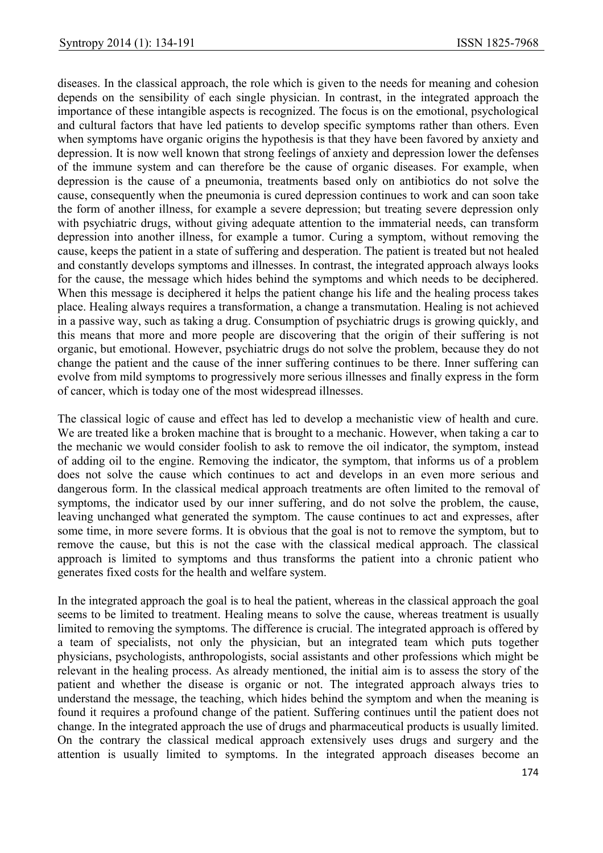diseases. In the classical approach, the role which is given to the needs for meaning and cohesion depends on the sensibility of each single physician. In contrast, in the integrated approach the importance of these intangible aspects is recognized. The focus is on the emotional, psychological and cultural factors that have led patients to develop specific symptoms rather than others. Even when symptoms have organic origins the hypothesis is that they have been favored by anxiety and depression. It is now well known that strong feelings of anxiety and depression lower the defenses of the immune system and can therefore be the cause of organic diseases. For example, when depression is the cause of a pneumonia, treatments based only on antibiotics do not solve the cause, consequently when the pneumonia is cured depression continues to work and can soon take the form of another illness, for example a severe depression; but treating severe depression only with psychiatric drugs, without giving adequate attention to the immaterial needs, can transform depression into another illness, for example a tumor. Curing a symptom, without removing the cause, keeps the patient in a state of suffering and desperation. The patient is treated but not healed and constantly develops symptoms and illnesses. In contrast, the integrated approach always looks for the cause, the message which hides behind the symptoms and which needs to be deciphered. When this message is deciphered it helps the patient change his life and the healing process takes place. Healing always requires a transformation, a change a transmutation. Healing is not achieved in a passive way, such as taking a drug. Consumption of psychiatric drugs is growing quickly, and this means that more and more people are discovering that the origin of their suffering is not organic, but emotional. However, psychiatric drugs do not solve the problem, because they do not change the patient and the cause of the inner suffering continues to be there. Inner suffering can evolve from mild symptoms to progressively more serious illnesses and finally express in the form of cancer, which is today one of the most widespread illnesses.

The classical logic of cause and effect has led to develop a mechanistic view of health and cure. We are treated like a broken machine that is brought to a mechanic. However, when taking a car to the mechanic we would consider foolish to ask to remove the oil indicator, the symptom, instead of adding oil to the engine. Removing the indicator, the symptom, that informs us of a problem does not solve the cause which continues to act and develops in an even more serious and dangerous form. In the classical medical approach treatments are often limited to the removal of symptoms, the indicator used by our inner suffering, and do not solve the problem, the cause, leaving unchanged what generated the symptom. The cause continues to act and expresses, after some time, in more severe forms. It is obvious that the goal is not to remove the symptom, but to remove the cause, but this is not the case with the classical medical approach. The classical approach is limited to symptoms and thus transforms the patient into a chronic patient who generates fixed costs for the health and welfare system.

In the integrated approach the goal is to heal the patient, whereas in the classical approach the goal seems to be limited to treatment. Healing means to solve the cause, whereas treatment is usually limited to removing the symptoms. The difference is crucial. The integrated approach is offered by a team of specialists, not only the physician, but an integrated team which puts together physicians, psychologists, anthropologists, social assistants and other professions which might be relevant in the healing process. As already mentioned, the initial aim is to assess the story of the patient and whether the disease is organic or not. The integrated approach always tries to understand the message, the teaching, which hides behind the symptom and when the meaning is found it requires a profound change of the patient. Suffering continues until the patient does not change. In the integrated approach the use of drugs and pharmaceutical products is usually limited. On the contrary the classical medical approach extensively uses drugs and surgery and the attention is usually limited to symptoms. In the integrated approach diseases become an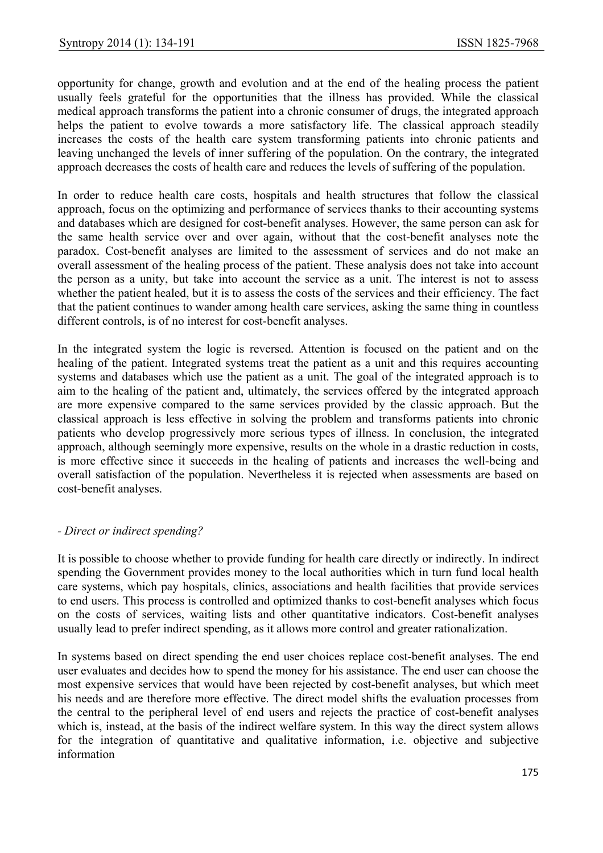opportunity for change, growth and evolution and at the end of the healing process the patient usually feels grateful for the opportunities that the illness has provided. While the classical medical approach transforms the patient into a chronic consumer of drugs, the integrated approach helps the patient to evolve towards a more satisfactory life. The classical approach steadily increases the costs of the health care system transforming patients into chronic patients and leaving unchanged the levels of inner suffering of the population. On the contrary, the integrated approach decreases the costs of health care and reduces the levels of suffering of the population.

In order to reduce health care costs, hospitals and health structures that follow the classical approach, focus on the optimizing and performance of services thanks to their accounting systems and databases which are designed for cost-benefit analyses. However, the same person can ask for the same health service over and over again, without that the cost-benefit analyses note the paradox. Cost-benefit analyses are limited to the assessment of services and do not make an overall assessment of the healing process of the patient. These analysis does not take into account the person as a unity, but take into account the service as a unit. The interest is not to assess whether the patient healed, but it is to assess the costs of the services and their efficiency. The fact that the patient continues to wander among health care services, asking the same thing in countless different controls, is of no interest for cost-benefit analyses.

In the integrated system the logic is reversed. Attention is focused on the patient and on the healing of the patient. Integrated systems treat the patient as a unit and this requires accounting systems and databases which use the patient as a unit. The goal of the integrated approach is to aim to the healing of the patient and, ultimately, the services offered by the integrated approach are more expensive compared to the same services provided by the classic approach. But the classical approach is less effective in solving the problem and transforms patients into chronic patients who develop progressively more serious types of illness. In conclusion, the integrated approach, although seemingly more expensive, results on the whole in a drastic reduction in costs, is more effective since it succeeds in the healing of patients and increases the well-being and overall satisfaction of the population. Nevertheless it is rejected when assessments are based on cost-benefit analyses.

### *- Direct or indirect spending?*

It is possible to choose whether to provide funding for health care directly or indirectly. In indirect spending the Government provides money to the local authorities which in turn fund local health care systems, which pay hospitals, clinics, associations and health facilities that provide services to end users. This process is controlled and optimized thanks to cost-benefit analyses which focus on the costs of services, waiting lists and other quantitative indicators. Cost-benefit analyses usually lead to prefer indirect spending, as it allows more control and greater rationalization.

In systems based on direct spending the end user choices replace cost-benefit analyses. The end user evaluates and decides how to spend the money for his assistance. The end user can choose the most expensive services that would have been rejected by cost-benefit analyses, but which meet his needs and are therefore more effective. The direct model shifts the evaluation processes from the central to the peripheral level of end users and rejects the practice of cost-benefit analyses which is, instead, at the basis of the indirect welfare system. In this way the direct system allows for the integration of quantitative and qualitative information, i.e. objective and subjective information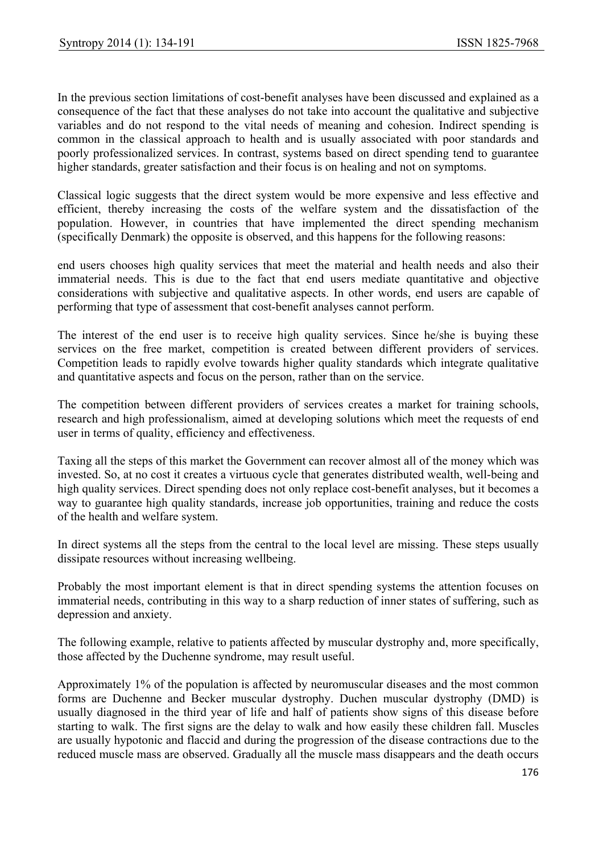In the previous section limitations of cost-benefit analyses have been discussed and explained as a consequence of the fact that these analyses do not take into account the qualitative and subjective variables and do not respond to the vital needs of meaning and cohesion. Indirect spending is common in the classical approach to health and is usually associated with poor standards and poorly professionalized services. In contrast, systems based on direct spending tend to guarantee higher standards, greater satisfaction and their focus is on healing and not on symptoms.

Classical logic suggests that the direct system would be more expensive and less effective and efficient, thereby increasing the costs of the welfare system and the dissatisfaction of the population. However, in countries that have implemented the direct spending mechanism (specifically Denmark) the opposite is observed, and this happens for the following reasons:

end users chooses high quality services that meet the material and health needs and also their immaterial needs. This is due to the fact that end users mediate quantitative and objective considerations with subjective and qualitative aspects. In other words, end users are capable of performing that type of assessment that cost-benefit analyses cannot perform.

The interest of the end user is to receive high quality services. Since he/she is buying these services on the free market, competition is created between different providers of services. Competition leads to rapidly evolve towards higher quality standards which integrate qualitative and quantitative aspects and focus on the person, rather than on the service.

The competition between different providers of services creates a market for training schools, research and high professionalism, aimed at developing solutions which meet the requests of end user in terms of quality, efficiency and effectiveness.

Taxing all the steps of this market the Government can recover almost all of the money which was invested. So, at no cost it creates a virtuous cycle that generates distributed wealth, well-being and high quality services. Direct spending does not only replace cost-benefit analyses, but it becomes a way to guarantee high quality standards, increase job opportunities, training and reduce the costs of the health and welfare system.

In direct systems all the steps from the central to the local level are missing. These steps usually dissipate resources without increasing wellbeing.

Probably the most important element is that in direct spending systems the attention focuses on immaterial needs, contributing in this way to a sharp reduction of inner states of suffering, such as depression and anxiety.

The following example, relative to patients affected by muscular dystrophy and, more specifically, those affected by the Duchenne syndrome, may result useful.

Approximately 1% of the population is affected by neuromuscular diseases and the most common forms are Duchenne and Becker muscular dystrophy. Duchen muscular dystrophy (DMD) is usually diagnosed in the third year of life and half of patients show signs of this disease before starting to walk. The first signs are the delay to walk and how easily these children fall. Muscles are usually hypotonic and flaccid and during the progression of the disease contractions due to the reduced muscle mass are observed. Gradually all the muscle mass disappears and the death occurs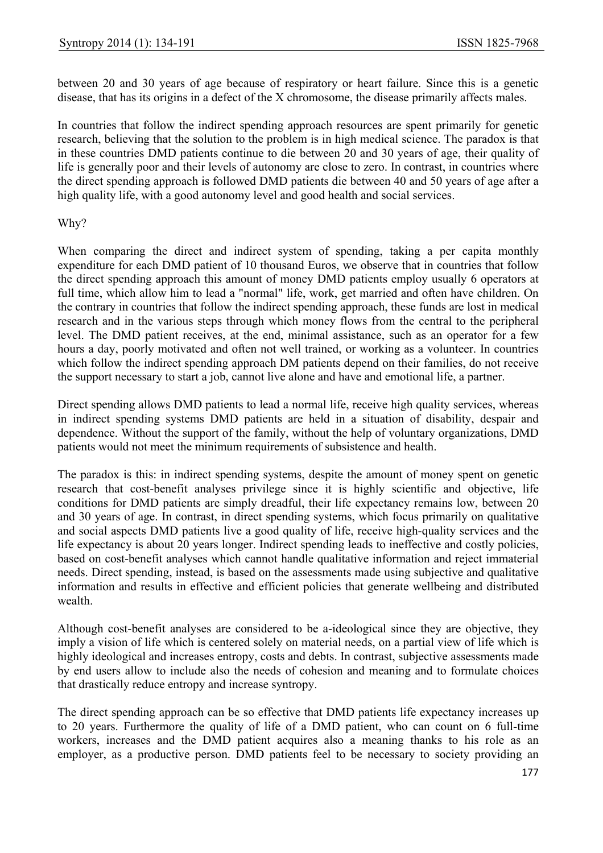between 20 and 30 years of age because of respiratory or heart failure. Since this is a genetic disease, that has its origins in a defect of the X chromosome, the disease primarily affects males.

In countries that follow the indirect spending approach resources are spent primarily for genetic research, believing that the solution to the problem is in high medical science. The paradox is that in these countries DMD patients continue to die between 20 and 30 years of age, their quality of life is generally poor and their levels of autonomy are close to zero. In contrast, in countries where the direct spending approach is followed DMD patients die between 40 and 50 years of age after a high quality life, with a good autonomy level and good health and social services.

# Why?

When comparing the direct and indirect system of spending, taking a per capita monthly expenditure for each DMD patient of 10 thousand Euros, we observe that in countries that follow the direct spending approach this amount of money DMD patients employ usually 6 operators at full time, which allow him to lead a "normal" life, work, get married and often have children. On the contrary in countries that follow the indirect spending approach, these funds are lost in medical research and in the various steps through which money flows from the central to the peripheral level. The DMD patient receives, at the end, minimal assistance, such as an operator for a few hours a day, poorly motivated and often not well trained, or working as a volunteer. In countries which follow the indirect spending approach DM patients depend on their families, do not receive the support necessary to start a job, cannot live alone and have and emotional life, a partner.

Direct spending allows DMD patients to lead a normal life, receive high quality services, whereas in indirect spending systems DMD patients are held in a situation of disability, despair and dependence. Without the support of the family, without the help of voluntary organizations, DMD patients would not meet the minimum requirements of subsistence and health.

The paradox is this: in indirect spending systems, despite the amount of money spent on genetic research that cost-benefit analyses privilege since it is highly scientific and objective, life conditions for DMD patients are simply dreadful, their life expectancy remains low, between 20 and 30 years of age. In contrast, in direct spending systems, which focus primarily on qualitative and social aspects DMD patients live a good quality of life, receive high-quality services and the life expectancy is about 20 years longer. Indirect spending leads to ineffective and costly policies, based on cost-benefit analyses which cannot handle qualitative information and reject immaterial needs. Direct spending, instead, is based on the assessments made using subjective and qualitative information and results in effective and efficient policies that generate wellbeing and distributed wealth.

Although cost-benefit analyses are considered to be a-ideological since they are objective, they imply a vision of life which is centered solely on material needs, on a partial view of life which is highly ideological and increases entropy, costs and debts. In contrast, subjective assessments made by end users allow to include also the needs of cohesion and meaning and to formulate choices that drastically reduce entropy and increase syntropy.

The direct spending approach can be so effective that DMD patients life expectancy increases up to 20 years. Furthermore the quality of life of a DMD patient, who can count on 6 full-time workers, increases and the DMD patient acquires also a meaning thanks to his role as an employer, as a productive person. DMD patients feel to be necessary to society providing an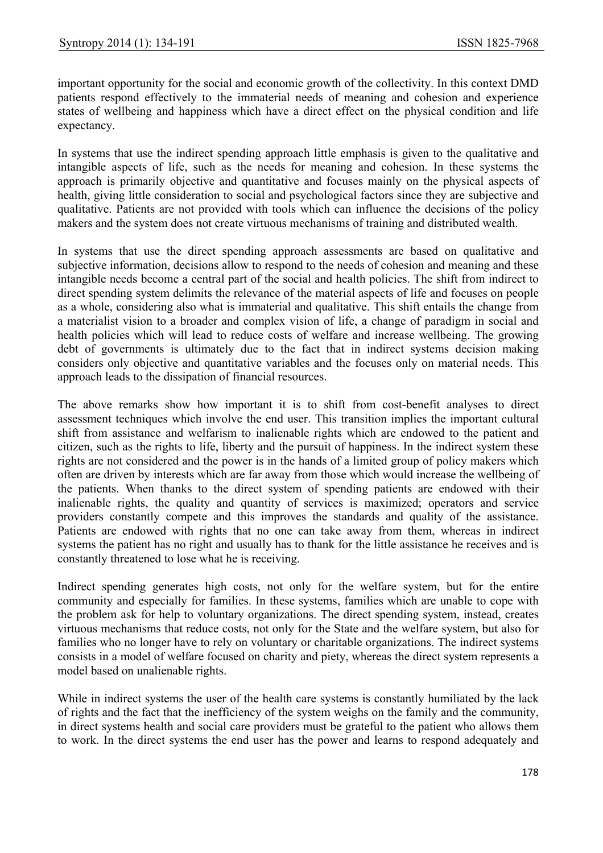important opportunity for the social and economic growth of the collectivity. In this context DMD patients respond effectively to the immaterial needs of meaning and cohesion and experience states of wellbeing and happiness which have a direct effect on the physical condition and life expectancy.

In systems that use the indirect spending approach little emphasis is given to the qualitative and intangible aspects of life, such as the needs for meaning and cohesion. In these systems the approach is primarily objective and quantitative and focuses mainly on the physical aspects of health, giving little consideration to social and psychological factors since they are subjective and qualitative. Patients are not provided with tools which can influence the decisions of the policy makers and the system does not create virtuous mechanisms of training and distributed wealth.

In systems that use the direct spending approach assessments are based on qualitative and subjective information, decisions allow to respond to the needs of cohesion and meaning and these intangible needs become a central part of the social and health policies. The shift from indirect to direct spending system delimits the relevance of the material aspects of life and focuses on people as a whole, considering also what is immaterial and qualitative. This shift entails the change from a materialist vision to a broader and complex vision of life, a change of paradigm in social and health policies which will lead to reduce costs of welfare and increase wellbeing. The growing debt of governments is ultimately due to the fact that in indirect systems decision making considers only objective and quantitative variables and the focuses only on material needs. This approach leads to the dissipation of financial resources.

The above remarks show how important it is to shift from cost-benefit analyses to direct assessment techniques which involve the end user. This transition implies the important cultural shift from assistance and welfarism to inalienable rights which are endowed to the patient and citizen, such as the rights to life, liberty and the pursuit of happiness. In the indirect system these rights are not considered and the power is in the hands of a limited group of policy makers which often are driven by interests which are far away from those which would increase the wellbeing of the patients. When thanks to the direct system of spending patients are endowed with their inalienable rights, the quality and quantity of services is maximized; operators and service providers constantly compete and this improves the standards and quality of the assistance. Patients are endowed with rights that no one can take away from them, whereas in indirect systems the patient has no right and usually has to thank for the little assistance he receives and is constantly threatened to lose what he is receiving.

Indirect spending generates high costs, not only for the welfare system, but for the entire community and especially for families. In these systems, families which are unable to cope with the problem ask for help to voluntary organizations. The direct spending system, instead, creates virtuous mechanisms that reduce costs, not only for the State and the welfare system, but also for families who no longer have to rely on voluntary or charitable organizations. The indirect systems consists in a model of welfare focused on charity and piety, whereas the direct system represents a model based on unalienable rights.

While in indirect systems the user of the health care systems is constantly humiliated by the lack of rights and the fact that the inefficiency of the system weighs on the family and the community, in direct systems health and social care providers must be grateful to the patient who allows them to work. In the direct systems the end user has the power and learns to respond adequately and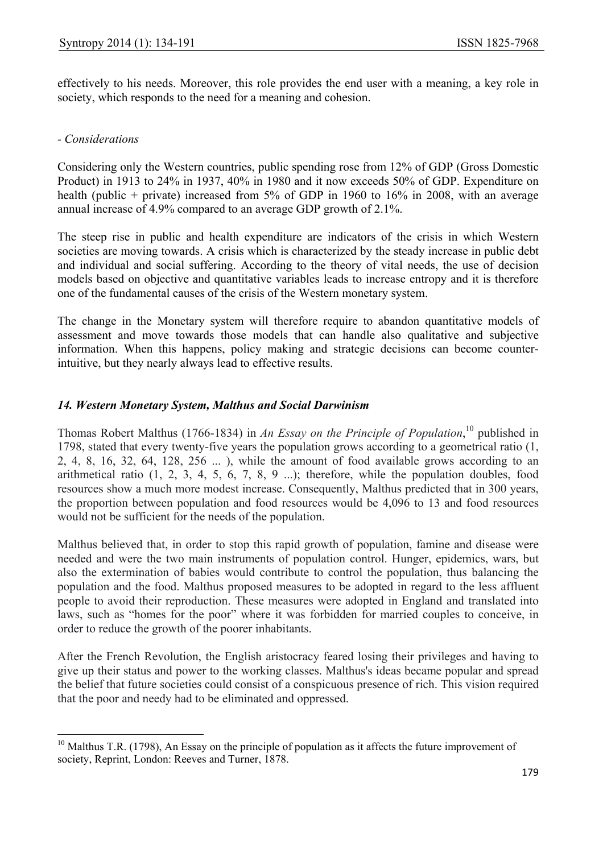effectively to his needs. Moreover, this role provides the end user with a meaning, a key role in society, which responds to the need for a meaning and cohesion.

### *- Considerations*

 $\overline{\phantom{a}}$ 

Considering only the Western countries, public spending rose from 12% of GDP (Gross Domestic Product) in 1913 to 24% in 1937, 40% in 1980 and it now exceeds 50% of GDP. Expenditure on health (public + private) increased from 5% of GDP in 1960 to 16% in 2008, with an average annual increase of 4.9% compared to an average GDP growth of 2.1%.

The steep rise in public and health expenditure are indicators of the crisis in which Western societies are moving towards. A crisis which is characterized by the steady increase in public debt and individual and social suffering. According to the theory of vital needs, the use of decision models based on objective and quantitative variables leads to increase entropy and it is therefore one of the fundamental causes of the crisis of the Western monetary system.

The change in the Monetary system will therefore require to abandon quantitative models of assessment and move towards those models that can handle also qualitative and subjective information. When this happens, policy making and strategic decisions can become counterintuitive, but they nearly always lead to effective results.

# *14. Western Monetary System, Malthus and Social Darwinism*

Thomas Robert Malthus (1766-1834) in *An Essay on the Principle of Population*, 10 published in 1798, stated that every twenty-five years the population grows according to a geometrical ratio (1, 2, 4, 8, 16, 32, 64, 128, 256 ... ), while the amount of food available grows according to an arithmetical ratio (1, 2, 3, 4, 5, 6, 7, 8, 9 ...); therefore, while the population doubles, food resources show a much more modest increase. Consequently, Malthus predicted that in 300 years, the proportion between population and food resources would be 4,096 to 13 and food resources would not be sufficient for the needs of the population.

Malthus believed that, in order to stop this rapid growth of population, famine and disease were needed and were the two main instruments of population control. Hunger, epidemics, wars, but also the extermination of babies would contribute to control the population, thus balancing the population and the food. Malthus proposed measures to be adopted in regard to the less affluent people to avoid their reproduction. These measures were adopted in England and translated into laws, such as "homes for the poor" where it was forbidden for married couples to conceive, in order to reduce the growth of the poorer inhabitants.

After the French Revolution, the English aristocracy feared losing their privileges and having to give up their status and power to the working classes. Malthus's ideas became popular and spread the belief that future societies could consist of a conspicuous presence of rich. This vision required that the poor and needy had to be eliminated and oppressed.

<sup>&</sup>lt;sup>10</sup> Malthus T.R. (1798), An Essay on the principle of population as it affects the future improvement of society, Reprint, London: Reeves and Turner, 1878.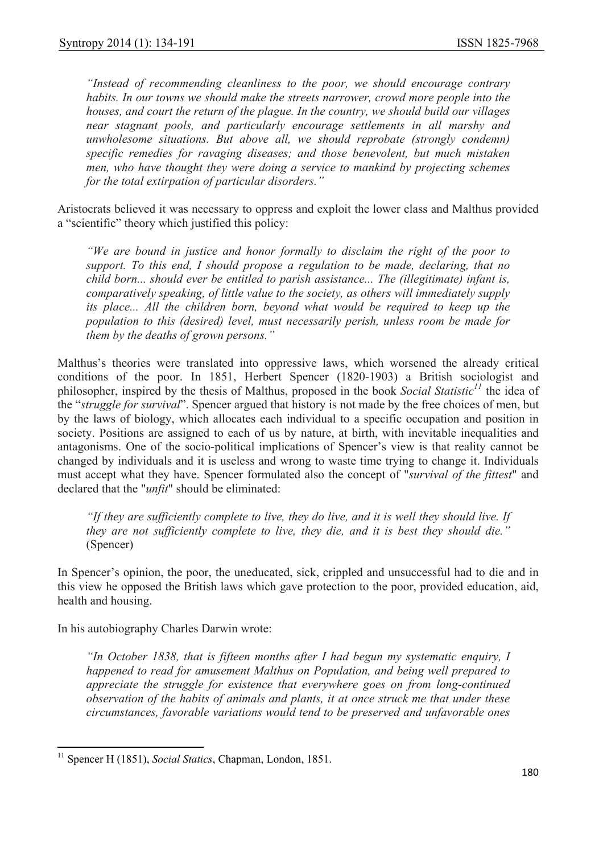*"Instead of recommending cleanliness to the poor, we should encourage contrary habits. In our towns we should make the streets narrower, crowd more people into the houses, and court the return of the plague. In the country, we should build our villages near stagnant pools, and particularly encourage settlements in all marshy and unwholesome situations. But above all, we should reprobate (strongly condemn) specific remedies for ravaging diseases; and those benevolent, but much mistaken men, who have thought they were doing a service to mankind by projecting schemes for the total extirpation of particular disorders."*

Aristocrats believed it was necessary to oppress and exploit the lower class and Malthus provided a "scientific" theory which justified this policy:

*"We are bound in justice and honor formally to disclaim the right of the poor to support. To this end, I should propose a regulation to be made, declaring, that no child born... should ever be entitled to parish assistance... The (illegitimate) infant is, comparatively speaking, of little value to the society, as others will immediately supply its place... All the children born, beyond what would be required to keep up the population to this (desired) level, must necessarily perish, unless room be made for them by the deaths of grown persons."*

Malthus's theories were translated into oppressive laws, which worsened the already critical conditions of the poor. In 1851, Herbert Spencer (1820-1903) a British sociologist and philosopher, inspired by the thesis of Malthus, proposed in the book *Social Statistic*<sup>11</sup> the idea of the "*struggle for survival*". Spencer argued that history is not made by the free choices of men, but by the laws of biology, which allocates each individual to a specific occupation and position in society. Positions are assigned to each of us by nature, at birth, with inevitable inequalities and antagonisms. One of the socio-political implications of Spencer's view is that reality cannot be changed by individuals and it is useless and wrong to waste time trying to change it. Individuals must accept what they have. Spencer formulated also the concept of "*survival of the fittest*" and declared that the "*unfit*" should be eliminated:

*"If they are sufficiently complete to live, they do live, and it is well they should live. If they are not sufficiently complete to live, they die, and it is best they should die."*  (Spencer)

In Spencer's opinion, the poor, the uneducated, sick, crippled and unsuccessful had to die and in this view he opposed the British laws which gave protection to the poor, provided education, aid, health and housing.

In his autobiography Charles Darwin wrote:

 $\overline{a}$ 

*"In October 1838, that is fifteen months after I had begun my systematic enquiry, I happened to read for amusement Malthus on Population, and being well prepared to appreciate the struggle for existence that everywhere goes on from long-continued observation of the habits of animals and plants, it at once struck me that under these circumstances, favorable variations would tend to be preserved and unfavorable ones* 

<sup>11</sup> Spencer H (1851), *Social Statics*, Chapman, London, 1851.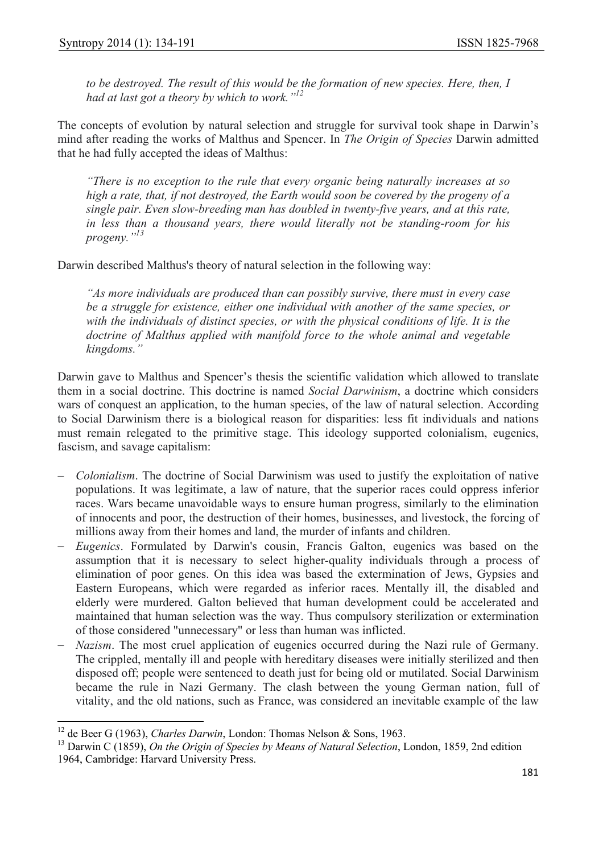to be destroyed. The result of this would be the formation of new species. Here, then, I *had at last got a theory by which to work."12*

The concepts of evolution by natural selection and struggle for survival took shape in Darwin's mind after reading the works of Malthus and Spencer. In *The Origin of Species* Darwin admitted that he had fully accepted the ideas of Malthus:

*"There is no exception to the rule that every organic being naturally increases at so high a rate, that, if not destroyed, the Earth would soon be covered by the progeny of a single pair. Even slow-breeding man has doubled in twenty-five years, and at this rate, in less than a thousand years, there would literally not be standing-room for his progeny."13*

Darwin described Malthus's theory of natural selection in the following way:

*"As more individuals are produced than can possibly survive, there must in every case be a struggle for existence, either one individual with another of the same species, or with the individuals of distinct species, or with the physical conditions of life. It is the doctrine of Malthus applied with manifold force to the whole animal and vegetable kingdoms."* 

Darwin gave to Malthus and Spencer's thesis the scientific validation which allowed to translate them in a social doctrine. This doctrine is named *Social Darwinism*, a doctrine which considers wars of conquest an application, to the human species, of the law of natural selection. According to Social Darwinism there is a biological reason for disparities: less fit individuals and nations must remain relegated to the primitive stage. This ideology supported colonialism, eugenics, fascism, and savage capitalism:

- *Colonialism*. The doctrine of Social Darwinism was used to justify the exploitation of native populations. It was legitimate, a law of nature, that the superior races could oppress inferior races. Wars became unavoidable ways to ensure human progress, similarly to the elimination of innocents and poor, the destruction of their homes, businesses, and livestock, the forcing of millions away from their homes and land, the murder of infants and children.
- − *Eugenics*. Formulated by Darwin's cousin, Francis Galton, eugenics was based on the assumption that it is necessary to select higher-quality individuals through a process of elimination of poor genes. On this idea was based the extermination of Jews, Gypsies and Eastern Europeans, which were regarded as inferior races. Mentally ill, the disabled and elderly were murdered. Galton believed that human development could be accelerated and maintained that human selection was the way. Thus compulsory sterilization or extermination of those considered "unnecessary" or less than human was inflicted.
- *Nazism*. The most cruel application of eugenics occurred during the Nazi rule of Germany. The crippled, mentally ill and people with hereditary diseases were initially sterilized and then disposed off; people were sentenced to death just for being old or mutilated. Social Darwinism became the rule in Nazi Germany. The clash between the young German nation, full of vitality, and the old nations, such as France, was considered an inevitable example of the law

 $\overline{\phantom{a}}$ 

<sup>12</sup> de Beer G (1963), *Charles Darwin*, London: Thomas Nelson & Sons, 1963.

<sup>13</sup> Darwin C (1859), *On the Origin of Species by Means of Natural Selection*, London, 1859, 2nd edition 1964, Cambridge: Harvard University Press.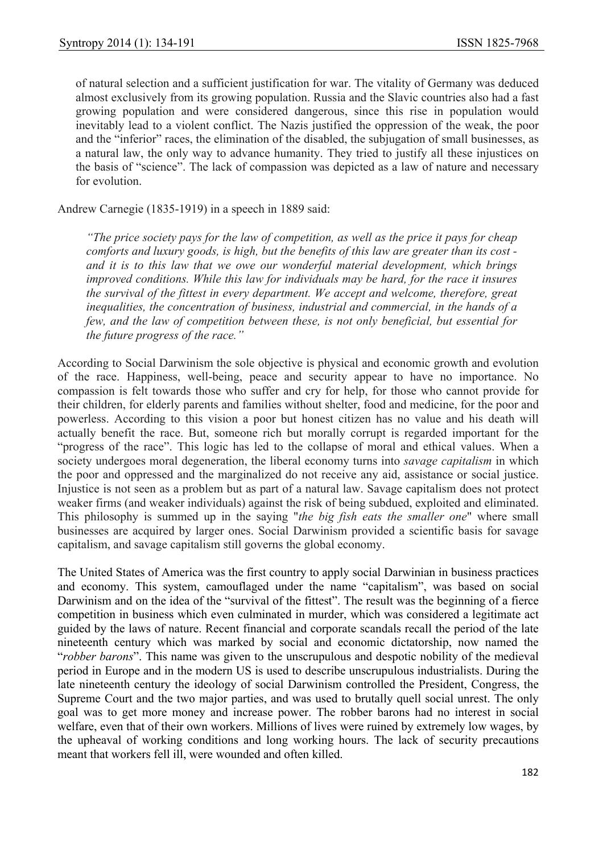of natural selection and a sufficient justification for war. The vitality of Germany was deduced almost exclusively from its growing population. Russia and the Slavic countries also had a fast growing population and were considered dangerous, since this rise in population would inevitably lead to a violent conflict. The Nazis justified the oppression of the weak, the poor and the "inferior" races, the elimination of the disabled, the subjugation of small businesses, as a natural law, the only way to advance humanity. They tried to justify all these injustices on the basis of "science". The lack of compassion was depicted as a law of nature and necessary for evolution.

Andrew Carnegie (1835-1919) in a speech in 1889 said:

*"The price society pays for the law of competition, as well as the price it pays for cheap comforts and luxury goods, is high, but the benefits of this law are greater than its cost and it is to this law that we owe our wonderful material development, which brings improved conditions. While this law for individuals may be hard, for the race it insures the survival of the fittest in every department. We accept and welcome, therefore, great inequalities, the concentration of business, industrial and commercial, in the hands of a few, and the law of competition between these, is not only beneficial, but essential for the future progress of the race."* 

According to Social Darwinism the sole objective is physical and economic growth and evolution of the race. Happiness, well-being, peace and security appear to have no importance. No compassion is felt towards those who suffer and cry for help, for those who cannot provide for their children, for elderly parents and families without shelter, food and medicine, for the poor and powerless. According to this vision a poor but honest citizen has no value and his death will actually benefit the race. But, someone rich but morally corrupt is regarded important for the "progress of the race". This logic has led to the collapse of moral and ethical values. When a society undergoes moral degeneration, the liberal economy turns into *savage capitalism* in which the poor and oppressed and the marginalized do not receive any aid, assistance or social justice. Injustice is not seen as a problem but as part of a natural law. Savage capitalism does not protect weaker firms (and weaker individuals) against the risk of being subdued, exploited and eliminated. This philosophy is summed up in the saying "*the big fish eats the smaller one*" where small businesses are acquired by larger ones. Social Darwinism provided a scientific basis for savage capitalism, and savage capitalism still governs the global economy.

The United States of America was the first country to apply social Darwinian in business practices and economy. This system, camouflaged under the name "capitalism", was based on social Darwinism and on the idea of the "survival of the fittest". The result was the beginning of a fierce competition in business which even culminated in murder, which was considered a legitimate act guided by the laws of nature. Recent financial and corporate scandals recall the period of the late nineteenth century which was marked by social and economic dictatorship, now named the "*robber barons*". This name was given to the unscrupulous and despotic nobility of the medieval period in Europe and in the modern US is used to describe unscrupulous industrialists. During the late nineteenth century the ideology of social Darwinism controlled the President, Congress, the Supreme Court and the two major parties, and was used to brutally quell social unrest. The only goal was to get more money and increase power. The robber barons had no interest in social welfare, even that of their own workers. Millions of lives were ruined by extremely low wages, by the upheaval of working conditions and long working hours. The lack of security precautions meant that workers fell ill, were wounded and often killed.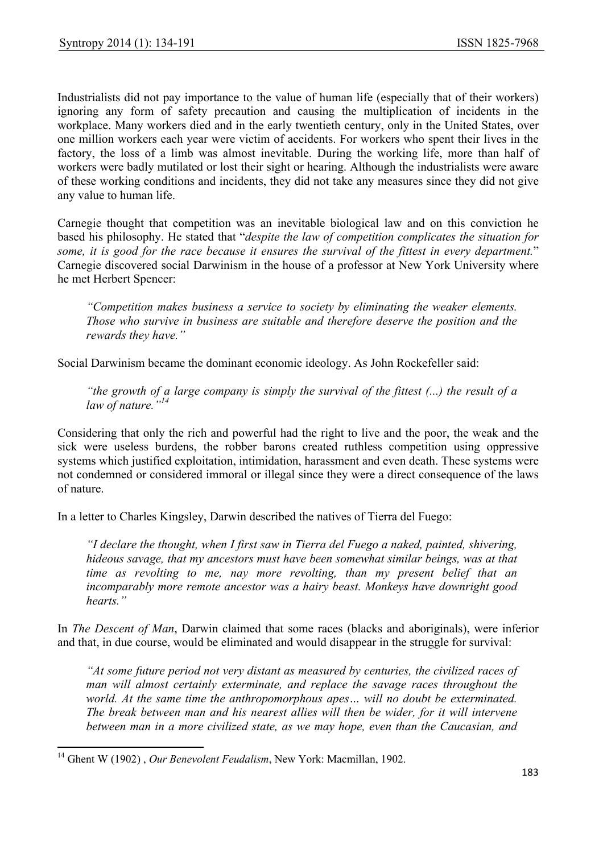Industrialists did not pay importance to the value of human life (especially that of their workers) ignoring any form of safety precaution and causing the multiplication of incidents in the workplace. Many workers died and in the early twentieth century, only in the United States, over one million workers each year were victim of accidents. For workers who spent their lives in the factory, the loss of a limb was almost inevitable. During the working life, more than half of workers were badly mutilated or lost their sight or hearing. Although the industrialists were aware of these working conditions and incidents, they did not take any measures since they did not give any value to human life.

Carnegie thought that competition was an inevitable biological law and on this conviction he based his philosophy. He stated that "*despite the law of competition complicates the situation for some, it is good for the race because it ensures the survival of the fittest in every department.*" Carnegie discovered social Darwinism in the house of a professor at New York University where he met Herbert Spencer:

*"Competition makes business a service to society by eliminating the weaker elements. Those who survive in business are suitable and therefore deserve the position and the rewards they have."* 

Social Darwinism became the dominant economic ideology. As John Rockefeller said:

*"the growth of a large company is simply the survival of the fittest (...) the result of a law of nature."14*

Considering that only the rich and powerful had the right to live and the poor, the weak and the sick were useless burdens, the robber barons created ruthless competition using oppressive systems which justified exploitation, intimidation, harassment and even death. These systems were not condemned or considered immoral or illegal since they were a direct consequence of the laws of nature.

In a letter to Charles Kingsley, Darwin described the natives of Tierra del Fuego:

*"I declare the thought, when I first saw in Tierra del Fuego a naked, painted, shivering, hideous savage, that my ancestors must have been somewhat similar beings, was at that time as revolting to me, nay more revolting, than my present belief that an incomparably more remote ancestor was a hairy beast. Monkeys have downright good hearts."* 

In *The Descent of Man*, Darwin claimed that some races (blacks and aboriginals), were inferior and that, in due course, would be eliminated and would disappear in the struggle for survival:

*"At some future period not very distant as measured by centuries, the civilized races of man will almost certainly exterminate, and replace the savage races throughout the* world. At the same time the anthropomorphous apes... will no doubt be exterminated. *The break between man and his nearest allies will then be wider, for it will intervene between man in a more civilized state, as we may hope, even than the Caucasian, and* 

 $\overline{a}$ 

<sup>&</sup>lt;sup>14</sup> Ghent W (1902), *Our Benevolent Feudalism*, New York: Macmillan, 1902.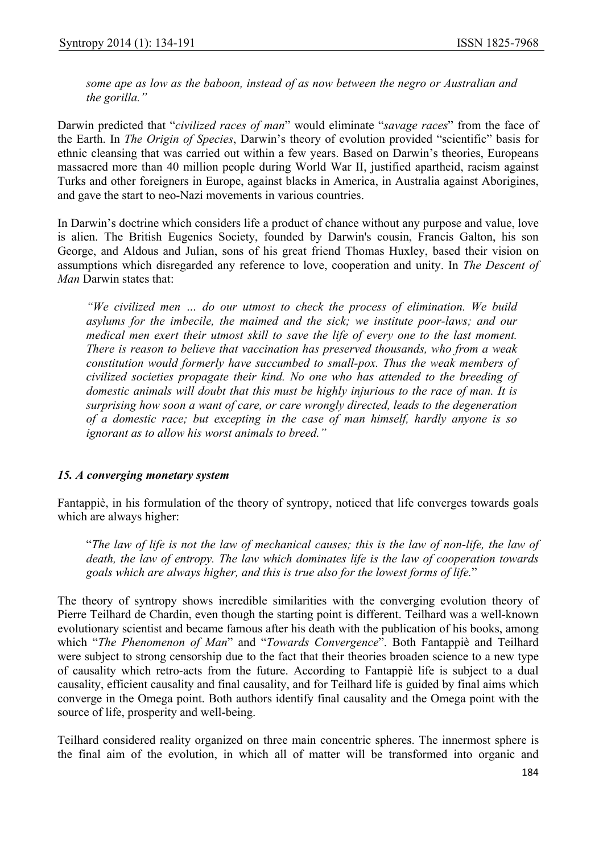*some ape as low as the baboon, instead of as now between the negro or Australian and the gorilla."* 

Darwin predicted that "*civilized races of man*" would eliminate "*savage races*" from the face of the Earth. In *The Origin of Species*, Darwin's theory of evolution provided "scientific" basis for ethnic cleansing that was carried out within a few years. Based on Darwin's theories, Europeans massacred more than 40 million people during World War II, justified apartheid, racism against Turks and other foreigners in Europe, against blacks in America, in Australia against Aborigines, and gave the start to neo-Nazi movements in various countries.

In Darwin's doctrine which considers life a product of chance without any purpose and value, love is alien. The British Eugenics Society, founded by Darwin's cousin, Francis Galton, his son George, and Aldous and Julian, sons of his great friend Thomas Huxley, based their vision on assumptions which disregarded any reference to love, cooperation and unity. In *The Descent of Man* Darwin states that:

*"We civilized men … do our utmost to check the process of elimination. We build asylums for the imbecile, the maimed and the sick; we institute poor-laws; and our medical men exert their utmost skill to save the life of every one to the last moment. There is reason to believe that vaccination has preserved thousands, who from a weak constitution would formerly have succumbed to small-pox. Thus the weak members of civilized societies propagate their kind. No one who has attended to the breeding of domestic animals will doubt that this must be highly injurious to the race of man. It is surprising how soon a want of care, or care wrongly directed, leads to the degeneration of a domestic race; but excepting in the case of man himself, hardly anyone is so ignorant as to allow his worst animals to breed."* 

### *15. A converging monetary system*

Fantappiè, in his formulation of the theory of syntropy, noticed that life converges towards goals which are always higher:

"*The law of life is not the law of mechanical causes; this is the law of non-life, the law of death, the law of entropy. The law which dominates life is the law of cooperation towards goals which are always higher, and this is true also for the lowest forms of life.*"

The theory of syntropy shows incredible similarities with the converging evolution theory of Pierre Teilhard de Chardin, even though the starting point is different. Teilhard was a well-known evolutionary scientist and became famous after his death with the publication of his books, among which "*The Phenomenon of Man*" and "*Towards Convergence*". Both Fantappiè and Teilhard were subject to strong censorship due to the fact that their theories broaden science to a new type of causality which retro-acts from the future. According to Fantappiè life is subject to a dual causality, efficient causality and final causality, and for Teilhard life is guided by final aims which converge in the Omega point. Both authors identify final causality and the Omega point with the source of life, prosperity and well-being.

Teilhard considered reality organized on three main concentric spheres. The innermost sphere is the final aim of the evolution, in which all of matter will be transformed into organic and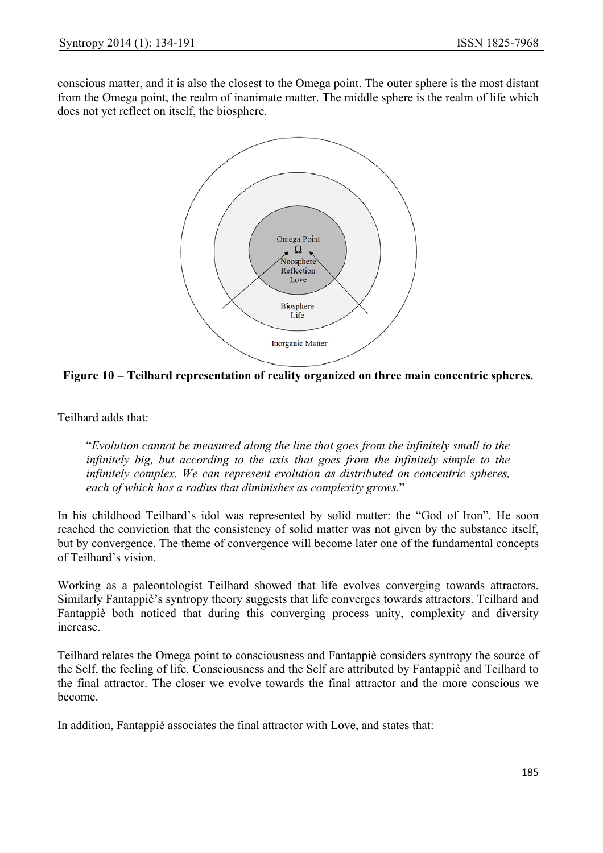conscious matter, and it is also the closest to the Omega point. The outer sphere is the most distant from the Omega point, the realm of inanimate matter. The middle sphere is the realm of life which does not yet reflect on itself, the biosphere.



# **Figure 10 – Teilhard representation of reality organized on three main concentric spheres.**

Teilhard adds that:

"*Evolution cannot be measured along the line that goes from the infinitely small to the infinitely big, but according to the axis that goes from the infinitely simple to the infinitely complex. We can represent evolution as distributed on concentric spheres, each of which has a radius that diminishes as complexity grows*."

In his childhood Teilhard's idol was represented by solid matter: the "God of Iron". He soon reached the conviction that the consistency of solid matter was not given by the substance itself, but by convergence. The theme of convergence will become later one of the fundamental concepts of Teilhard's vision.

Working as a paleontologist Teilhard showed that life evolves converging towards attractors. Similarly Fantappiè's syntropy theory suggests that life converges towards attractors. Teilhard and Fantappiè both noticed that during this converging process unity, complexity and diversity increase.

Teilhard relates the Omega point to consciousness and Fantappiè considers syntropy the source of the Self, the feeling of life. Consciousness and the Self are attributed by Fantappiè and Teilhard to the final attractor. The closer we evolve towards the final attractor and the more conscious we become.

In addition, Fantappiè associates the final attractor with Love, and states that: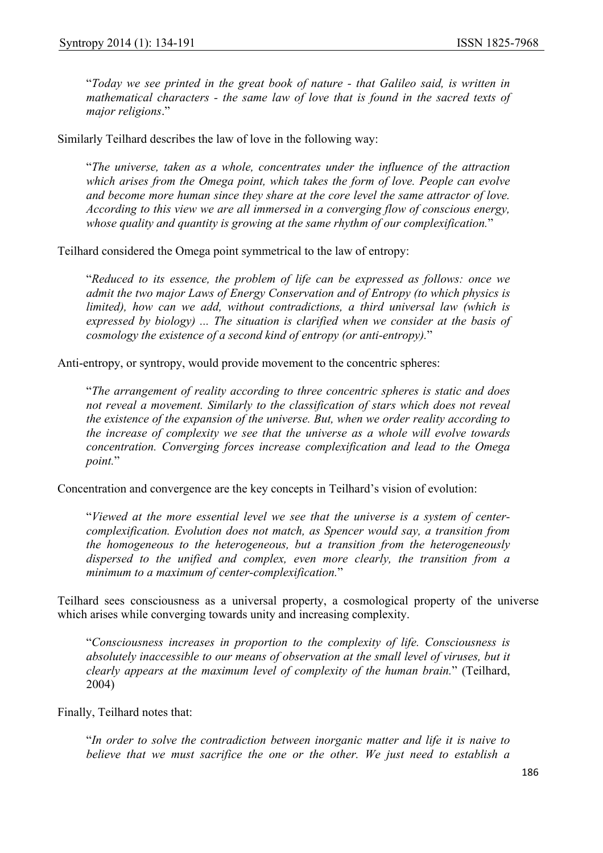"*Today we see printed in the great book of nature - that Galileo said, is written in mathematical characters - the same law of love that is found in the sacred texts of major religions*."

Similarly Teilhard describes the law of love in the following way:

"*The universe, taken as a whole, concentrates under the influence of the attraction which arises from the Omega point, which takes the form of love. People can evolve and become more human since they share at the core level the same attractor of love. According to this view we are all immersed in a converging flow of conscious energy, whose quality and quantity is growing at the same rhythm of our complexification.*"

Teilhard considered the Omega point symmetrical to the law of entropy:

"*Reduced to its essence, the problem of life can be expressed as follows: once we admit the two major Laws of Energy Conservation and of Entropy (to which physics is limited), how can we add, without contradictions, a third universal law (which is expressed by biology) ... The situation is clarified when we consider at the basis of cosmology the existence of a second kind of entropy (or anti-entropy).*"

Anti-entropy, or syntropy, would provide movement to the concentric spheres:

"*The arrangement of reality according to three concentric spheres is static and does not reveal a movement. Similarly to the classification of stars which does not reveal the existence of the expansion of the universe. But, when we order reality according to the increase of complexity we see that the universe as a whole will evolve towards concentration. Converging forces increase complexification and lead to the Omega point.*"

Concentration and convergence are the key concepts in Teilhard's vision of evolution:

"*Viewed at the more essential level we see that the universe is a system of centercomplexification. Evolution does not match, as Spencer would say, a transition from the homogeneous to the heterogeneous, but a transition from the heterogeneously dispersed to the unified and complex, even more clearly, the transition from a minimum to a maximum of center-complexification.*"

Teilhard sees consciousness as a universal property, a cosmological property of the universe which arises while converging towards unity and increasing complexity.

"*Consciousness increases in proportion to the complexity of life. Consciousness is*  absolutely inaccessible to our means of observation at the small level of viruses, but it *clearly appears at the maximum level of complexity of the human brain.*" (Teilhard, 2004)

Finally, Teilhard notes that:

"*In order to solve the contradiction between inorganic matter and life it is naive to believe that we must sacrifice the one or the other. We just need to establish a*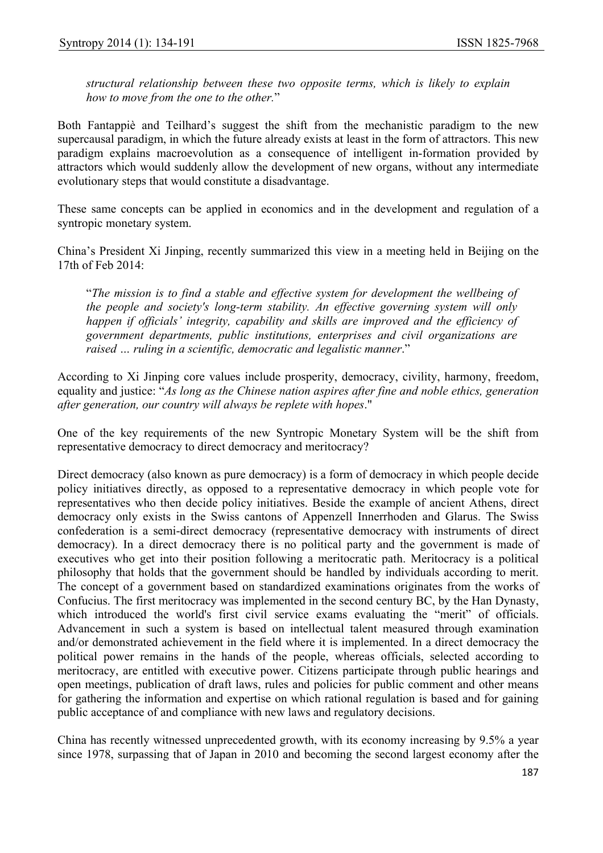*structural relationship between these two opposite terms, which is likely to explain how to move from the one to the other.*"

Both Fantappiè and Teilhard's suggest the shift from the mechanistic paradigm to the new supercausal paradigm, in which the future already exists at least in the form of attractors. This new paradigm explains macroevolution as a consequence of intelligent in-formation provided by attractors which would suddenly allow the development of new organs, without any intermediate evolutionary steps that would constitute a disadvantage.

These same concepts can be applied in economics and in the development and regulation of a syntropic monetary system.

China's President Xi Jinping, recently summarized this view in a meeting held in Beijing on the 17th of Feb 2014:

"*The mission is to find a stable and effective system for development the wellbeing of the people and society's long-term stability. An effective governing system will only happen if officials' integrity, capability and skills are improved and the efficiency of government departments, public institutions, enterprises and civil organizations are raised … ruling in a scientific, democratic and legalistic manner*."

According to Xi Jinping core values include prosperity, democracy, civility, harmony, freedom, equality and justice: "*As long as the Chinese nation aspires after fine and noble ethics, generation after generation, our country will always be replete with hopes*."

One of the key requirements of the new Syntropic Monetary System will be the shift from representative democracy to direct democracy and meritocracy?

Direct democracy (also known as pure democracy) is a form of democracy in which people decide policy initiatives directly, as opposed to a representative democracy in which people vote for representatives who then decide policy initiatives. Beside the example of ancient Athens, direct democracy only exists in the Swiss cantons of Appenzell Innerrhoden and Glarus. The Swiss confederation is a semi-direct democracy (representative democracy with instruments of direct democracy). In a direct democracy there is no political party and the government is made of executives who get into their position following a meritocratic path. Meritocracy is a political philosophy that holds that the government should be handled by individuals according to merit. The concept of a government based on standardized examinations originates from the works of Confucius. The first meritocracy was implemented in the second century BC, by the Han Dynasty, which introduced the world's first civil service exams evaluating the "merit" of officials. Advancement in such a system is based on intellectual talent measured through examination and/or demonstrated achievement in the field where it is implemented. In a direct democracy the political power remains in the hands of the people, whereas officials, selected according to meritocracy, are entitled with executive power. Citizens participate through public hearings and open meetings, publication of draft laws, rules and policies for public comment and other means for gathering the information and expertise on which rational regulation is based and for gaining public acceptance of and compliance with new laws and regulatory decisions.

China has recently witnessed unprecedented growth, with its economy increasing by 9.5% a year since 1978, surpassing that of Japan in 2010 and becoming the second largest economy after the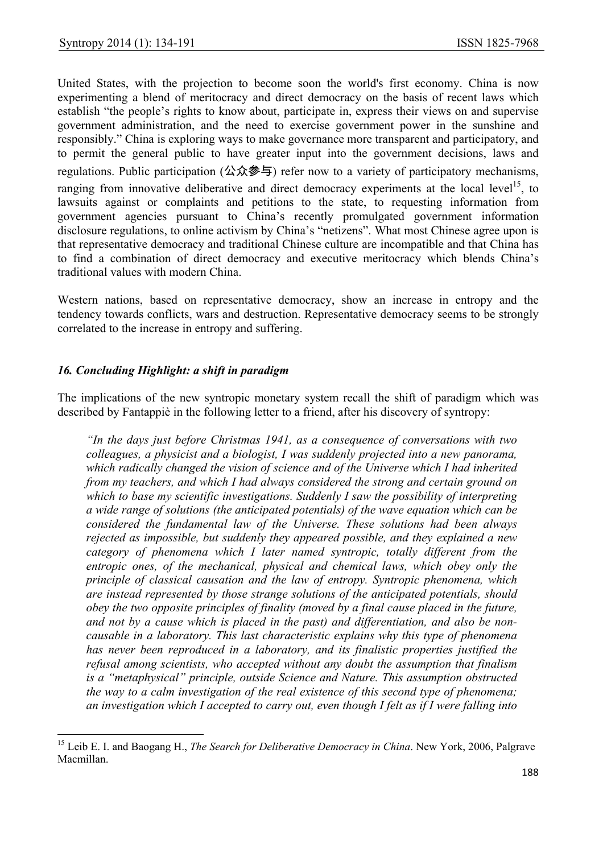United States, with the projection to become soon the world's first economy. China is now experimenting a blend of meritocracy and direct democracy on the basis of recent laws which establish "the people's rights to know about, participate in, express their views on and supervise government administration, and the need to exercise government power in the sunshine and responsibly." China is exploring ways to make governance more transparent and participatory, and to permit the general public to have greater input into the government decisions, laws and regulations. Public participation (公众参与) refer now to a variety of participatory mechanisms, ranging from innovative deliberative and direct democracy experiments at the local level<sup>15</sup>, to lawsuits against or complaints and petitions to the state, to requesting information from government agencies pursuant to China's recently promulgated government information disclosure regulations, to online activism by China's "netizens". What most Chinese agree upon is that representative democracy and traditional Chinese culture are incompatible and that China has to find a combination of direct democracy and executive meritocracy which blends China's traditional values with modern China.

Western nations, based on representative democracy, show an increase in entropy and the tendency towards conflicts, wars and destruction. Representative democracy seems to be strongly correlated to the increase in entropy and suffering.

# *16. Concluding Highlight: a shift in paradigm*

 $\overline{\phantom{a}}$ 

The implications of the new syntropic monetary system recall the shift of paradigm which was described by Fantappiè in the following letter to a friend, after his discovery of syntropy:

*"In the days just before Christmas 1941, as a consequence of conversations with two colleagues, a physicist and a biologist, I was suddenly projected into a new panorama, which radically changed the vision of science and of the Universe which I had inherited from my teachers, and which I had always considered the strong and certain ground on which to base my scientific investigations. Suddenly I saw the possibility of interpreting a wide range of solutions (the anticipated potentials) of the wave equation which can be considered the fundamental law of the Universe. These solutions had been always rejected as impossible, but suddenly they appeared possible, and they explained a new category of phenomena which I later named syntropic, totally different from the entropic ones, of the mechanical, physical and chemical laws, which obey only the principle of classical causation and the law of entropy. Syntropic phenomena, which are instead represented by those strange solutions of the anticipated potentials, should obey the two opposite principles of finality (moved by a final cause placed in the future, and not by a cause which is placed in the past) and differentiation, and also be noncausable in a laboratory. This last characteristic explains why this type of phenomena has never been reproduced in a laboratory, and its finalistic properties justified the refusal among scientists, who accepted without any doubt the assumption that finalism is a "metaphysical" principle, outside Science and Nature. This assumption obstructed the way to a calm investigation of the real existence of this second type of phenomena; an investigation which I accepted to carry out, even though I felt as if I were falling into* 

<sup>15</sup> Leib E. I. and Baogang H., *The Search for Deliberative Democracy in China*. New York, 2006, Palgrave Macmillan.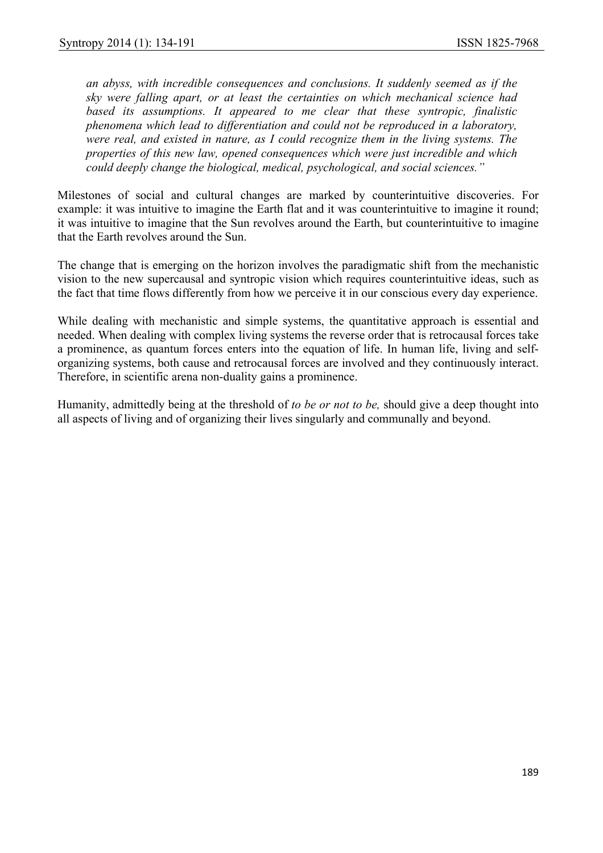*an abyss, with incredible consequences and conclusions. It suddenly seemed as if the sky were falling apart, or at least the certainties on which mechanical science had based its assumptions. It appeared to me clear that these syntropic, finalistic phenomena which lead to differentiation and could not be reproduced in a laboratory, were real, and existed in nature, as I could recognize them in the living systems. The properties of this new law, opened consequences which were just incredible and which could deeply change the biological, medical, psychological, and social sciences."* 

Milestones of social and cultural changes are marked by counterintuitive discoveries. For example: it was intuitive to imagine the Earth flat and it was counterintuitive to imagine it round; it was intuitive to imagine that the Sun revolves around the Earth, but counterintuitive to imagine that the Earth revolves around the Sun.

The change that is emerging on the horizon involves the paradigmatic shift from the mechanistic vision to the new supercausal and syntropic vision which requires counterintuitive ideas, such as the fact that time flows differently from how we perceive it in our conscious every day experience.

While dealing with mechanistic and simple systems, the quantitative approach is essential and needed. When dealing with complex living systems the reverse order that is retrocausal forces take a prominence, as quantum forces enters into the equation of life. In human life, living and selforganizing systems, both cause and retrocausal forces are involved and they continuously interact. Therefore, in scientific arena non-duality gains a prominence.

Humanity, admittedly being at the threshold of *to be or not to be,* should give a deep thought into all aspects of living and of organizing their lives singularly and communally and beyond.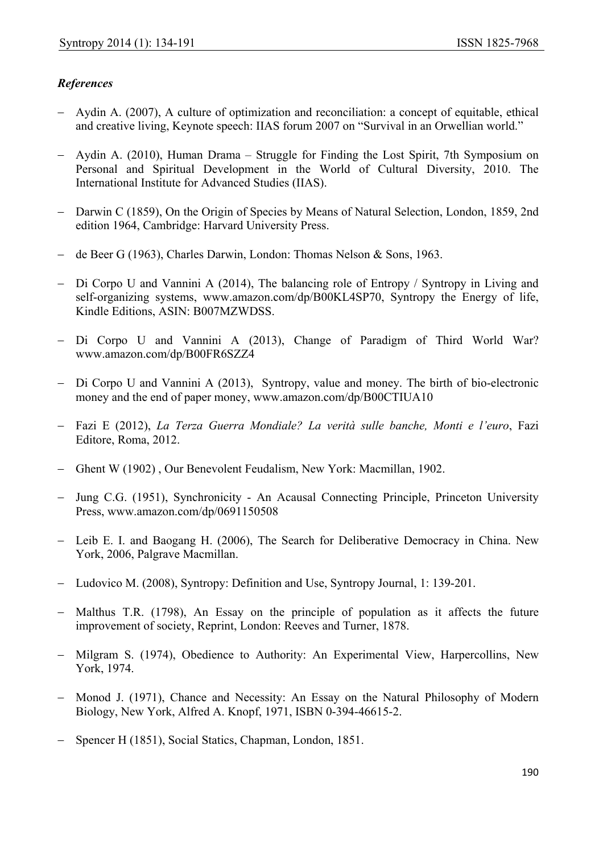# *References*

- − Aydin A. (2007), A culture of optimization and reconciliation: a concept of equitable, ethical and creative living, Keynote speech: IIAS forum 2007 on "Survival in an Orwellian world."
- − Aydin A. (2010), Human Drama Struggle for Finding the Lost Spirit, 7th Symposium on Personal and Spiritual Development in the World of Cultural Diversity, 2010. The International Institute for Advanced Studies (IIAS).
- − Darwin C (1859), On the Origin of Species by Means of Natural Selection, London, 1859, 2nd edition 1964, Cambridge: Harvard University Press.
- − de Beer G (1963), Charles Darwin, London: Thomas Nelson & Sons, 1963.
- − Di Corpo U and Vannini A (2014), The balancing role of Entropy / Syntropy in Living and self-organizing systems, www.amazon.com/dp/B00KL4SP70, Syntropy the Energy of life, Kindle Editions, ASIN: B007MZWDSS.
- − Di Corpo U and Vannini A (2013), Change of Paradigm of Third World War? www.amazon.com/dp/B00FR6SZZ4
- − Di Corpo U and Vannini A (2013), Syntropy, value and money. The birth of bio-electronic money and the end of paper money, www.amazon.com/dp/B00CTIUA10
- − Fazi E (2012), *La Terza Guerra Mondiale? La verità sulle banche, Monti e l'euro*, Fazi Editore, Roma, 2012.
- − Ghent W (1902) , Our Benevolent Feudalism, New York: Macmillan, 1902.
- − Jung C.G. (1951), Synchronicity An Acausal Connecting Principle, Princeton University Press, www.amazon.com/dp/0691150508
- − Leib E. I. and Baogang H. (2006), The Search for Deliberative Democracy in China. New York, 2006, Palgrave Macmillan.
- − Ludovico M. (2008), Syntropy: Definition and Use, Syntropy Journal, 1: 139-201.
- − Malthus T.R. (1798), An Essay on the principle of population as it affects the future improvement of society, Reprint, London: Reeves and Turner, 1878.
- − Milgram S. (1974), Obedience to Authority: An Experimental View, Harpercollins, New York, 1974.
- − Monod J. (1971), Chance and Necessity: An Essay on the Natural Philosophy of Modern Biology, New York, Alfred A. Knopf, 1971, ISBN 0-394-46615-2.
- Spencer H (1851), Social Statics, Chapman, London, 1851.